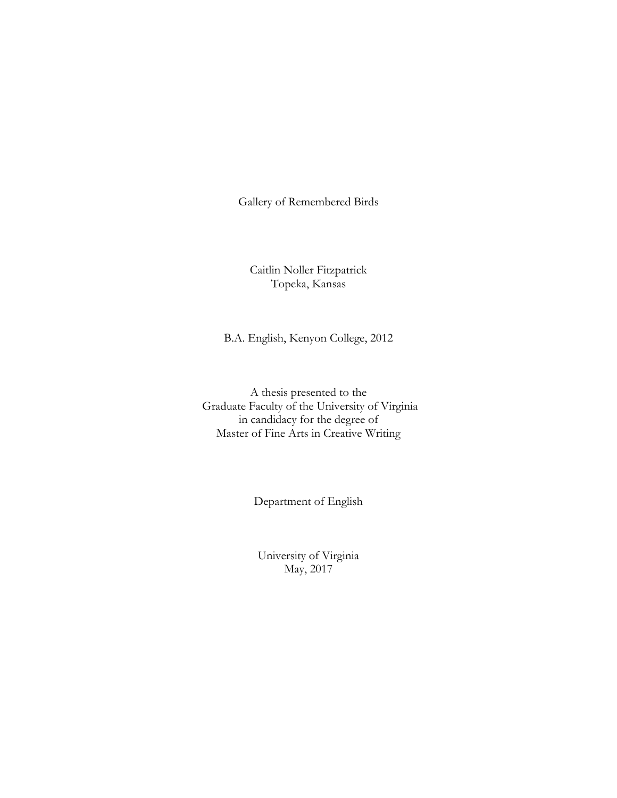Gallery of Remembered Birds

Caitlin Noller Fitzpatrick Topeka, Kansas

B.A. English, Kenyon College, 2012

A thesis presented to the Graduate Faculty of the University of Virginia in candidacy for the degree of Master of Fine Arts in Creative Writing

Department of English

University of Virginia May, 2017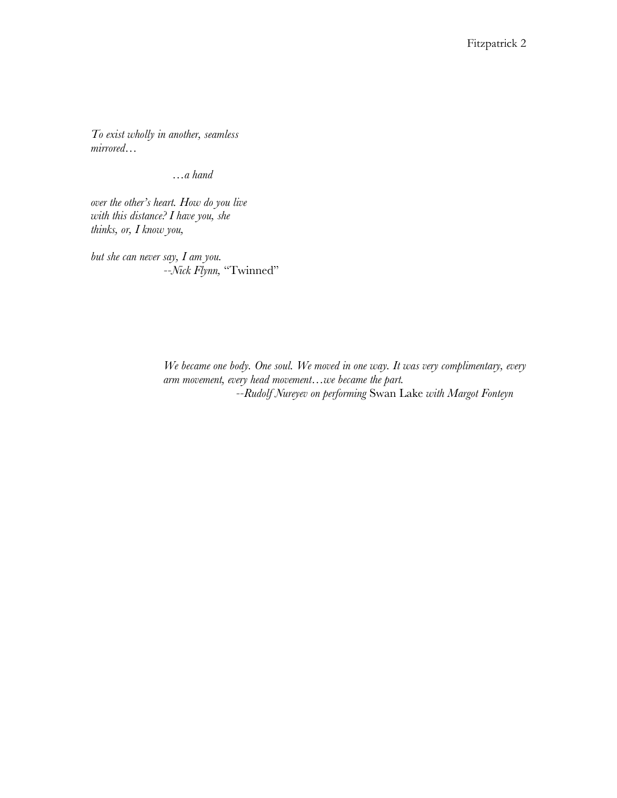*To exist wholly in another, seamless mirrored…*

 *…a hand*

*over the other's heart. How do you live with this distance? I have you, she thinks, or, I know you,*

*but she can never say, I am you. --Nick Flynn,* "Twinned"

> *We became one body. One soul. We moved in one way. It was very complimentary, every arm movement, every head movement…we became the part. --Rudolf Nureyev on performing* Swan Lake *with Margot Fonteyn*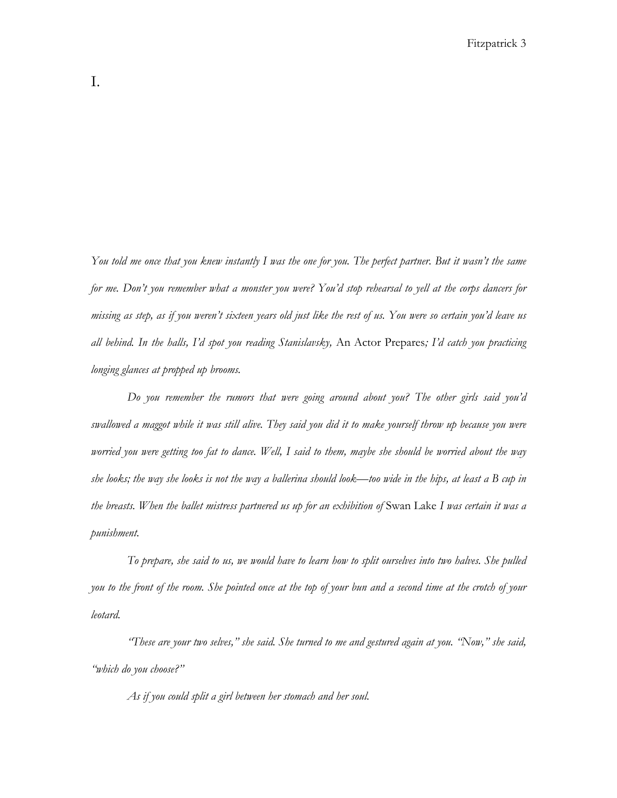*You told me once that you knew instantly I was the one for you. The perfect partner. But it wasn't the same for me. Don't you remember what a monster you were? You'd stop rehearsal to yell at the corps dancers for missing as step, as if you weren't sixteen years old just like the rest of us. You were so certain you'd leave us all behind. In the halls, I'd spot you reading Stanislavsky,* An Actor Prepares*; I'd catch you practicing longing glances at propped up brooms.*

*Do you remember the rumors that were going around about you? The other girls said you'd swallowed a maggot while it was still alive. They said you did it to make yourself throw up because you were worried you were getting too fat to dance. Well, I said to them, maybe she should be worried about the way she looks; the way she looks is not the way a ballerina should look—too wide in the hips, at least a B cup in the breasts. When the ballet mistress partnered us up for an exhibition of* Swan Lake *I was certain it was a punishment.* 

*To prepare, she said to us, we would have to learn how to split ourselves into two halves. She pulled you to the front of the room. She pointed once at the top of your bun and a second time at the crotch of your leotard.* 

*"These are your two selves," she said. She turned to me and gestured again at you. "Now," she said, "which do you choose?"*

*As if you could split a girl between her stomach and her soul.*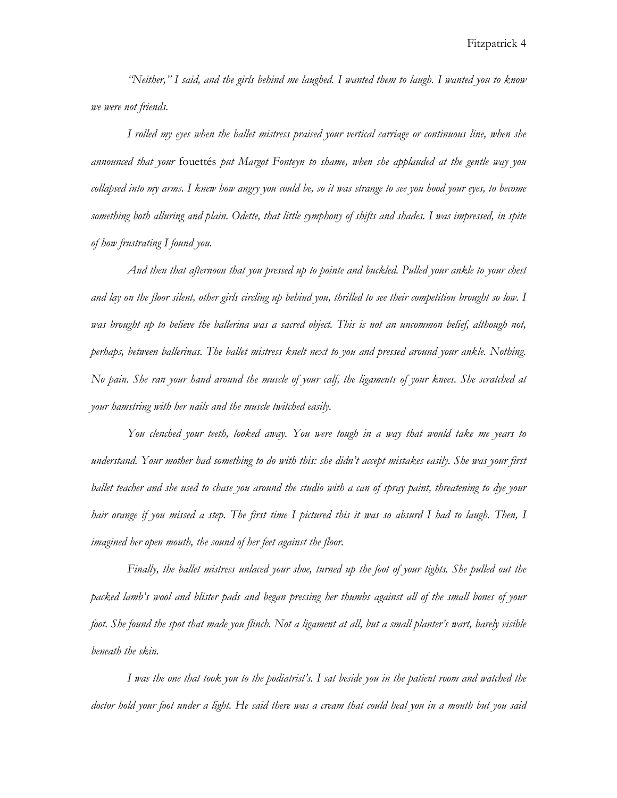*"Neither," I said, and the girls behind me laughed. I wanted them to laugh. I wanted you to know we were not friends.* 

*I rolled my eyes when the ballet mistress praised your vertical carriage or continuous line, when she announced that your* fouettés *put Margot Fonteyn to shame, when she applauded at the gentle way you collapsed into my arms. I knew how angry you could be, so it was strange to see you hood your eyes, to become something both alluring and plain. Odette, that little symphony of shifts and shades. I was impressed, in spite of how frustrating I found you.* 

*And then that afternoon that you pressed up to pointe and buckled. Pulled your ankle to your chest and lay on the floor silent, other girls circling up behind you, thrilled to see their competition brought so low. I was brought up to believe the ballerina was a sacred object. This is not an uncommon belief, although not, perhaps, between ballerinas. The ballet mistress knelt next to you and pressed around your ankle. Nothing. No pain. She ran your hand around the muscle of your calf, the ligaments of your knees. She scratched at your hamstring with her nails and the muscle twitched easily.* 

*You clenched your teeth, looked away. You were tough in a way that would take me years to understand. Your mother had something to do with this: she didn't accept mistakes easily. She was your first ballet teacher and she used to chase you around the studio with a can of spray paint, threatening to dye your hair orange if you missed a step. The first time I pictured this it was so absurd I had to laugh. Then, I imagined her open mouth, the sound of her feet against the floor.*

*Finally, the ballet mistress unlaced your shoe, turned up the foot of your tights. She pulled out the packed lamb's wool and blister pads and began pressing her thumbs against all of the small bones of your foot. She found the spot that made you flinch. Not a ligament at all, but a small planter's wart, barely visible beneath the skin.* 

*I was the one that took you to the podiatrist's. I sat beside you in the patient room and watched the doctor hold your foot under a light. He said there was a cream that could heal you in a month but you said*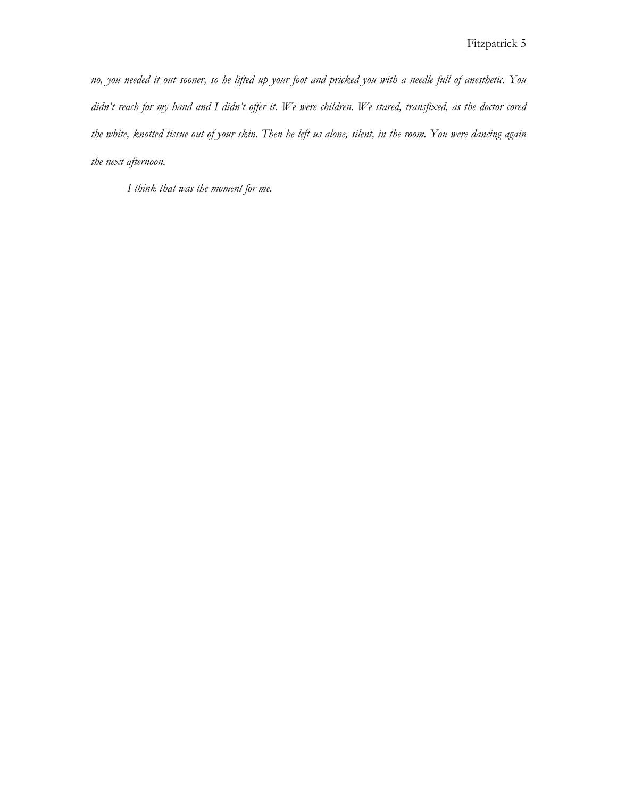*no, you needed it out sooner, so he lifted up your foot and pricked you with a needle full of anesthetic. You didn't reach for my hand and I didn't offer it. We were children. We stared, transfixed, as the doctor cored the white, knotted tissue out of your skin. Then he left us alone, silent, in the room. You were dancing again the next afternoon.*

*I think that was the moment for me.*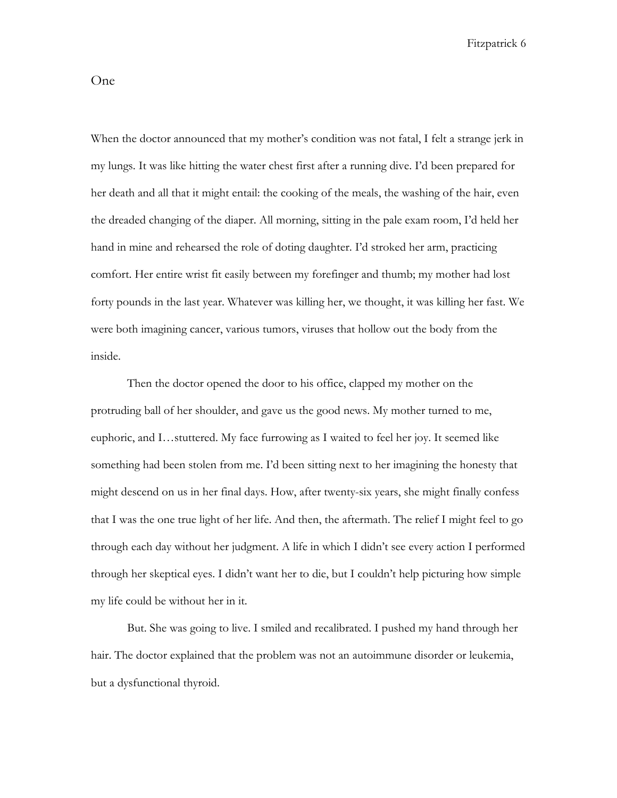One

When the doctor announced that my mother's condition was not fatal, I felt a strange jerk in my lungs. It was like hitting the water chest first after a running dive. I'd been prepared for her death and all that it might entail: the cooking of the meals, the washing of the hair, even the dreaded changing of the diaper. All morning, sitting in the pale exam room, I'd held her hand in mine and rehearsed the role of doting daughter. I'd stroked her arm, practicing comfort. Her entire wrist fit easily between my forefinger and thumb; my mother had lost forty pounds in the last year. Whatever was killing her, we thought, it was killing her fast. We were both imagining cancer, various tumors, viruses that hollow out the body from the inside.

Then the doctor opened the door to his office, clapped my mother on the protruding ball of her shoulder, and gave us the good news. My mother turned to me, euphoric, and I…stuttered. My face furrowing as I waited to feel her joy. It seemed like something had been stolen from me. I'd been sitting next to her imagining the honesty that might descend on us in her final days. How, after twenty-six years, she might finally confess that I was the one true light of her life. And then, the aftermath. The relief I might feel to go through each day without her judgment. A life in which I didn't see every action I performed through her skeptical eyes. I didn't want her to die, but I couldn't help picturing how simple my life could be without her in it.

But. She was going to live. I smiled and recalibrated. I pushed my hand through her hair. The doctor explained that the problem was not an autoimmune disorder or leukemia, but a dysfunctional thyroid.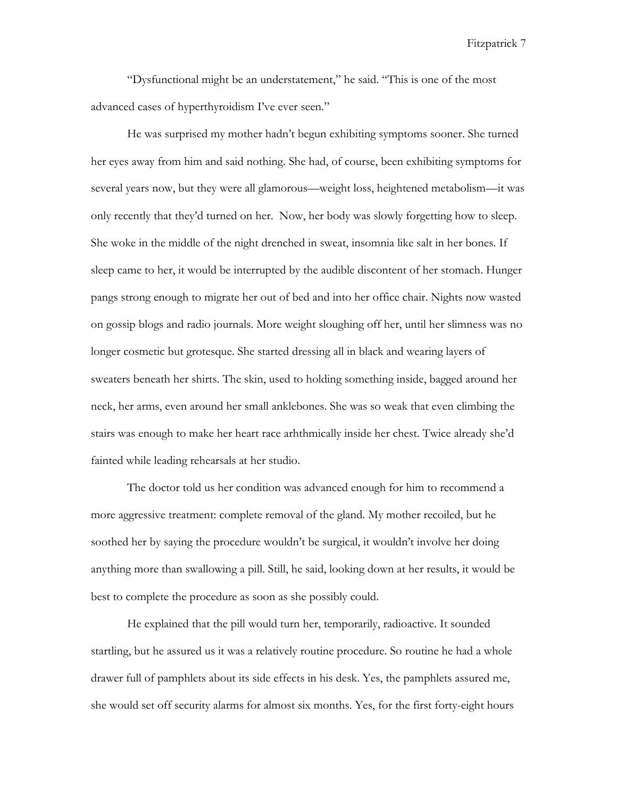"Dysfunctional might be an understatement," he said. "This is one of the most advanced cases of hyperthyroidism I've ever seen."

He was surprised my mother hadn't begun exhibiting symptoms sooner. She turned her eyes away from him and said nothing. She had, of course, been exhibiting symptoms for several years now, but they were all glamorous—weight loss, heightened metabolism—it was only recently that they'd turned on her. Now, her body was slowly forgetting how to sleep. She woke in the middle of the night drenched in sweat, insomnia like salt in her bones. If sleep came to her, it would be interrupted by the audible discontent of her stomach. Hunger pangs strong enough to migrate her out of bed and into her office chair. Nights now wasted on gossip blogs and radio journals. More weight sloughing off her, until her slimness was no longer cosmetic but grotesque. She started dressing all in black and wearing layers of sweaters beneath her shirts. The skin, used to holding something inside, bagged around her neck, her arms, even around her small anklebones. She was so weak that even climbing the stairs was enough to make her heart race arhthmically inside her chest. Twice already she'd fainted while leading rehearsals at her studio.

The doctor told us her condition was advanced enough for him to recommend a more aggressive treatment: complete removal of the gland. My mother recoiled, but he soothed her by saying the procedure wouldn't be surgical, it wouldn't involve her doing anything more than swallowing a pill. Still, he said, looking down at her results, it would be best to complete the procedure as soon as she possibly could.

He explained that the pill would turn her, temporarily, radioactive. It sounded startling, but he assured us it was a relatively routine procedure. So routine he had a whole drawer full of pamphlets about its side effects in his desk. Yes, the pamphlets assured me, she would set off security alarms for almost six months. Yes, for the first forty-eight hours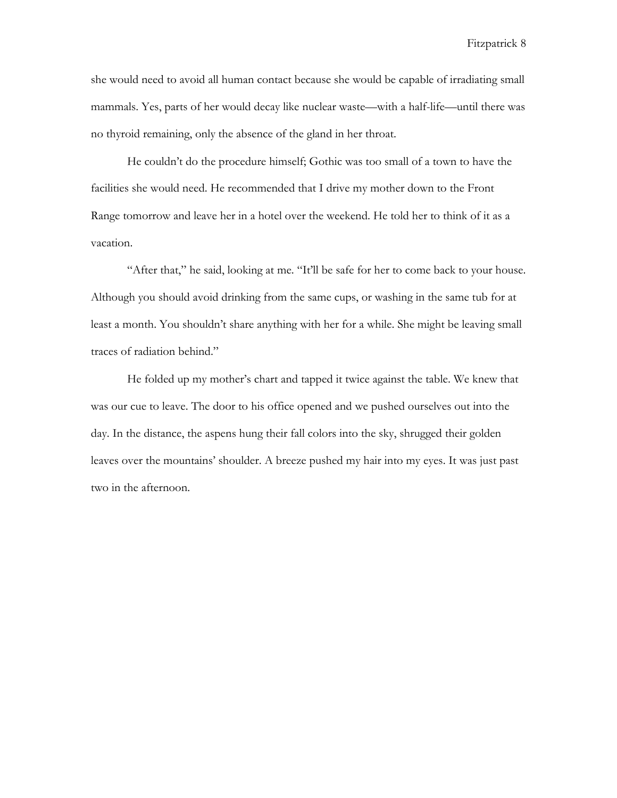she would need to avoid all human contact because she would be capable of irradiating small mammals. Yes, parts of her would decay like nuclear waste—with a half-life—until there was no thyroid remaining, only the absence of the gland in her throat.

He couldn't do the procedure himself; Gothic was too small of a town to have the facilities she would need. He recommended that I drive my mother down to the Front Range tomorrow and leave her in a hotel over the weekend. He told her to think of it as a vacation.

"After that," he said, looking at me. "It'll be safe for her to come back to your house. Although you should avoid drinking from the same cups, or washing in the same tub for at least a month. You shouldn't share anything with her for a while. She might be leaving small traces of radiation behind."

He folded up my mother's chart and tapped it twice against the table. We knew that was our cue to leave. The door to his office opened and we pushed ourselves out into the day. In the distance, the aspens hung their fall colors into the sky, shrugged their golden leaves over the mountains' shoulder. A breeze pushed my hair into my eyes. It was just past two in the afternoon.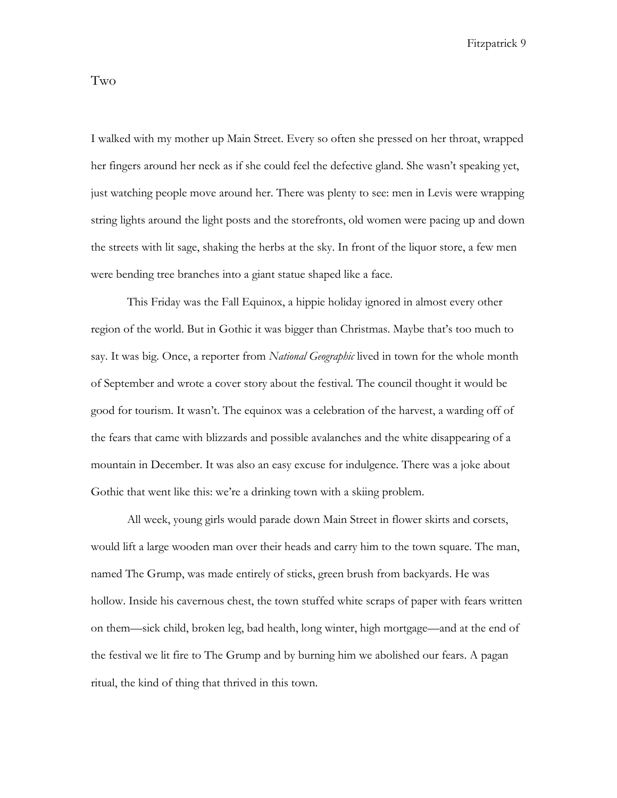I walked with my mother up Main Street. Every so often she pressed on her throat, wrapped

her fingers around her neck as if she could feel the defective gland. She wasn't speaking yet, just watching people move around her. There was plenty to see: men in Levis were wrapping string lights around the light posts and the storefronts, old women were pacing up and down the streets with lit sage, shaking the herbs at the sky. In front of the liquor store, a few men were bending tree branches into a giant statue shaped like a face.

This Friday was the Fall Equinox, a hippie holiday ignored in almost every other region of the world. But in Gothic it was bigger than Christmas. Maybe that's too much to say. It was big. Once, a reporter from *National Geographic* lived in town for the whole month of September and wrote a cover story about the festival. The council thought it would be good for tourism. It wasn't. The equinox was a celebration of the harvest, a warding off of the fears that came with blizzards and possible avalanches and the white disappearing of a mountain in December. It was also an easy excuse for indulgence. There was a joke about Gothic that went like this: we're a drinking town with a skiing problem.

All week, young girls would parade down Main Street in flower skirts and corsets, would lift a large wooden man over their heads and carry him to the town square. The man, named The Grump, was made entirely of sticks, green brush from backyards. He was hollow. Inside his cavernous chest, the town stuffed white scraps of paper with fears written on them—sick child, broken leg, bad health, long winter, high mortgage—and at the end of the festival we lit fire to The Grump and by burning him we abolished our fears. A pagan ritual, the kind of thing that thrived in this town.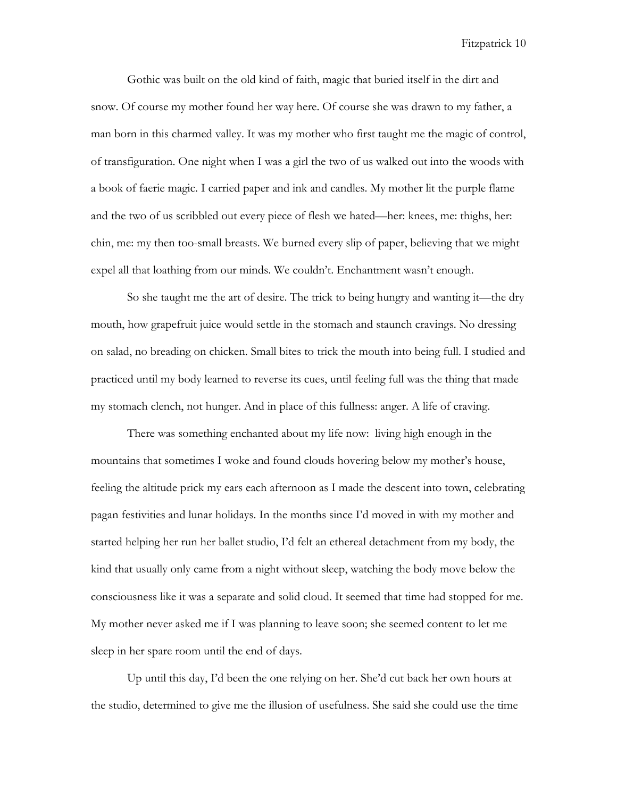Gothic was built on the old kind of faith, magic that buried itself in the dirt and snow. Of course my mother found her way here. Of course she was drawn to my father, a man born in this charmed valley. It was my mother who first taught me the magic of control, of transfiguration. One night when I was a girl the two of us walked out into the woods with a book of faerie magic. I carried paper and ink and candles. My mother lit the purple flame and the two of us scribbled out every piece of flesh we hated—her: knees, me: thighs, her: chin, me: my then too-small breasts. We burned every slip of paper, believing that we might expel all that loathing from our minds. We couldn't. Enchantment wasn't enough.

So she taught me the art of desire. The trick to being hungry and wanting it—the dry mouth, how grapefruit juice would settle in the stomach and staunch cravings. No dressing on salad, no breading on chicken. Small bites to trick the mouth into being full. I studied and practiced until my body learned to reverse its cues, until feeling full was the thing that made my stomach clench, not hunger. And in place of this fullness: anger. A life of craving.

There was something enchanted about my life now: living high enough in the mountains that sometimes I woke and found clouds hovering below my mother's house, feeling the altitude prick my ears each afternoon as I made the descent into town, celebrating pagan festivities and lunar holidays. In the months since I'd moved in with my mother and started helping her run her ballet studio, I'd felt an ethereal detachment from my body, the kind that usually only came from a night without sleep, watching the body move below the consciousness like it was a separate and solid cloud. It seemed that time had stopped for me. My mother never asked me if I was planning to leave soon; she seemed content to let me sleep in her spare room until the end of days.

Up until this day, I'd been the one relying on her. She'd cut back her own hours at the studio, determined to give me the illusion of usefulness. She said she could use the time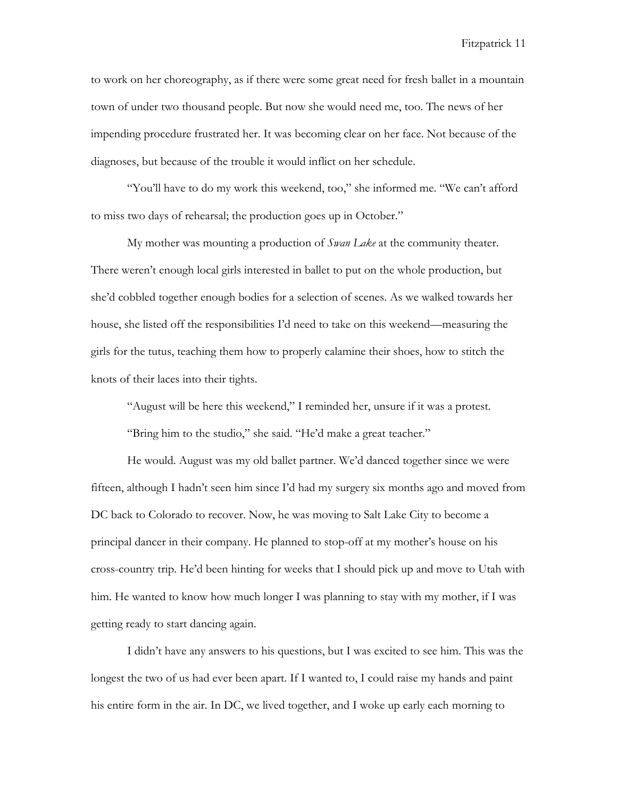to work on her choreography, as if there were some great need for fresh ballet in a mountain town of under two thousand people. But now she would need me, too. The news of her impending procedure frustrated her. It was becoming clear on her face. Not because of the diagnoses, but because of the trouble it would inflict on her schedule.

"You'll have to do my work this weekend, too," she informed me. "We can't afford to miss two days of rehearsal; the production goes up in October."

My mother was mounting a production of *Swan Lake* at the community theater. There weren't enough local girls interested in ballet to put on the whole production, but she'd cobbled together enough bodies for a selection of scenes. As we walked towards her house, she listed off the responsibilities I'd need to take on this weekend—measuring the girls for the tutus, teaching them how to properly calamine their shoes, how to stitch the knots of their laces into their tights.

"August will be here this weekend," I reminded her, unsure if it was a protest.

"Bring him to the studio," she said. "He'd make a great teacher."

He would. August was my old ballet partner. We'd danced together since we were fifteen, although I hadn't seen him since I'd had my surgery six months ago and moved from DC back to Colorado to recover. Now, he was moving to Salt Lake City to become a principal dancer in their company. He planned to stop-off at my mother's house on his cross-country trip. He'd been hinting for weeks that I should pick up and move to Utah with him. He wanted to know how much longer I was planning to stay with my mother, if I was getting ready to start dancing again.

I didn't have any answers to his questions, but I was excited to see him. This was the longest the two of us had ever been apart. If I wanted to, I could raise my hands and paint his entire form in the air. In DC, we lived together, and I woke up early each morning to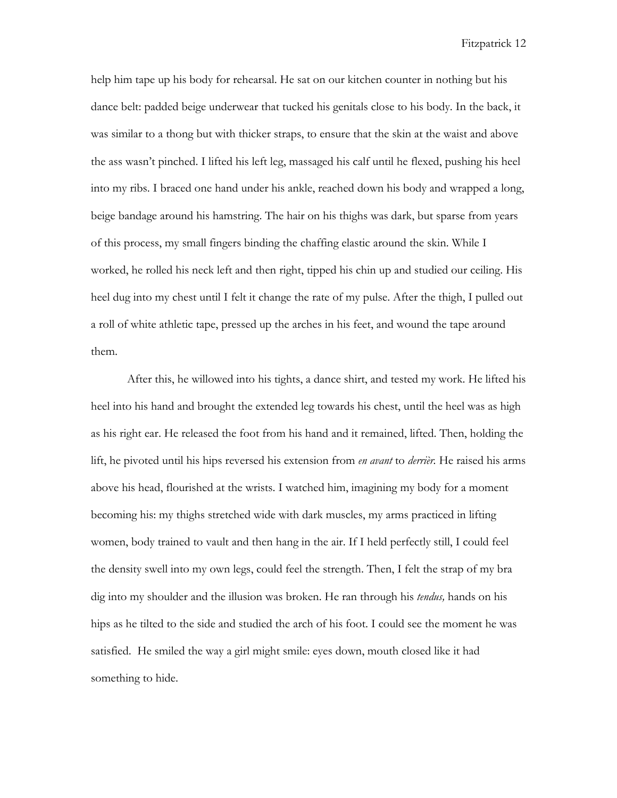help him tape up his body for rehearsal. He sat on our kitchen counter in nothing but his dance belt: padded beige underwear that tucked his genitals close to his body. In the back, it was similar to a thong but with thicker straps, to ensure that the skin at the waist and above the ass wasn't pinched. I lifted his left leg, massaged his calf until he flexed, pushing his heel into my ribs. I braced one hand under his ankle, reached down his body and wrapped a long, beige bandage around his hamstring. The hair on his thighs was dark, but sparse from years of this process, my small fingers binding the chaffing elastic around the skin. While I worked, he rolled his neck left and then right, tipped his chin up and studied our ceiling. His heel dug into my chest until I felt it change the rate of my pulse. After the thigh, I pulled out a roll of white athletic tape, pressed up the arches in his feet, and wound the tape around them.

After this, he willowed into his tights, a dance shirt, and tested my work. He lifted his heel into his hand and brought the extended leg towards his chest, until the heel was as high as his right ear. He released the foot from his hand and it remained, lifted. Then, holding the lift, he pivoted until his hips reversed his extension from *en avant* to *derrièr.* He raised his arms above his head, flourished at the wrists. I watched him, imagining my body for a moment becoming his: my thighs stretched wide with dark muscles, my arms practiced in lifting women, body trained to vault and then hang in the air. If I held perfectly still, I could feel the density swell into my own legs, could feel the strength. Then, I felt the strap of my bra dig into my shoulder and the illusion was broken. He ran through his *tendus,* hands on his hips as he tilted to the side and studied the arch of his foot. I could see the moment he was satisfied. He smiled the way a girl might smile: eyes down, mouth closed like it had something to hide.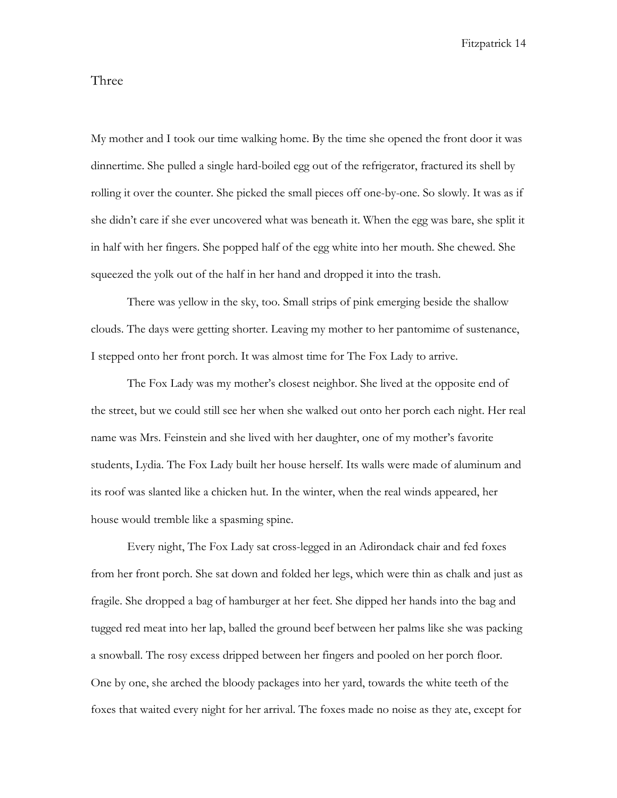# Three

My mother and I took our time walking home. By the time she opened the front door it was dinnertime. She pulled a single hard-boiled egg out of the refrigerator, fractured its shell by rolling it over the counter. She picked the small pieces off one-by-one. So slowly. It was as if she didn't care if she ever uncovered what was beneath it. When the egg was bare, she split it in half with her fingers. She popped half of the egg white into her mouth. She chewed. She squeezed the yolk out of the half in her hand and dropped it into the trash.

There was yellow in the sky, too. Small strips of pink emerging beside the shallow clouds. The days were getting shorter. Leaving my mother to her pantomime of sustenance, I stepped onto her front porch. It was almost time for The Fox Lady to arrive.

The Fox Lady was my mother's closest neighbor. She lived at the opposite end of the street, but we could still see her when she walked out onto her porch each night. Her real name was Mrs. Feinstein and she lived with her daughter, one of my mother's favorite students, Lydia. The Fox Lady built her house herself. Its walls were made of aluminum and its roof was slanted like a chicken hut. In the winter, when the real winds appeared, her house would tremble like a spasming spine.

Every night, The Fox Lady sat cross-legged in an Adirondack chair and fed foxes from her front porch. She sat down and folded her legs, which were thin as chalk and just as fragile. She dropped a bag of hamburger at her feet. She dipped her hands into the bag and tugged red meat into her lap, balled the ground beef between her palms like she was packing a snowball. The rosy excess dripped between her fingers and pooled on her porch floor. One by one, she arched the bloody packages into her yard, towards the white teeth of the foxes that waited every night for her arrival. The foxes made no noise as they ate, except for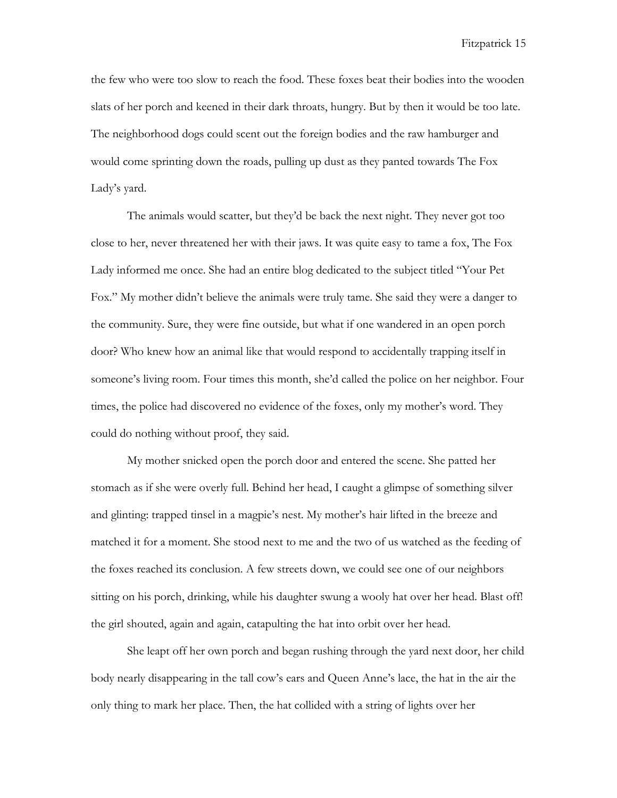the few who were too slow to reach the food. These foxes beat their bodies into the wooden slats of her porch and keened in their dark throats, hungry. But by then it would be too late. The neighborhood dogs could scent out the foreign bodies and the raw hamburger and would come sprinting down the roads, pulling up dust as they panted towards The Fox Lady's yard.

The animals would scatter, but they'd be back the next night. They never got too close to her, never threatened her with their jaws. It was quite easy to tame a fox, The Fox Lady informed me once. She had an entire blog dedicated to the subject titled "Your Pet Fox." My mother didn't believe the animals were truly tame. She said they were a danger to the community. Sure, they were fine outside, but what if one wandered in an open porch door? Who knew how an animal like that would respond to accidentally trapping itself in someone's living room. Four times this month, she'd called the police on her neighbor. Four times, the police had discovered no evidence of the foxes, only my mother's word. They could do nothing without proof, they said.

My mother snicked open the porch door and entered the scene. She patted her stomach as if she were overly full. Behind her head, I caught a glimpse of something silver and glinting: trapped tinsel in a magpie's nest. My mother's hair lifted in the breeze and matched it for a moment. She stood next to me and the two of us watched as the feeding of the foxes reached its conclusion. A few streets down, we could see one of our neighbors sitting on his porch, drinking, while his daughter swung a wooly hat over her head. Blast off! the girl shouted, again and again, catapulting the hat into orbit over her head.

She leapt off her own porch and began rushing through the yard next door, her child body nearly disappearing in the tall cow's ears and Queen Anne's lace, the hat in the air the only thing to mark her place. Then, the hat collided with a string of lights over her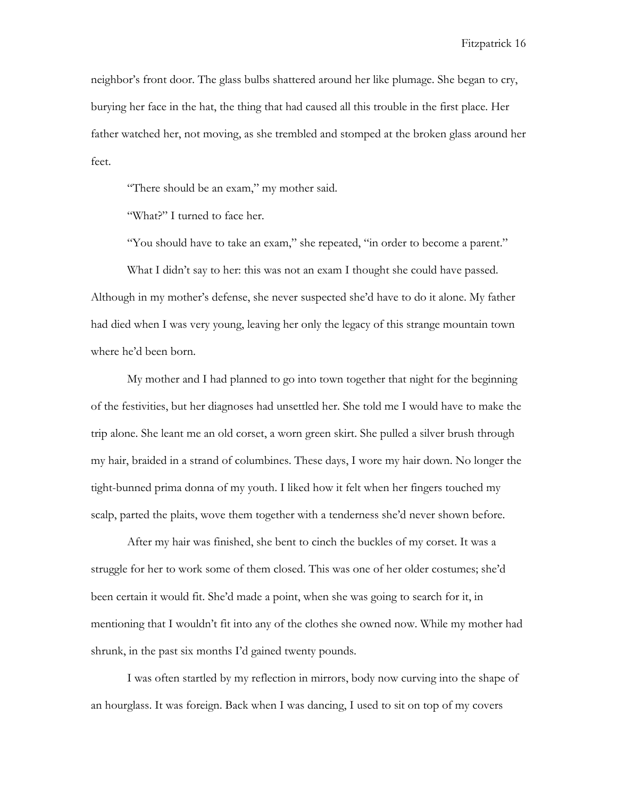neighbor's front door. The glass bulbs shattered around her like plumage. She began to cry, burying her face in the hat, the thing that had caused all this trouble in the first place. Her father watched her, not moving, as she trembled and stomped at the broken glass around her feet.

"There should be an exam," my mother said.

"What?" I turned to face her.

"You should have to take an exam," she repeated, "in order to become a parent."

What I didn't say to her: this was not an exam I thought she could have passed. Although in my mother's defense, she never suspected she'd have to do it alone. My father had died when I was very young, leaving her only the legacy of this strange mountain town where he'd been born.

My mother and I had planned to go into town together that night for the beginning of the festivities, but her diagnoses had unsettled her. She told me I would have to make the trip alone. She leant me an old corset, a worn green skirt. She pulled a silver brush through my hair, braided in a strand of columbines. These days, I wore my hair down. No longer the tight-bunned prima donna of my youth. I liked how it felt when her fingers touched my scalp, parted the plaits, wove them together with a tenderness she'd never shown before.

After my hair was finished, she bent to cinch the buckles of my corset. It was a struggle for her to work some of them closed. This was one of her older costumes; she'd been certain it would fit. She'd made a point, when she was going to search for it, in mentioning that I wouldn't fit into any of the clothes she owned now. While my mother had shrunk, in the past six months I'd gained twenty pounds.

I was often startled by my reflection in mirrors, body now curving into the shape of an hourglass. It was foreign. Back when I was dancing, I used to sit on top of my covers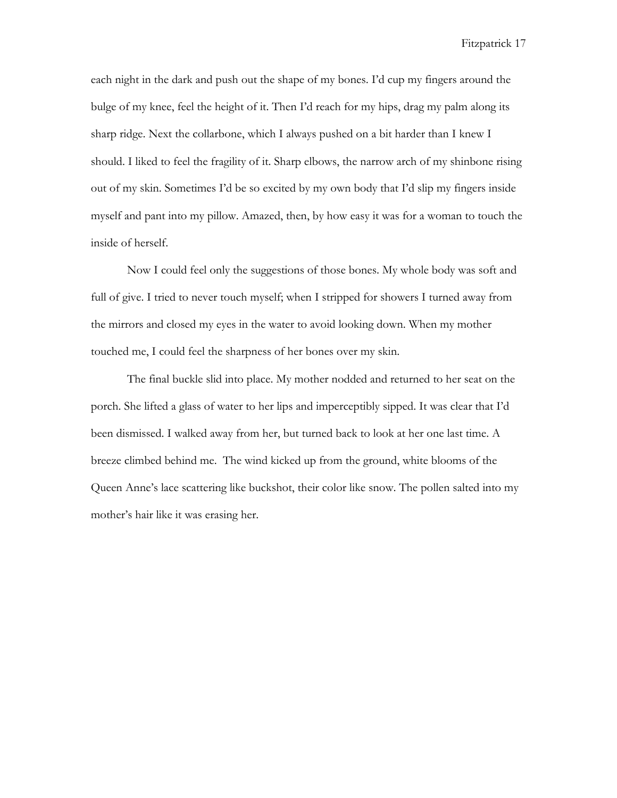each night in the dark and push out the shape of my bones. I'd cup my fingers around the bulge of my knee, feel the height of it. Then I'd reach for my hips, drag my palm along its sharp ridge. Next the collarbone, which I always pushed on a bit harder than I knew I should. I liked to feel the fragility of it. Sharp elbows, the narrow arch of my shinbone rising out of my skin. Sometimes I'd be so excited by my own body that I'd slip my fingers inside myself and pant into my pillow. Amazed, then, by how easy it was for a woman to touch the inside of herself.

Now I could feel only the suggestions of those bones. My whole body was soft and full of give. I tried to never touch myself; when I stripped for showers I turned away from the mirrors and closed my eyes in the water to avoid looking down. When my mother touched me, I could feel the sharpness of her bones over my skin.

The final buckle slid into place. My mother nodded and returned to her seat on the porch. She lifted a glass of water to her lips and imperceptibly sipped. It was clear that I'd been dismissed. I walked away from her, but turned back to look at her one last time. A breeze climbed behind me. The wind kicked up from the ground, white blooms of the Queen Anne's lace scattering like buckshot, their color like snow. The pollen salted into my mother's hair like it was erasing her.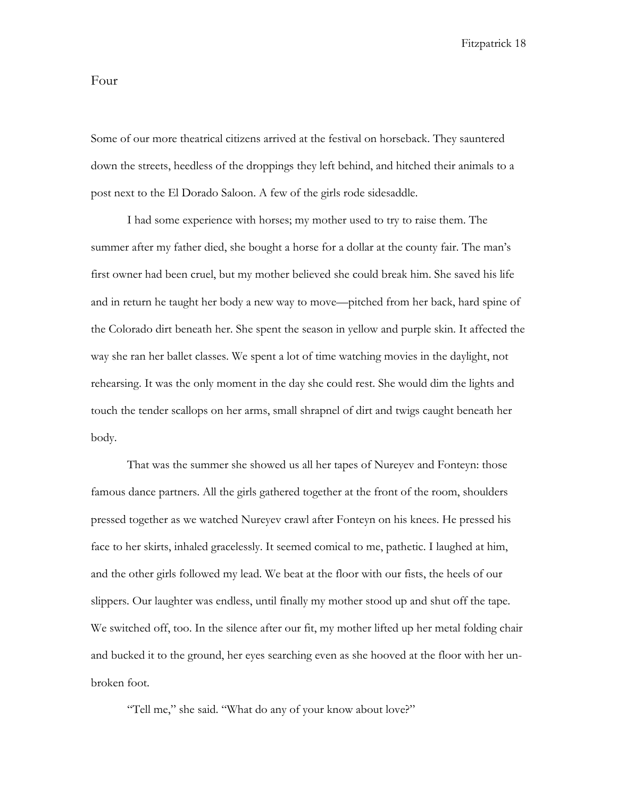#### Four

Some of our more theatrical citizens arrived at the festival on horseback. They sauntered down the streets, heedless of the droppings they left behind, and hitched their animals to a post next to the El Dorado Saloon. A few of the girls rode sidesaddle.

I had some experience with horses; my mother used to try to raise them. The summer after my father died, she bought a horse for a dollar at the county fair. The man's first owner had been cruel, but my mother believed she could break him. She saved his life and in return he taught her body a new way to move—pitched from her back, hard spine of the Colorado dirt beneath her. She spent the season in yellow and purple skin. It affected the way she ran her ballet classes. We spent a lot of time watching movies in the daylight, not rehearsing. It was the only moment in the day she could rest. She would dim the lights and touch the tender scallops on her arms, small shrapnel of dirt and twigs caught beneath her body.

That was the summer she showed us all her tapes of Nureyev and Fonteyn: those famous dance partners. All the girls gathered together at the front of the room, shoulders pressed together as we watched Nureyev crawl after Fonteyn on his knees. He pressed his face to her skirts, inhaled gracelessly. It seemed comical to me, pathetic. I laughed at him, and the other girls followed my lead. We beat at the floor with our fists, the heels of our slippers. Our laughter was endless, until finally my mother stood up and shut off the tape. We switched off, too. In the silence after our fit, my mother lifted up her metal folding chair and bucked it to the ground, her eyes searching even as she hooved at the floor with her unbroken foot.

"Tell me," she said. "What do any of your know about love?"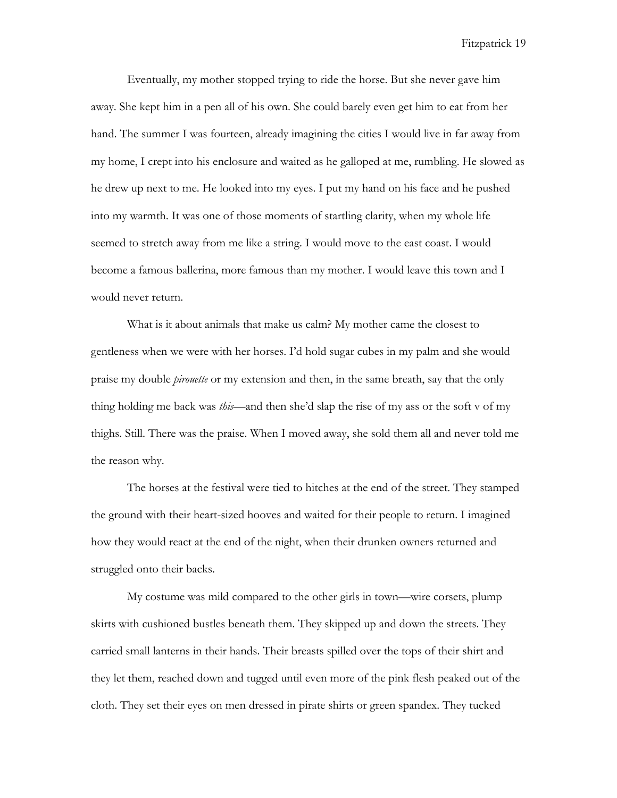Eventually, my mother stopped trying to ride the horse. But she never gave him away. She kept him in a pen all of his own. She could barely even get him to eat from her hand. The summer I was fourteen, already imagining the cities I would live in far away from my home, I crept into his enclosure and waited as he galloped at me, rumbling. He slowed as he drew up next to me. He looked into my eyes. I put my hand on his face and he pushed into my warmth. It was one of those moments of startling clarity, when my whole life seemed to stretch away from me like a string. I would move to the east coast. I would become a famous ballerina, more famous than my mother. I would leave this town and I would never return.

What is it about animals that make us calm? My mother came the closest to gentleness when we were with her horses. I'd hold sugar cubes in my palm and she would praise my double *pirouette* or my extension and then, in the same breath, say that the only thing holding me back was *this—*and then she'd slap the rise of my ass or the soft v of my thighs. Still. There was the praise. When I moved away, she sold them all and never told me the reason why.

The horses at the festival were tied to hitches at the end of the street. They stamped the ground with their heart-sized hooves and waited for their people to return. I imagined how they would react at the end of the night, when their drunken owners returned and struggled onto their backs.

My costume was mild compared to the other girls in town—wire corsets, plump skirts with cushioned bustles beneath them. They skipped up and down the streets. They carried small lanterns in their hands. Their breasts spilled over the tops of their shirt and they let them, reached down and tugged until even more of the pink flesh peaked out of the cloth. They set their eyes on men dressed in pirate shirts or green spandex. They tucked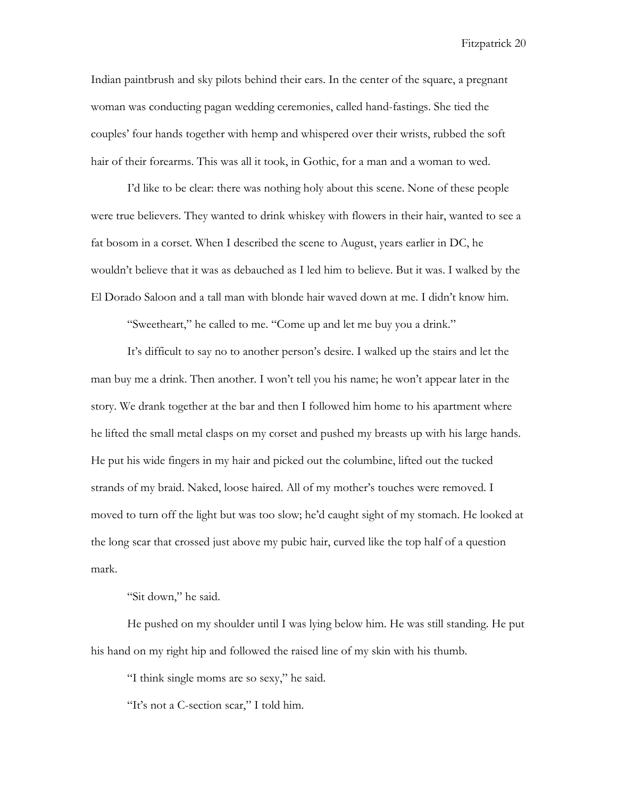Indian paintbrush and sky pilots behind their ears. In the center of the square, a pregnant woman was conducting pagan wedding ceremonies, called hand-fastings. She tied the couples' four hands together with hemp and whispered over their wrists, rubbed the soft hair of their forearms. This was all it took, in Gothic, for a man and a woman to wed.

I'd like to be clear: there was nothing holy about this scene. None of these people were true believers. They wanted to drink whiskey with flowers in their hair, wanted to see a fat bosom in a corset. When I described the scene to August, years earlier in DC, he wouldn't believe that it was as debauched as I led him to believe. But it was. I walked by the El Dorado Saloon and a tall man with blonde hair waved down at me. I didn't know him.

"Sweetheart," he called to me. "Come up and let me buy you a drink."

It's difficult to say no to another person's desire. I walked up the stairs and let the man buy me a drink. Then another. I won't tell you his name; he won't appear later in the story. We drank together at the bar and then I followed him home to his apartment where he lifted the small metal clasps on my corset and pushed my breasts up with his large hands. He put his wide fingers in my hair and picked out the columbine, lifted out the tucked strands of my braid. Naked, loose haired. All of my mother's touches were removed. I moved to turn off the light but was too slow; he'd caught sight of my stomach. He looked at the long scar that crossed just above my pubic hair, curved like the top half of a question mark.

"Sit down," he said.

He pushed on my shoulder until I was lying below him. He was still standing. He put his hand on my right hip and followed the raised line of my skin with his thumb.

"I think single moms are so sexy," he said.

"It's not a C-section scar," I told him.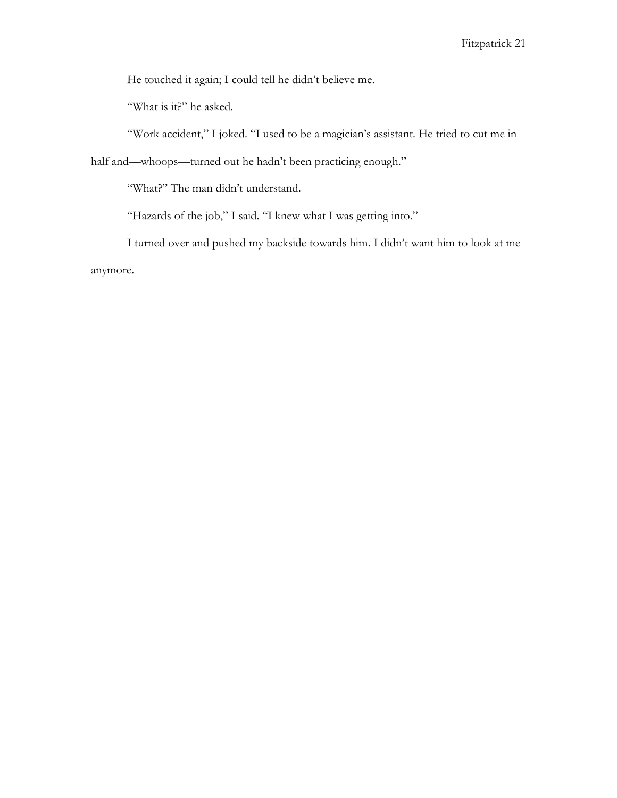He touched it again; I could tell he didn't believe me.

"What is it?" he asked.

"Work accident," I joked. "I used to be a magician's assistant. He tried to cut me in

half and—whoops—turned out he hadn't been practicing enough."

"What?" The man didn't understand.

"Hazards of the job," I said. "I knew what I was getting into."

I turned over and pushed my backside towards him. I didn't want him to look at me anymore.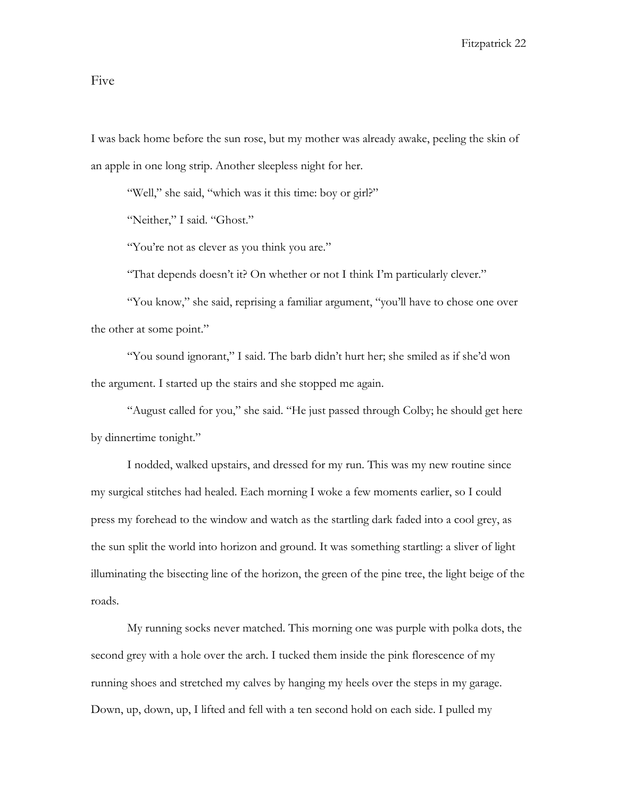### Five

I was back home before the sun rose, but my mother was already awake, peeling the skin of an apple in one long strip. Another sleepless night for her.

"Well," she said, "which was it this time: boy or girl?"

"Neither," I said. "Ghost."

"You're not as clever as you think you are."

"That depends doesn't it? On whether or not I think I'm particularly clever."

"You know," she said, reprising a familiar argument, "you'll have to chose one over the other at some point."

"You sound ignorant," I said. The barb didn't hurt her; she smiled as if she'd won the argument. I started up the stairs and she stopped me again.

"August called for you," she said. "He just passed through Colby; he should get here by dinnertime tonight."

I nodded, walked upstairs, and dressed for my run. This was my new routine since my surgical stitches had healed. Each morning I woke a few moments earlier, so I could press my forehead to the window and watch as the startling dark faded into a cool grey, as the sun split the world into horizon and ground. It was something startling: a sliver of light illuminating the bisecting line of the horizon, the green of the pine tree, the light beige of the roads.

My running socks never matched. This morning one was purple with polka dots, the second grey with a hole over the arch. I tucked them inside the pink florescence of my running shoes and stretched my calves by hanging my heels over the steps in my garage. Down, up, down, up, I lifted and fell with a ten second hold on each side. I pulled my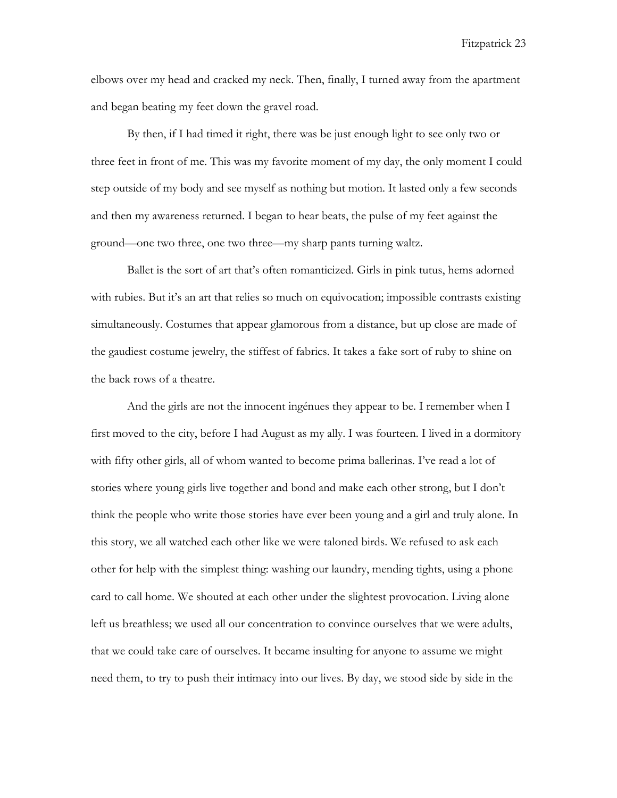elbows over my head and cracked my neck. Then, finally, I turned away from the apartment and began beating my feet down the gravel road.

By then, if I had timed it right, there was be just enough light to see only two or three feet in front of me. This was my favorite moment of my day, the only moment I could step outside of my body and see myself as nothing but motion. It lasted only a few seconds and then my awareness returned. I began to hear beats, the pulse of my feet against the ground—one two three, one two three—my sharp pants turning waltz.

Ballet is the sort of art that's often romanticized. Girls in pink tutus, hems adorned with rubies. But it's an art that relies so much on equivocation; impossible contrasts existing simultaneously. Costumes that appear glamorous from a distance, but up close are made of the gaudiest costume jewelry, the stiffest of fabrics. It takes a fake sort of ruby to shine on the back rows of a theatre.

And the girls are not the innocent ingénues they appear to be. I remember when I first moved to the city, before I had August as my ally. I was fourteen. I lived in a dormitory with fifty other girls, all of whom wanted to become prima ballerinas. I've read a lot of stories where young girls live together and bond and make each other strong, but I don't think the people who write those stories have ever been young and a girl and truly alone. In this story, we all watched each other like we were taloned birds. We refused to ask each other for help with the simplest thing: washing our laundry, mending tights, using a phone card to call home. We shouted at each other under the slightest provocation. Living alone left us breathless; we used all our concentration to convince ourselves that we were adults, that we could take care of ourselves. It became insulting for anyone to assume we might need them, to try to push their intimacy into our lives. By day, we stood side by side in the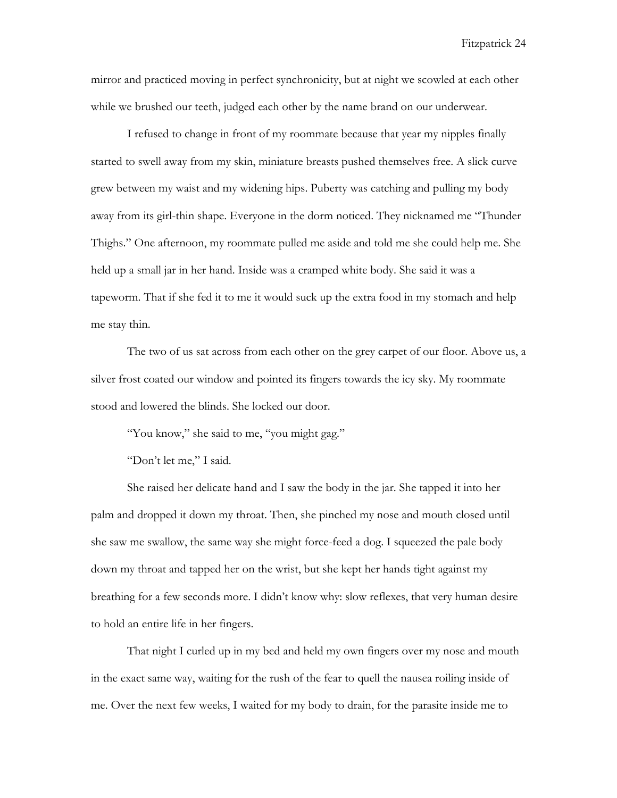mirror and practiced moving in perfect synchronicity, but at night we scowled at each other while we brushed our teeth, judged each other by the name brand on our underwear.

I refused to change in front of my roommate because that year my nipples finally started to swell away from my skin, miniature breasts pushed themselves free. A slick curve grew between my waist and my widening hips. Puberty was catching and pulling my body away from its girl-thin shape. Everyone in the dorm noticed. They nicknamed me "Thunder Thighs." One afternoon, my roommate pulled me aside and told me she could help me. She held up a small jar in her hand. Inside was a cramped white body. She said it was a tapeworm. That if she fed it to me it would suck up the extra food in my stomach and help me stay thin.

The two of us sat across from each other on the grey carpet of our floor. Above us, a silver frost coated our window and pointed its fingers towards the icy sky. My roommate stood and lowered the blinds. She locked our door.

"You know," she said to me, "you might gag."

"Don't let me," I said.

She raised her delicate hand and I saw the body in the jar. She tapped it into her palm and dropped it down my throat. Then, she pinched my nose and mouth closed until she saw me swallow, the same way she might force-feed a dog. I squeezed the pale body down my throat and tapped her on the wrist, but she kept her hands tight against my breathing for a few seconds more. I didn't know why: slow reflexes, that very human desire to hold an entire life in her fingers.

That night I curled up in my bed and held my own fingers over my nose and mouth in the exact same way, waiting for the rush of the fear to quell the nausea roiling inside of me. Over the next few weeks, I waited for my body to drain, for the parasite inside me to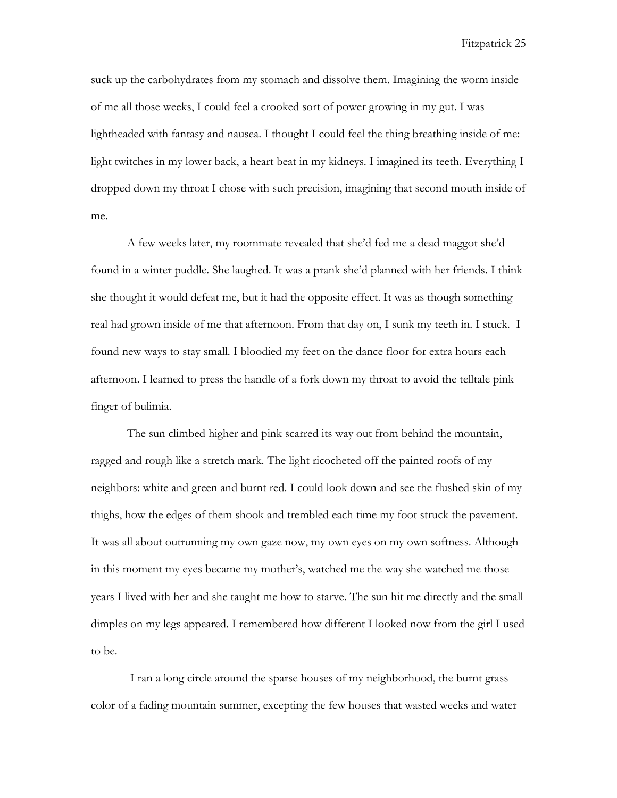suck up the carbohydrates from my stomach and dissolve them. Imagining the worm inside of me all those weeks, I could feel a crooked sort of power growing in my gut. I was lightheaded with fantasy and nausea. I thought I could feel the thing breathing inside of me: light twitches in my lower back, a heart beat in my kidneys. I imagined its teeth. Everything I dropped down my throat I chose with such precision, imagining that second mouth inside of me.

A few weeks later, my roommate revealed that she'd fed me a dead maggot she'd found in a winter puddle. She laughed. It was a prank she'd planned with her friends. I think she thought it would defeat me, but it had the opposite effect. It was as though something real had grown inside of me that afternoon. From that day on, I sunk my teeth in. I stuck. I found new ways to stay small. I bloodied my feet on the dance floor for extra hours each afternoon. I learned to press the handle of a fork down my throat to avoid the telltale pink finger of bulimia.

The sun climbed higher and pink scarred its way out from behind the mountain, ragged and rough like a stretch mark. The light ricocheted off the painted roofs of my neighbors: white and green and burnt red. I could look down and see the flushed skin of my thighs, how the edges of them shook and trembled each time my foot struck the pavement. It was all about outrunning my own gaze now, my own eyes on my own softness. Although in this moment my eyes became my mother's, watched me the way she watched me those years I lived with her and she taught me how to starve. The sun hit me directly and the small dimples on my legs appeared. I remembered how different I looked now from the girl I used to be.

I ran a long circle around the sparse houses of my neighborhood, the burnt grass color of a fading mountain summer, excepting the few houses that wasted weeks and water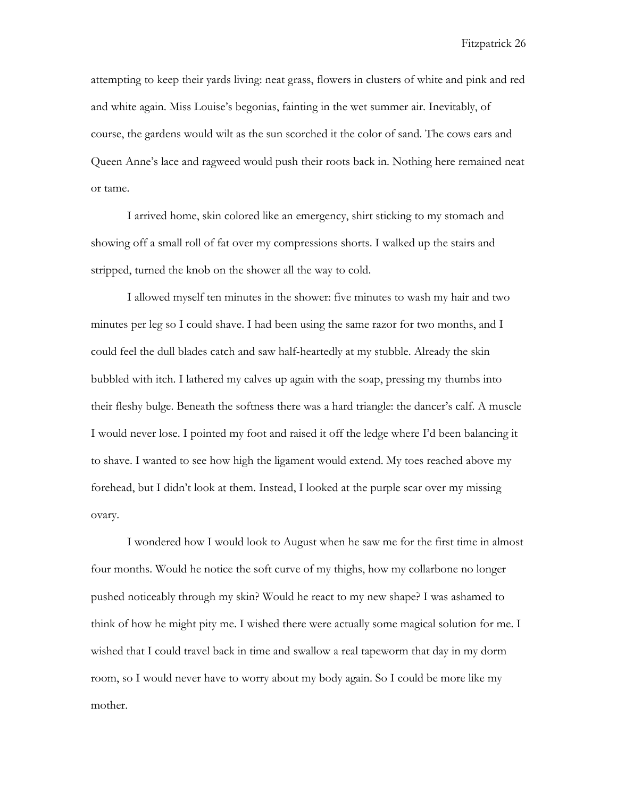attempting to keep their yards living: neat grass, flowers in clusters of white and pink and red and white again. Miss Louise's begonias, fainting in the wet summer air. Inevitably, of course, the gardens would wilt as the sun scorched it the color of sand. The cows ears and Queen Anne's lace and ragweed would push their roots back in. Nothing here remained neat or tame.

I arrived home, skin colored like an emergency, shirt sticking to my stomach and showing off a small roll of fat over my compressions shorts. I walked up the stairs and stripped, turned the knob on the shower all the way to cold.

I allowed myself ten minutes in the shower: five minutes to wash my hair and two minutes per leg so I could shave. I had been using the same razor for two months, and I could feel the dull blades catch and saw half-heartedly at my stubble. Already the skin bubbled with itch. I lathered my calves up again with the soap, pressing my thumbs into their fleshy bulge. Beneath the softness there was a hard triangle: the dancer's calf. A muscle I would never lose. I pointed my foot and raised it off the ledge where I'd been balancing it to shave. I wanted to see how high the ligament would extend. My toes reached above my forehead, but I didn't look at them. Instead, I looked at the purple scar over my missing ovary.

I wondered how I would look to August when he saw me for the first time in almost four months. Would he notice the soft curve of my thighs, how my collarbone no longer pushed noticeably through my skin? Would he react to my new shape? I was ashamed to think of how he might pity me. I wished there were actually some magical solution for me. I wished that I could travel back in time and swallow a real tapeworm that day in my dorm room, so I would never have to worry about my body again. So I could be more like my mother.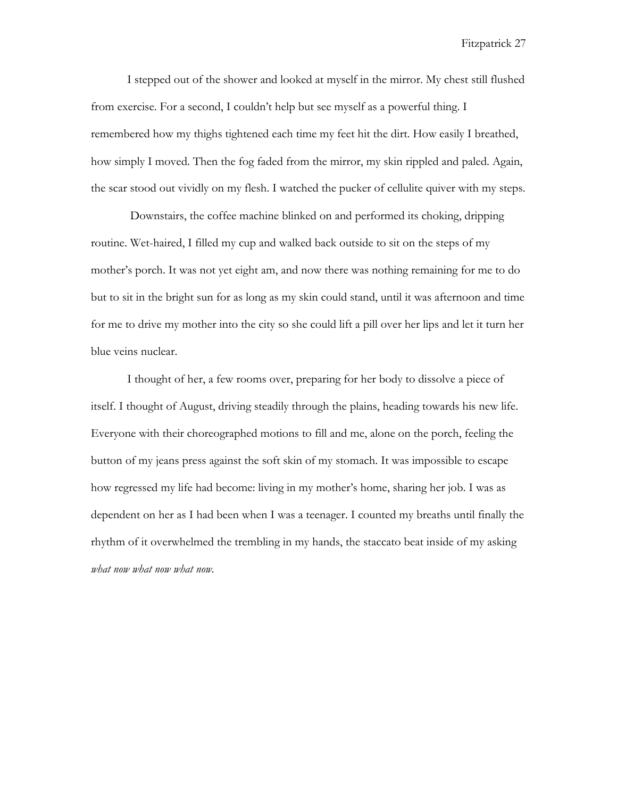I stepped out of the shower and looked at myself in the mirror. My chest still flushed from exercise. For a second, I couldn't help but see myself as a powerful thing. I remembered how my thighs tightened each time my feet hit the dirt. How easily I breathed, how simply I moved. Then the fog faded from the mirror, my skin rippled and paled. Again, the scar stood out vividly on my flesh. I watched the pucker of cellulite quiver with my steps.

Downstairs, the coffee machine blinked on and performed its choking, dripping routine. Wet-haired, I filled my cup and walked back outside to sit on the steps of my mother's porch. It was not yet eight am, and now there was nothing remaining for me to do but to sit in the bright sun for as long as my skin could stand, until it was afternoon and time for me to drive my mother into the city so she could lift a pill over her lips and let it turn her blue veins nuclear.

I thought of her, a few rooms over, preparing for her body to dissolve a piece of itself. I thought of August, driving steadily through the plains, heading towards his new life. Everyone with their choreographed motions to fill and me, alone on the porch, feeling the button of my jeans press against the soft skin of my stomach. It was impossible to escape how regressed my life had become: living in my mother's home, sharing her job. I was as dependent on her as I had been when I was a teenager. I counted my breaths until finally the rhythm of it overwhelmed the trembling in my hands, the staccato beat inside of my asking *what now what now what now.*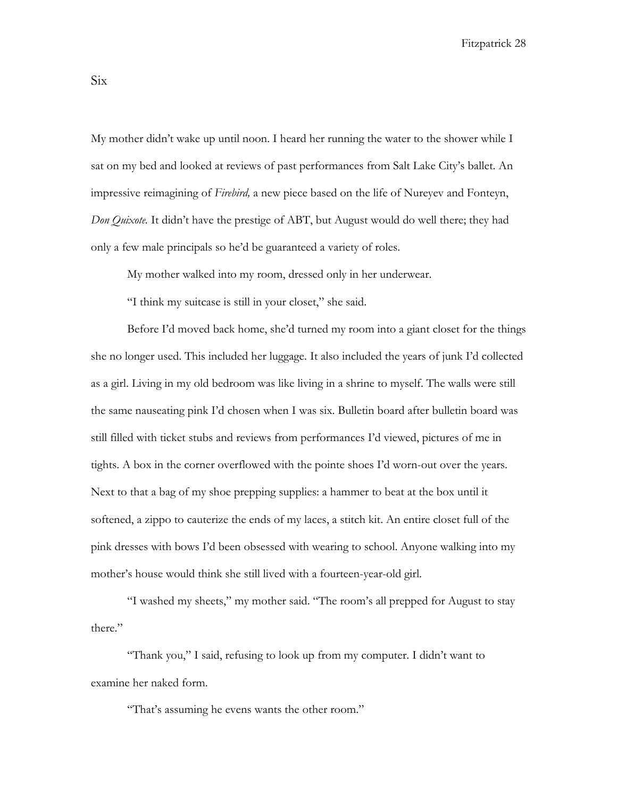My mother didn't wake up until noon. I heard her running the water to the shower while I sat on my bed and looked at reviews of past performances from Salt Lake City's ballet. An impressive reimagining of *Firebird,* a new piece based on the life of Nureyev and Fonteyn, *Don Quixote.* It didn't have the prestige of ABT, but August would do well there; they had only a few male principals so he'd be guaranteed a variety of roles.

My mother walked into my room, dressed only in her underwear.

"I think my suitcase is still in your closet," she said.

Before I'd moved back home, she'd turned my room into a giant closet for the things she no longer used. This included her luggage. It also included the years of junk I'd collected as a girl. Living in my old bedroom was like living in a shrine to myself. The walls were still the same nauseating pink I'd chosen when I was six. Bulletin board after bulletin board was still filled with ticket stubs and reviews from performances I'd viewed, pictures of me in tights. A box in the corner overflowed with the pointe shoes I'd worn-out over the years. Next to that a bag of my shoe prepping supplies: a hammer to beat at the box until it softened, a zippo to cauterize the ends of my laces, a stitch kit. An entire closet full of the pink dresses with bows I'd been obsessed with wearing to school. Anyone walking into my mother's house would think she still lived with a fourteen-year-old girl.

"I washed my sheets," my mother said. "The room's all prepped for August to stay there."

"Thank you," I said, refusing to look up from my computer. I didn't want to examine her naked form.

"That's assuming he evens wants the other room."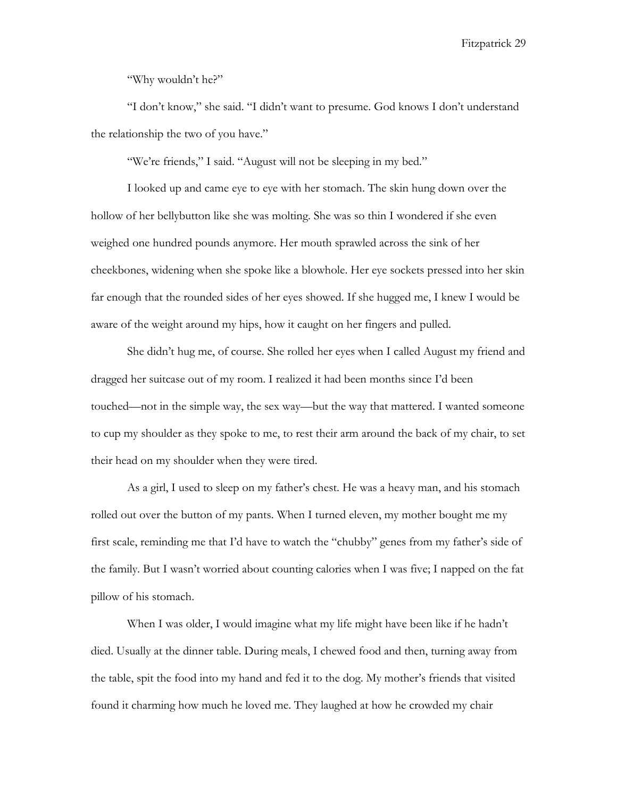"Why wouldn't he?"

"I don't know," she said. "I didn't want to presume. God knows I don't understand the relationship the two of you have."

"We're friends," I said. "August will not be sleeping in my bed."

I looked up and came eye to eye with her stomach. The skin hung down over the hollow of her bellybutton like she was molting. She was so thin I wondered if she even weighed one hundred pounds anymore. Her mouth sprawled across the sink of her cheekbones, widening when she spoke like a blowhole. Her eye sockets pressed into her skin far enough that the rounded sides of her eyes showed. If she hugged me, I knew I would be aware of the weight around my hips, how it caught on her fingers and pulled.

She didn't hug me, of course. She rolled her eyes when I called August my friend and dragged her suitcase out of my room. I realized it had been months since I'd been touched—not in the simple way, the sex way—but the way that mattered. I wanted someone to cup my shoulder as they spoke to me, to rest their arm around the back of my chair, to set their head on my shoulder when they were tired.

As a girl, I used to sleep on my father's chest. He was a heavy man, and his stomach rolled out over the button of my pants. When I turned eleven, my mother bought me my first scale, reminding me that I'd have to watch the "chubby" genes from my father's side of the family. But I wasn't worried about counting calories when I was five; I napped on the fat pillow of his stomach.

When I was older, I would imagine what my life might have been like if he hadn't died. Usually at the dinner table. During meals, I chewed food and then, turning away from the table, spit the food into my hand and fed it to the dog. My mother's friends that visited found it charming how much he loved me. They laughed at how he crowded my chair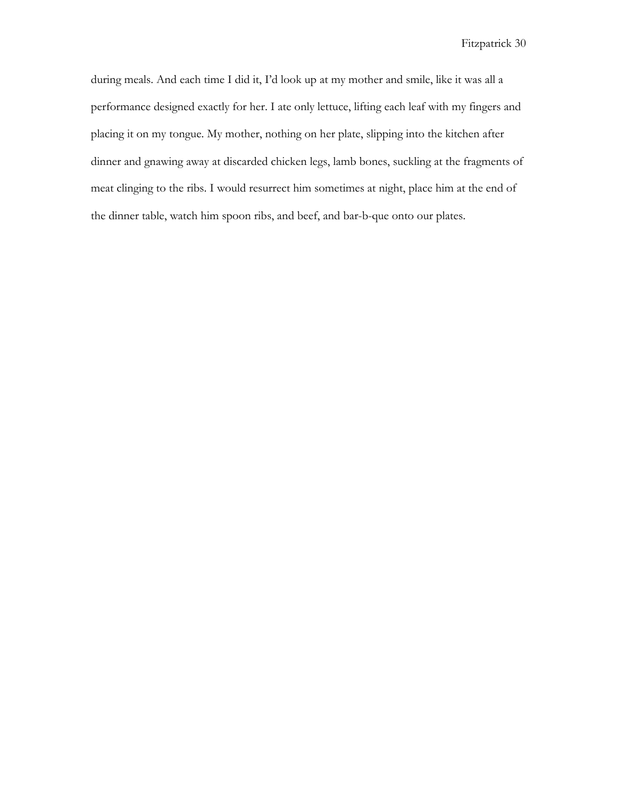during meals. And each time I did it, I'd look up at my mother and smile, like it was all a performance designed exactly for her. I ate only lettuce, lifting each leaf with my fingers and placing it on my tongue. My mother, nothing on her plate, slipping into the kitchen after dinner and gnawing away at discarded chicken legs, lamb bones, suckling at the fragments of meat clinging to the ribs. I would resurrect him sometimes at night, place him at the end of the dinner table, watch him spoon ribs, and beef, and bar-b-que onto our plates.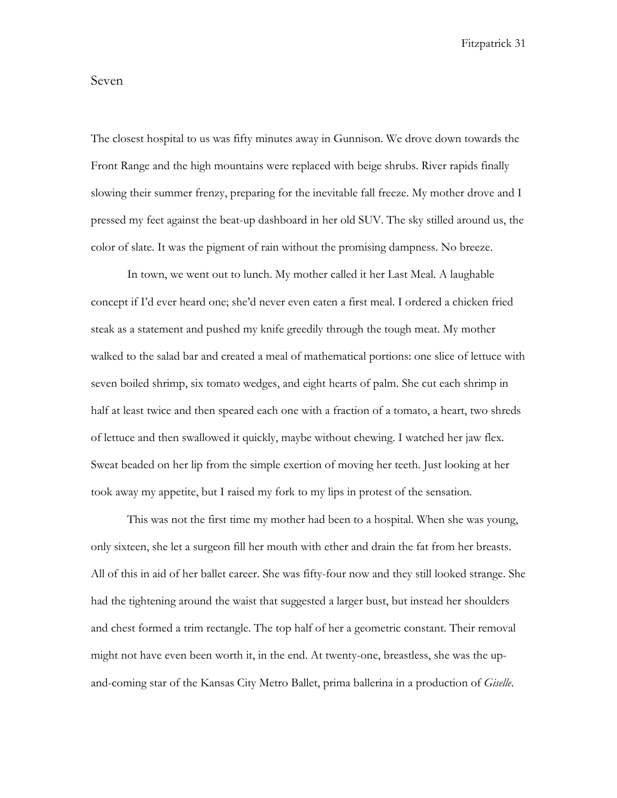# Seven

The closest hospital to us was fifty minutes away in Gunnison. We drove down towards the Front Range and the high mountains were replaced with beige shrubs. River rapids finally slowing their summer frenzy, preparing for the inevitable fall freeze. My mother drove and I pressed my feet against the beat-up dashboard in her old SUV. The sky stilled around us, the color of slate. It was the pigment of rain without the promising dampness. No breeze.

In town, we went out to lunch. My mother called it her Last Meal. A laughable concept if I'd ever heard one; she'd never even eaten a first meal. I ordered a chicken fried steak as a statement and pushed my knife greedily through the tough meat. My mother walked to the salad bar and created a meal of mathematical portions: one slice of lettuce with seven boiled shrimp, six tomato wedges, and eight hearts of palm. She cut each shrimp in half at least twice and then speared each one with a fraction of a tomato, a heart, two shreds of lettuce and then swallowed it quickly, maybe without chewing. I watched her jaw flex. Sweat beaded on her lip from the simple exertion of moving her teeth. Just looking at her took away my appetite, but I raised my fork to my lips in protest of the sensation.

This was not the first time my mother had been to a hospital. When she was young, only sixteen, she let a surgeon fill her mouth with ether and drain the fat from her breasts. All of this in aid of her ballet career. She was fifty-four now and they still looked strange. She had the tightening around the waist that suggested a larger bust, but instead her shoulders and chest formed a trim rectangle. The top half of her a geometric constant. Their removal might not have even been worth it, in the end. At twenty-one, breastless, she was the upand-coming star of the Kansas City Metro Ballet, prima ballerina in a production of *Giselle*.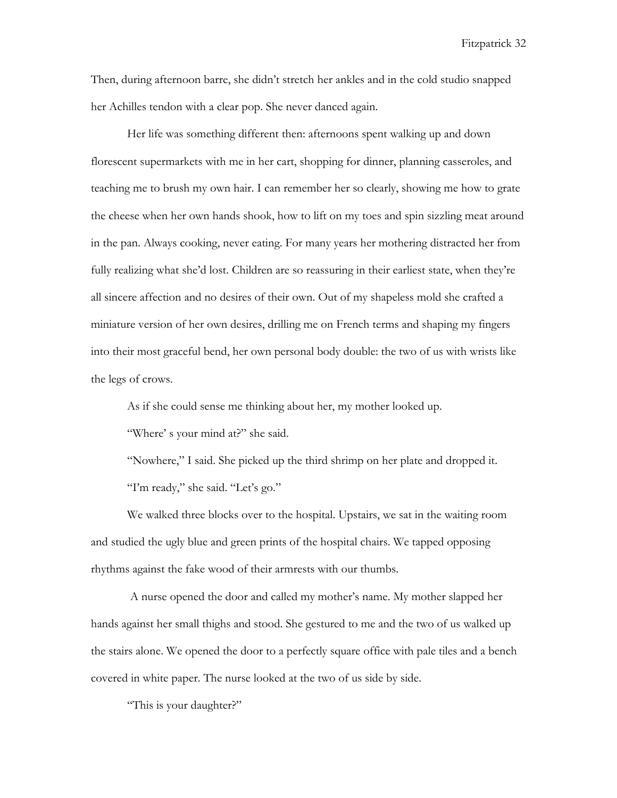Then, during afternoon barre, she didn't stretch her ankles and in the cold studio snapped her Achilles tendon with a clear pop. She never danced again.

Her life was something different then: afternoons spent walking up and down florescent supermarkets with me in her cart, shopping for dinner, planning casseroles, and teaching me to brush my own hair. I can remember her so clearly, showing me how to grate the cheese when her own hands shook, how to lift on my toes and spin sizzling meat around in the pan. Always cooking, never eating. For many years her mothering distracted her from fully realizing what she'd lost. Children are so reassuring in their earliest state, when they're all sincere affection and no desires of their own. Out of my shapeless mold she crafted a miniature version of her own desires, drilling me on French terms and shaping my fingers into their most graceful bend, her own personal body double: the two of us with wrists like the legs of crows.

As if she could sense me thinking about her, my mother looked up.

"Where' s your mind at?" she said.

"Nowhere," I said. She picked up the third shrimp on her plate and dropped it. "I'm ready," she said. "Let's go."

We walked three blocks over to the hospital. Upstairs, we sat in the waiting room and studied the ugly blue and green prints of the hospital chairs. We tapped opposing rhythms against the fake wood of their armrests with our thumbs.

A nurse opened the door and called my mother's name. My mother slapped her hands against her small thighs and stood. She gestured to me and the two of us walked up the stairs alone. We opened the door to a perfectly square office with pale tiles and a bench covered in white paper. The nurse looked at the two of us side by side.

"This is your daughter?"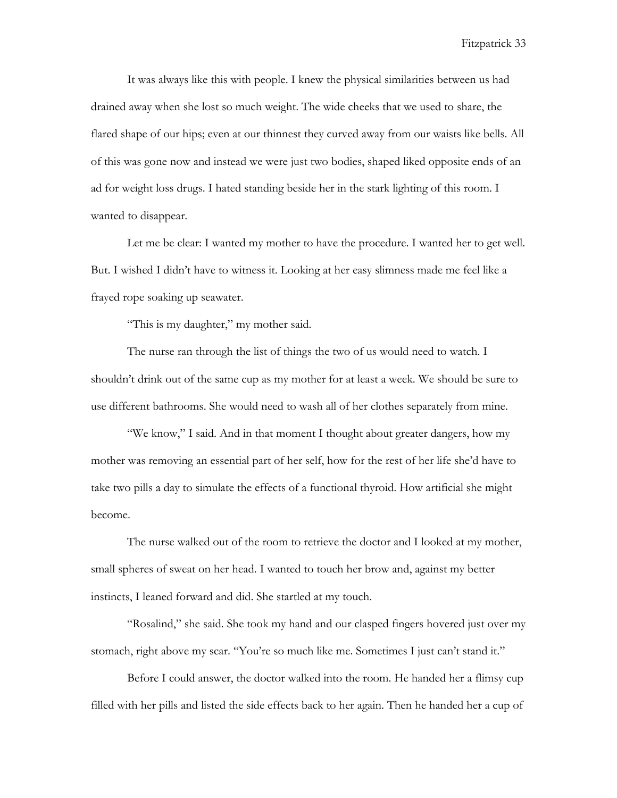It was always like this with people. I knew the physical similarities between us had drained away when she lost so much weight. The wide cheeks that we used to share, the flared shape of our hips; even at our thinnest they curved away from our waists like bells. All of this was gone now and instead we were just two bodies, shaped liked opposite ends of an ad for weight loss drugs. I hated standing beside her in the stark lighting of this room. I wanted to disappear.

Let me be clear: I wanted my mother to have the procedure. I wanted her to get well. But. I wished I didn't have to witness it. Looking at her easy slimness made me feel like a frayed rope soaking up seawater.

"This is my daughter," my mother said.

The nurse ran through the list of things the two of us would need to watch. I shouldn't drink out of the same cup as my mother for at least a week. We should be sure to use different bathrooms. She would need to wash all of her clothes separately from mine.

"We know," I said. And in that moment I thought about greater dangers, how my mother was removing an essential part of her self, how for the rest of her life she'd have to take two pills a day to simulate the effects of a functional thyroid. How artificial she might become.

The nurse walked out of the room to retrieve the doctor and I looked at my mother, small spheres of sweat on her head. I wanted to touch her brow and, against my better instincts, I leaned forward and did. She startled at my touch.

"Rosalind," she said. She took my hand and our clasped fingers hovered just over my stomach, right above my scar. "You're so much like me. Sometimes I just can't stand it."

Before I could answer, the doctor walked into the room. He handed her a flimsy cup filled with her pills and listed the side effects back to her again. Then he handed her a cup of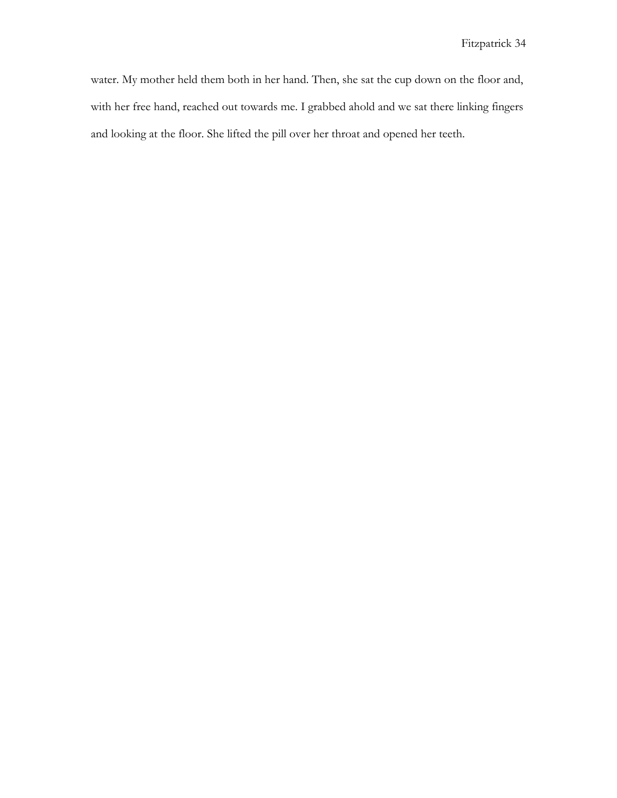water. My mother held them both in her hand. Then, she sat the cup down on the floor and, with her free hand, reached out towards me. I grabbed ahold and we sat there linking fingers and looking at the floor. She lifted the pill over her throat and opened her teeth.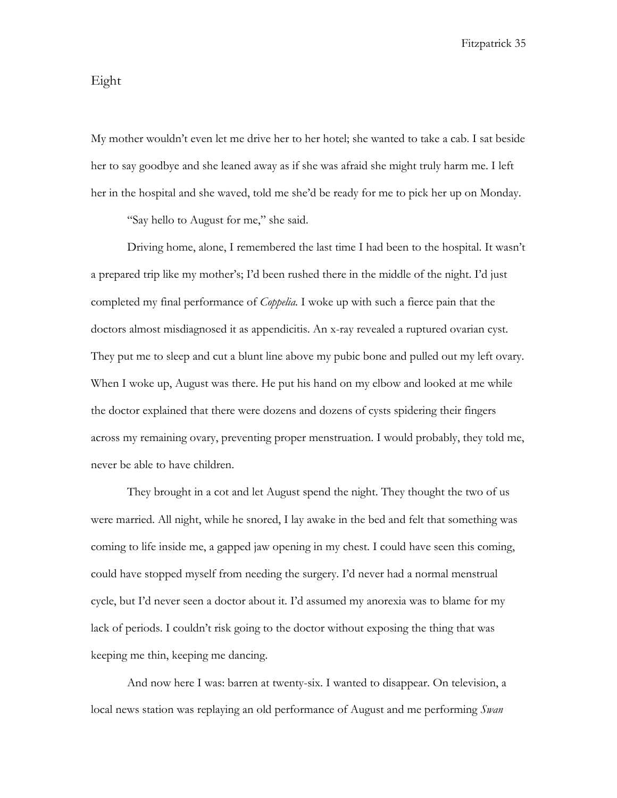### Eight

My mother wouldn't even let me drive her to her hotel; she wanted to take a cab. I sat beside her to say goodbye and she leaned away as if she was afraid she might truly harm me. I left her in the hospital and she waved, told me she'd be ready for me to pick her up on Monday.

"Say hello to August for me," she said.

Driving home, alone, I remembered the last time I had been to the hospital. It wasn't a prepared trip like my mother's; I'd been rushed there in the middle of the night. I'd just completed my final performance of *Coppelia.* I woke up with such a fierce pain that the doctors almost misdiagnosed it as appendicitis. An x-ray revealed a ruptured ovarian cyst. They put me to sleep and cut a blunt line above my pubic bone and pulled out my left ovary. When I woke up, August was there. He put his hand on my elbow and looked at me while the doctor explained that there were dozens and dozens of cysts spidering their fingers across my remaining ovary, preventing proper menstruation. I would probably, they told me, never be able to have children.

They brought in a cot and let August spend the night. They thought the two of us were married. All night, while he snored, I lay awake in the bed and felt that something was coming to life inside me, a gapped jaw opening in my chest. I could have seen this coming, could have stopped myself from needing the surgery. I'd never had a normal menstrual cycle, but I'd never seen a doctor about it. I'd assumed my anorexia was to blame for my lack of periods. I couldn't risk going to the doctor without exposing the thing that was keeping me thin, keeping me dancing.

And now here I was: barren at twenty-six. I wanted to disappear. On television, a local news station was replaying an old performance of August and me performing *Swan*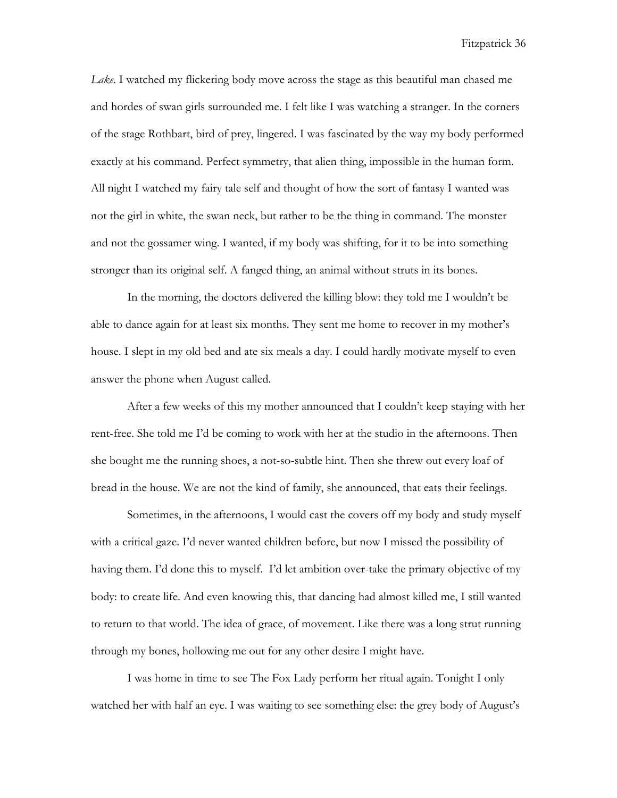*Lake*. I watched my flickering body move across the stage as this beautiful man chased me and hordes of swan girls surrounded me. I felt like I was watching a stranger. In the corners of the stage Rothbart, bird of prey, lingered. I was fascinated by the way my body performed exactly at his command. Perfect symmetry, that alien thing, impossible in the human form. All night I watched my fairy tale self and thought of how the sort of fantasy I wanted was not the girl in white, the swan neck, but rather to be the thing in command. The monster and not the gossamer wing. I wanted, if my body was shifting, for it to be into something stronger than its original self. A fanged thing, an animal without struts in its bones.

In the morning, the doctors delivered the killing blow: they told me I wouldn't be able to dance again for at least six months. They sent me home to recover in my mother's house. I slept in my old bed and ate six meals a day. I could hardly motivate myself to even answer the phone when August called.

After a few weeks of this my mother announced that I couldn't keep staying with her rent-free. She told me I'd be coming to work with her at the studio in the afternoons. Then she bought me the running shoes, a not-so-subtle hint. Then she threw out every loaf of bread in the house. We are not the kind of family, she announced, that eats their feelings.

Sometimes, in the afternoons, I would cast the covers off my body and study myself with a critical gaze. I'd never wanted children before, but now I missed the possibility of having them. I'd done this to myself. I'd let ambition over-take the primary objective of my body: to create life. And even knowing this, that dancing had almost killed me, I still wanted to return to that world. The idea of grace, of movement. Like there was a long strut running through my bones, hollowing me out for any other desire I might have.

I was home in time to see The Fox Lady perform her ritual again. Tonight I only watched her with half an eye. I was waiting to see something else: the grey body of August's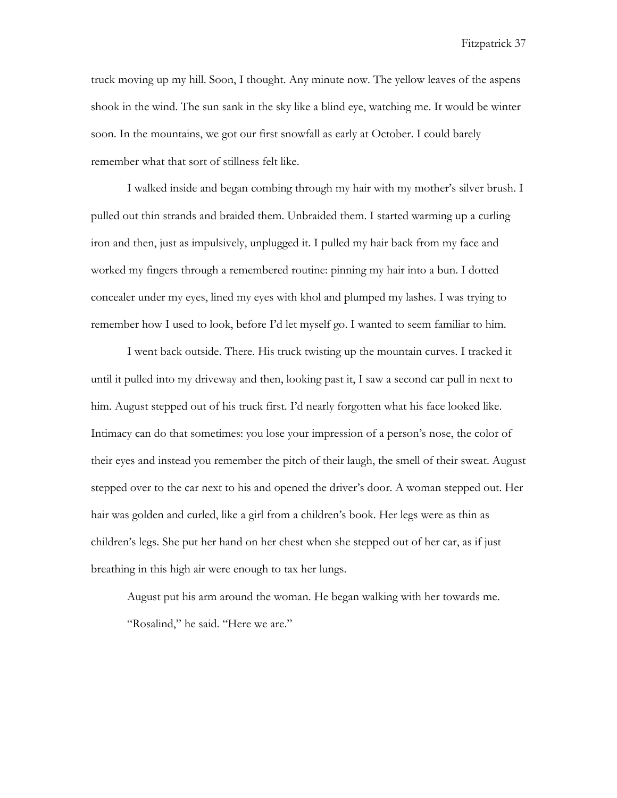truck moving up my hill. Soon, I thought. Any minute now. The yellow leaves of the aspens shook in the wind. The sun sank in the sky like a blind eye, watching me. It would be winter soon. In the mountains, we got our first snowfall as early at October. I could barely remember what that sort of stillness felt like.

I walked inside and began combing through my hair with my mother's silver brush. I pulled out thin strands and braided them. Unbraided them. I started warming up a curling iron and then, just as impulsively, unplugged it. I pulled my hair back from my face and worked my fingers through a remembered routine: pinning my hair into a bun. I dotted concealer under my eyes, lined my eyes with khol and plumped my lashes. I was trying to remember how I used to look, before I'd let myself go. I wanted to seem familiar to him.

I went back outside. There. His truck twisting up the mountain curves. I tracked it until it pulled into my driveway and then, looking past it, I saw a second car pull in next to him. August stepped out of his truck first. I'd nearly forgotten what his face looked like. Intimacy can do that sometimes: you lose your impression of a person's nose, the color of their eyes and instead you remember the pitch of their laugh, the smell of their sweat. August stepped over to the car next to his and opened the driver's door. A woman stepped out. Her hair was golden and curled, like a girl from a children's book. Her legs were as thin as children's legs. She put her hand on her chest when she stepped out of her car, as if just breathing in this high air were enough to tax her lungs.

August put his arm around the woman. He began walking with her towards me. "Rosalind," he said. "Here we are."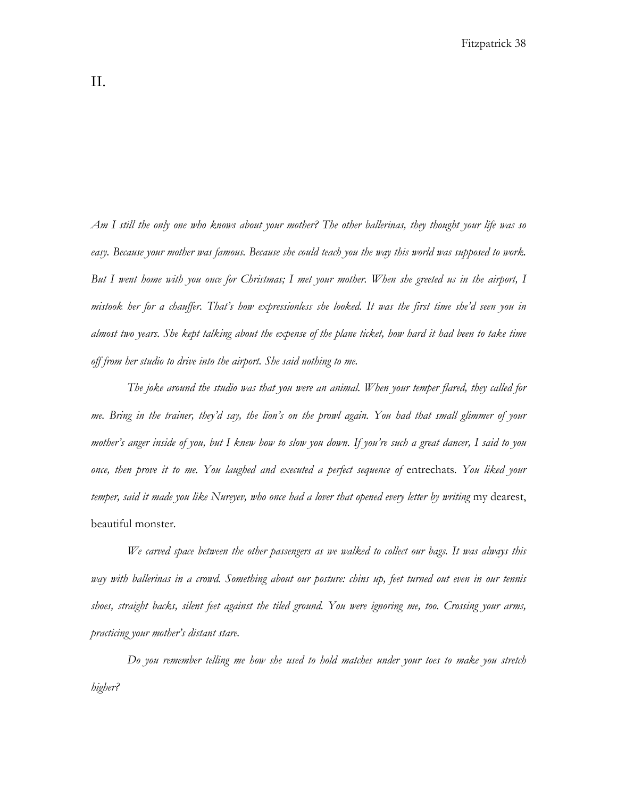*Am I still the only one who knows about your mother? The other ballerinas, they thought your life was so easy. Because your mother was famous. Because she could teach you the way this world was supposed to work. But I went home with you once for Christmas; I met your mother. When she greeted us in the airport, I mistook her for a chauffer. That's how expressionless she looked. It was the first time she'd seen you in almost two years. She kept talking about the expense of the plane ticket, how hard it had been to take time off from her studio to drive into the airport. She said nothing to me.* 

*The joke around the studio was that you were an animal. When your temper flared, they called for me. Bring in the trainer, they'd say, the lion's on the prowl again. You had that small glimmer of your mother's anger inside of you, but I knew how to slow you down. If you're such a great dancer, I said to you once, then prove it to me. You laughed and executed a perfect sequence of entrechats. You liked your temper, said it made you like Nureyev, who once had a lover that opened every letter by writing* my dearest, beautiful monster*.* 

*We carved space between the other passengers as we walked to collect our bags. It was always this way with ballerinas in a crowd. Something about our posture: chins up, feet turned out even in our tennis shoes, straight backs, silent feet against the tiled ground. You were ignoring me, too. Crossing your arms, practicing your mother's distant stare.* 

*Do you remember telling me how she used to hold matches under your toes to make you stretch higher?*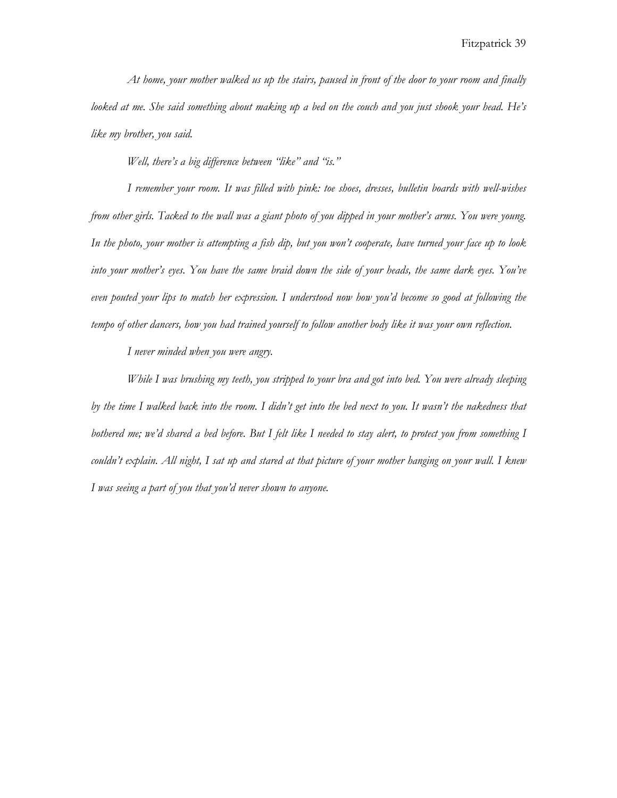*At home, your mother walked us up the stairs, paused in front of the door to your room and finally looked at me. She said something about making up a bed on the couch and you just shook your head. He's like my brother, you said.*

*Well, there's a big difference between "like" and "is."*

*I remember your room. It was filled with pink: toe shoes, dresses, bulletin boards with well-wishes from other girls. Tacked to the wall was a giant photo of you dipped in your mother's arms. You were young. In the photo, your mother is attempting a fish dip, but you won't cooperate, have turned your face up to look into your mother's eyes. You have the same braid down the side of your heads, the same dark eyes. You've even pouted your lips to match her expression. I understood now how you'd become so good at following the tempo of other dancers, how you had trained yourself to follow another body like it was your own reflection.*

*I never minded when you were angry.*

*While I was brushing my teeth, you stripped to your bra and got into bed. You were already sleeping*  by the time I walked back into the room. I didn't get into the bed next to you. It wasn't the nakedness that *bothered me; we'd shared a bed before. But I felt like I needed to stay alert, to protect you from something I couldn't explain. All night, I sat up and stared at that picture of your mother hanging on your wall. I knew I was seeing a part of you that you'd never shown to anyone.*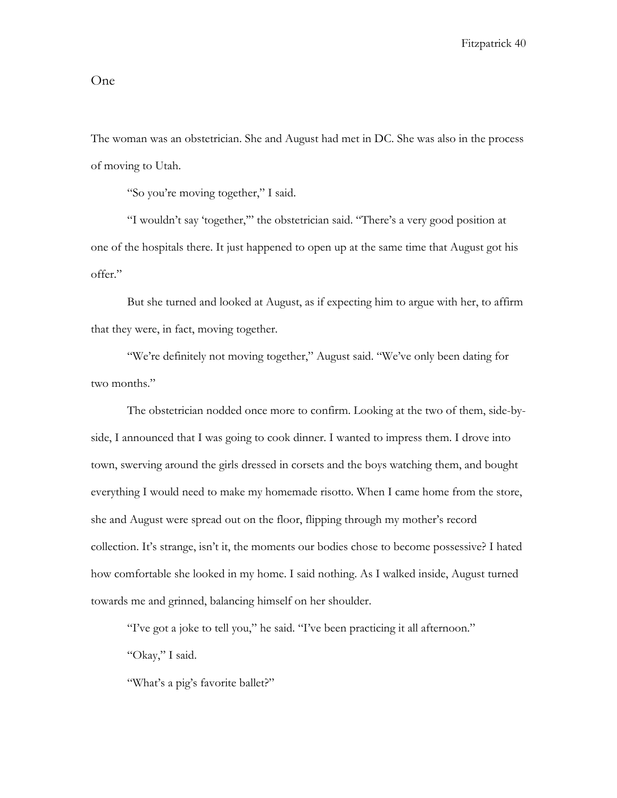## One

The woman was an obstetrician. She and August had met in DC. She was also in the process of moving to Utah.

"So you're moving together," I said.

"I wouldn't say 'together,'" the obstetrician said. "There's a very good position at one of the hospitals there. It just happened to open up at the same time that August got his offer."

But she turned and looked at August, as if expecting him to argue with her, to affirm that they were, in fact, moving together.

"We're definitely not moving together," August said. "We've only been dating for two months."

The obstetrician nodded once more to confirm. Looking at the two of them, side-byside, I announced that I was going to cook dinner. I wanted to impress them. I drove into town, swerving around the girls dressed in corsets and the boys watching them, and bought everything I would need to make my homemade risotto. When I came home from the store, she and August were spread out on the floor, flipping through my mother's record collection. It's strange, isn't it, the moments our bodies chose to become possessive? I hated how comfortable she looked in my home. I said nothing. As I walked inside, August turned towards me and grinned, balancing himself on her shoulder.

"I've got a joke to tell you," he said. "I've been practicing it all afternoon."

"Okay," I said.

"What's a pig's favorite ballet?"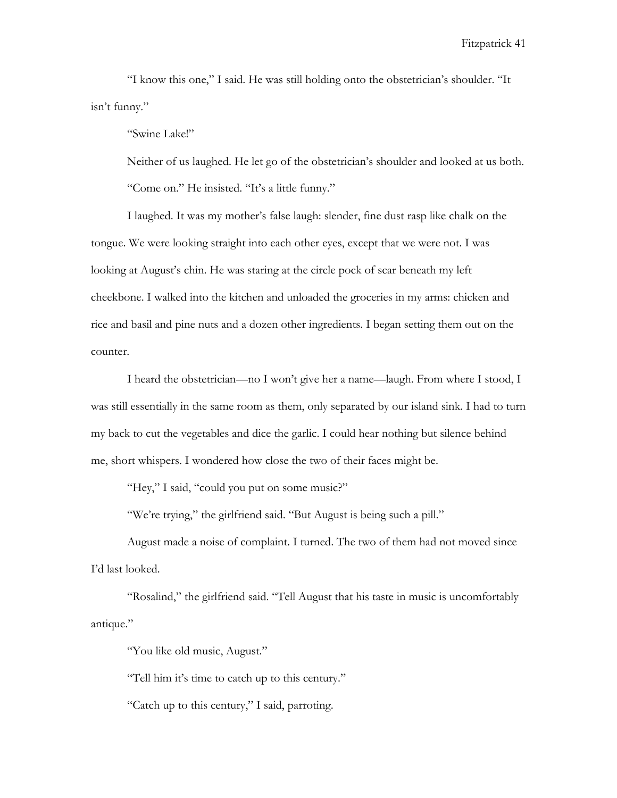"I know this one," I said. He was still holding onto the obstetrician's shoulder. "It isn't funny."

"Swine Lake!"

Neither of us laughed. He let go of the obstetrician's shoulder and looked at us both. "Come on." He insisted. "It's a little funny."

I laughed. It was my mother's false laugh: slender, fine dust rasp like chalk on the tongue. We were looking straight into each other eyes, except that we were not. I was looking at August's chin. He was staring at the circle pock of scar beneath my left cheekbone. I walked into the kitchen and unloaded the groceries in my arms: chicken and rice and basil and pine nuts and a dozen other ingredients. I began setting them out on the counter.

I heard the obstetrician—no I won't give her a name—laugh. From where I stood, I was still essentially in the same room as them, only separated by our island sink. I had to turn my back to cut the vegetables and dice the garlic. I could hear nothing but silence behind me, short whispers. I wondered how close the two of their faces might be.

"Hey," I said, "could you put on some music?"

"We're trying," the girlfriend said. "But August is being such a pill."

August made a noise of complaint. I turned. The two of them had not moved since I'd last looked.

"Rosalind," the girlfriend said. "Tell August that his taste in music is uncomfortably antique."

"You like old music, August."

"Tell him it's time to catch up to this century."

"Catch up to this century," I said, parroting.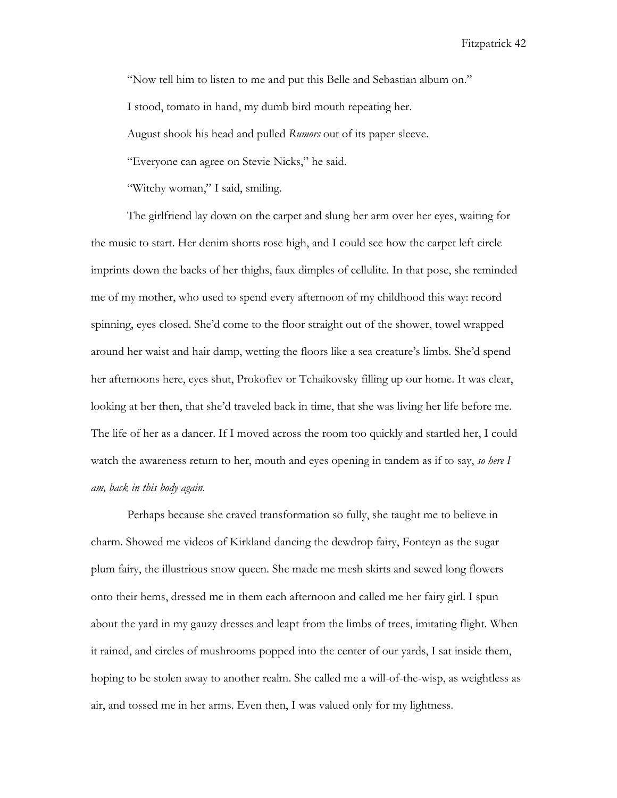"Now tell him to listen to me and put this Belle and Sebastian album on."

I stood, tomato in hand, my dumb bird mouth repeating her.

August shook his head and pulled *Rumors* out of its paper sleeve.

"Everyone can agree on Stevie Nicks," he said.

"Witchy woman," I said, smiling.

The girlfriend lay down on the carpet and slung her arm over her eyes, waiting for the music to start. Her denim shorts rose high, and I could see how the carpet left circle imprints down the backs of her thighs, faux dimples of cellulite. In that pose, she reminded me of my mother, who used to spend every afternoon of my childhood this way: record spinning, eyes closed. She'd come to the floor straight out of the shower, towel wrapped around her waist and hair damp, wetting the floors like a sea creature's limbs. She'd spend her afternoons here, eyes shut, Prokofiev or Tchaikovsky filling up our home. It was clear, looking at her then, that she'd traveled back in time, that she was living her life before me. The life of her as a dancer. If I moved across the room too quickly and startled her, I could watch the awareness return to her, mouth and eyes opening in tandem as if to say, *so here I am, back in this body again.*

Perhaps because she craved transformation so fully, she taught me to believe in charm. Showed me videos of Kirkland dancing the dewdrop fairy, Fonteyn as the sugar plum fairy, the illustrious snow queen. She made me mesh skirts and sewed long flowers onto their hems, dressed me in them each afternoon and called me her fairy girl. I spun about the yard in my gauzy dresses and leapt from the limbs of trees, imitating flight. When it rained, and circles of mushrooms popped into the center of our yards, I sat inside them, hoping to be stolen away to another realm. She called me a will-of-the-wisp, as weightless as air, and tossed me in her arms. Even then, I was valued only for my lightness.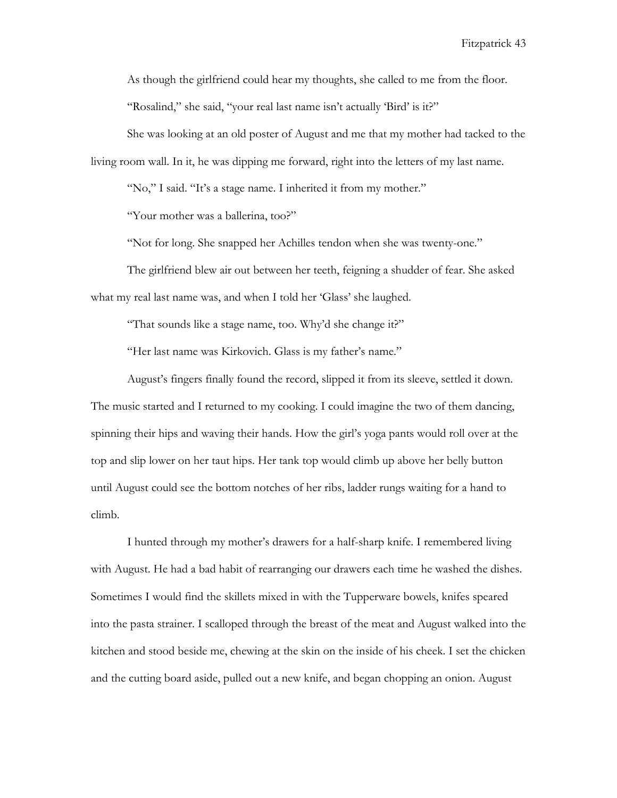As though the girlfriend could hear my thoughts, she called to me from the floor. "Rosalind," she said, "your real last name isn't actually 'Bird' is it?"

She was looking at an old poster of August and me that my mother had tacked to the living room wall. In it, he was dipping me forward, right into the letters of my last name.

"No," I said. "It's a stage name. I inherited it from my mother."

"Your mother was a ballerina, too?"

"Not for long. She snapped her Achilles tendon when she was twenty-one."

The girlfriend blew air out between her teeth, feigning a shudder of fear. She asked what my real last name was, and when I told her 'Glass' she laughed.

"That sounds like a stage name, too. Why'd she change it?"

"Her last name was Kirkovich. Glass is my father's name."

August's fingers finally found the record, slipped it from its sleeve, settled it down. The music started and I returned to my cooking. I could imagine the two of them dancing, spinning their hips and waving their hands. How the girl's yoga pants would roll over at the top and slip lower on her taut hips. Her tank top would climb up above her belly button until August could see the bottom notches of her ribs, ladder rungs waiting for a hand to climb.

I hunted through my mother's drawers for a half-sharp knife. I remembered living with August. He had a bad habit of rearranging our drawers each time he washed the dishes. Sometimes I would find the skillets mixed in with the Tupperware bowels, knifes speared into the pasta strainer. I scalloped through the breast of the meat and August walked into the kitchen and stood beside me, chewing at the skin on the inside of his cheek. I set the chicken and the cutting board aside, pulled out a new knife, and began chopping an onion. August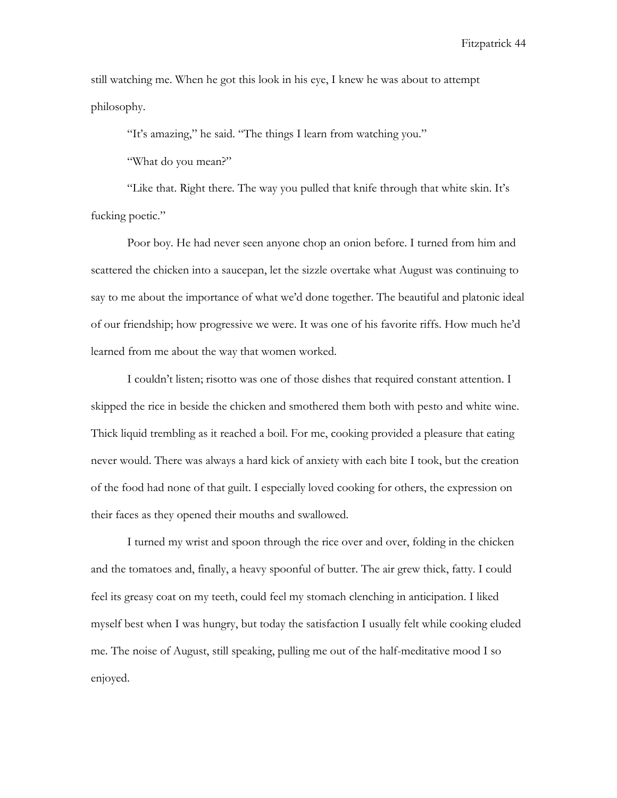still watching me. When he got this look in his eye, I knew he was about to attempt philosophy.

"It's amazing," he said. "The things I learn from watching you."

"What do you mean?"

"Like that. Right there. The way you pulled that knife through that white skin. It's fucking poetic."

Poor boy. He had never seen anyone chop an onion before. I turned from him and scattered the chicken into a saucepan, let the sizzle overtake what August was continuing to say to me about the importance of what we'd done together. The beautiful and platonic ideal of our friendship; how progressive we were. It was one of his favorite riffs. How much he'd learned from me about the way that women worked.

I couldn't listen; risotto was one of those dishes that required constant attention. I skipped the rice in beside the chicken and smothered them both with pesto and white wine. Thick liquid trembling as it reached a boil. For me, cooking provided a pleasure that eating never would. There was always a hard kick of anxiety with each bite I took, but the creation of the food had none of that guilt. I especially loved cooking for others, the expression on their faces as they opened their mouths and swallowed.

I turned my wrist and spoon through the rice over and over, folding in the chicken and the tomatoes and, finally, a heavy spoonful of butter. The air grew thick, fatty. I could feel its greasy coat on my teeth, could feel my stomach clenching in anticipation. I liked myself best when I was hungry, but today the satisfaction I usually felt while cooking eluded me. The noise of August, still speaking, pulling me out of the half-meditative mood I so enjoyed.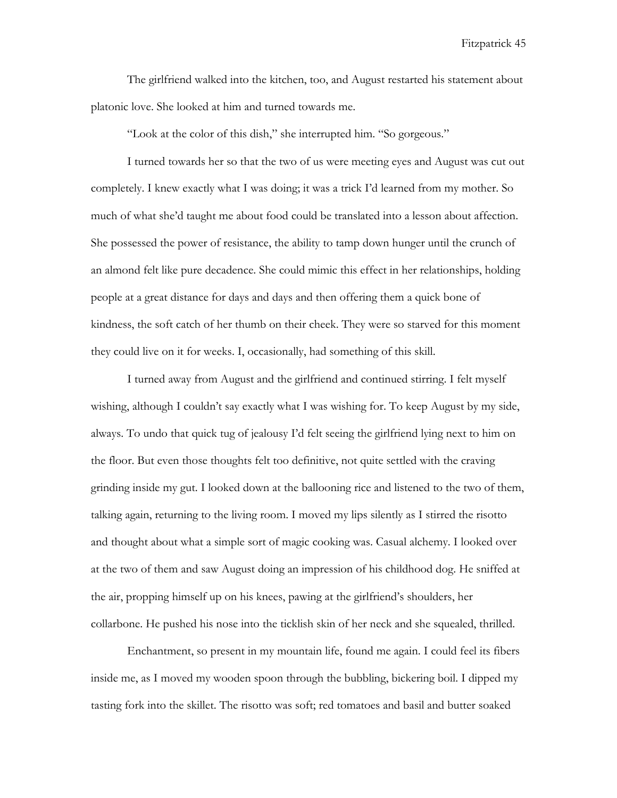The girlfriend walked into the kitchen, too, and August restarted his statement about platonic love. She looked at him and turned towards me.

"Look at the color of this dish," she interrupted him. "So gorgeous."

I turned towards her so that the two of us were meeting eyes and August was cut out completely. I knew exactly what I was doing; it was a trick I'd learned from my mother. So much of what she'd taught me about food could be translated into a lesson about affection. She possessed the power of resistance, the ability to tamp down hunger until the crunch of an almond felt like pure decadence. She could mimic this effect in her relationships, holding people at a great distance for days and days and then offering them a quick bone of kindness, the soft catch of her thumb on their cheek. They were so starved for this moment they could live on it for weeks. I, occasionally, had something of this skill.

I turned away from August and the girlfriend and continued stirring. I felt myself wishing, although I couldn't say exactly what I was wishing for. To keep August by my side, always. To undo that quick tug of jealousy I'd felt seeing the girlfriend lying next to him on the floor. But even those thoughts felt too definitive, not quite settled with the craving grinding inside my gut. I looked down at the ballooning rice and listened to the two of them, talking again, returning to the living room. I moved my lips silently as I stirred the risotto and thought about what a simple sort of magic cooking was. Casual alchemy. I looked over at the two of them and saw August doing an impression of his childhood dog. He sniffed at the air, propping himself up on his knees, pawing at the girlfriend's shoulders, her collarbone. He pushed his nose into the ticklish skin of her neck and she squealed, thrilled.

Enchantment, so present in my mountain life, found me again. I could feel its fibers inside me, as I moved my wooden spoon through the bubbling, bickering boil. I dipped my tasting fork into the skillet. The risotto was soft; red tomatoes and basil and butter soaked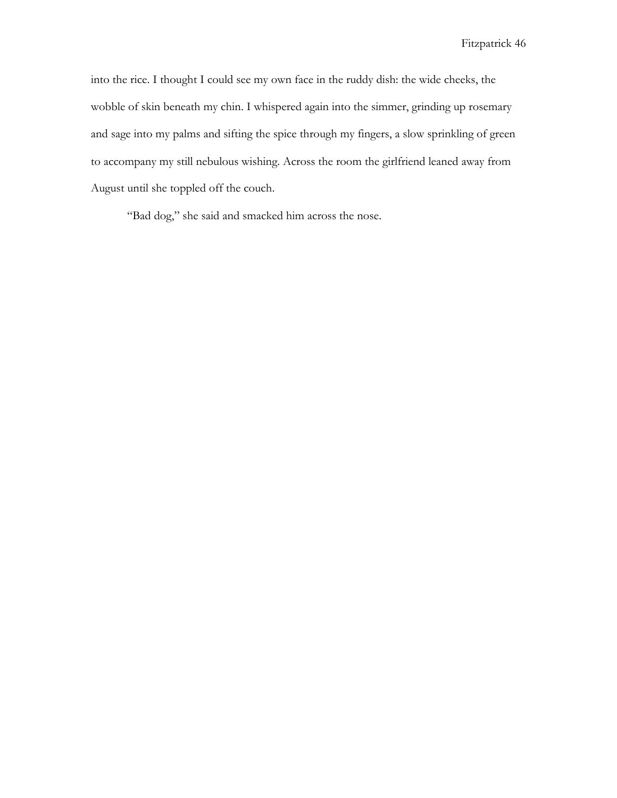into the rice. I thought I could see my own face in the ruddy dish: the wide cheeks, the wobble of skin beneath my chin. I whispered again into the simmer, grinding up rosemary and sage into my palms and sifting the spice through my fingers, a slow sprinkling of green to accompany my still nebulous wishing. Across the room the girlfriend leaned away from August until she toppled off the couch.

"Bad dog," she said and smacked him across the nose.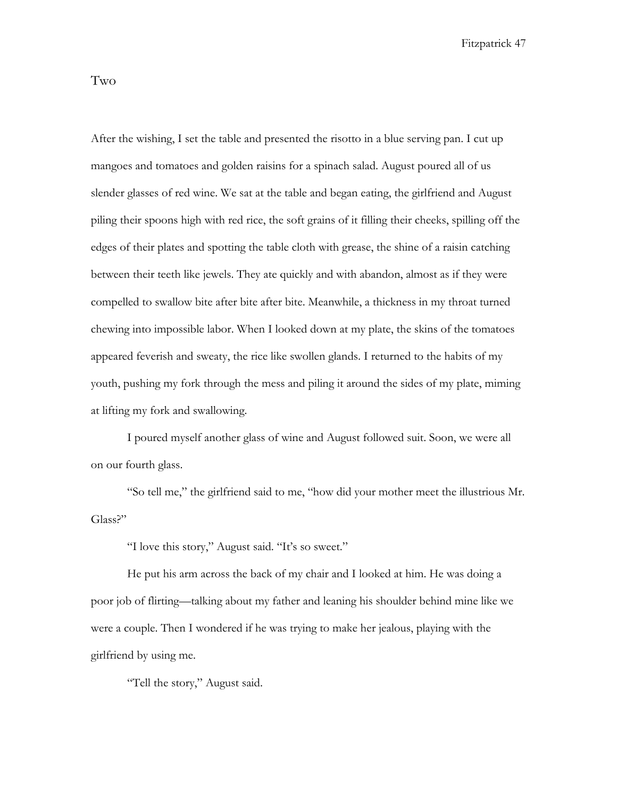Two

After the wishing, I set the table and presented the risotto in a blue serving pan. I cut up mangoes and tomatoes and golden raisins for a spinach salad. August poured all of us slender glasses of red wine. We sat at the table and began eating, the girlfriend and August piling their spoons high with red rice, the soft grains of it filling their cheeks, spilling off the edges of their plates and spotting the table cloth with grease, the shine of a raisin catching between their teeth like jewels. They ate quickly and with abandon, almost as if they were compelled to swallow bite after bite after bite. Meanwhile, a thickness in my throat turned chewing into impossible labor. When I looked down at my plate, the skins of the tomatoes appeared feverish and sweaty, the rice like swollen glands. I returned to the habits of my youth, pushing my fork through the mess and piling it around the sides of my plate, miming at lifting my fork and swallowing.

I poured myself another glass of wine and August followed suit. Soon, we were all on our fourth glass.

"So tell me," the girlfriend said to me, "how did your mother meet the illustrious Mr. Glass?"

"I love this story," August said. "It's so sweet."

He put his arm across the back of my chair and I looked at him. He was doing a poor job of flirting—talking about my father and leaning his shoulder behind mine like we were a couple. Then I wondered if he was trying to make her jealous, playing with the girlfriend by using me.

"Tell the story," August said.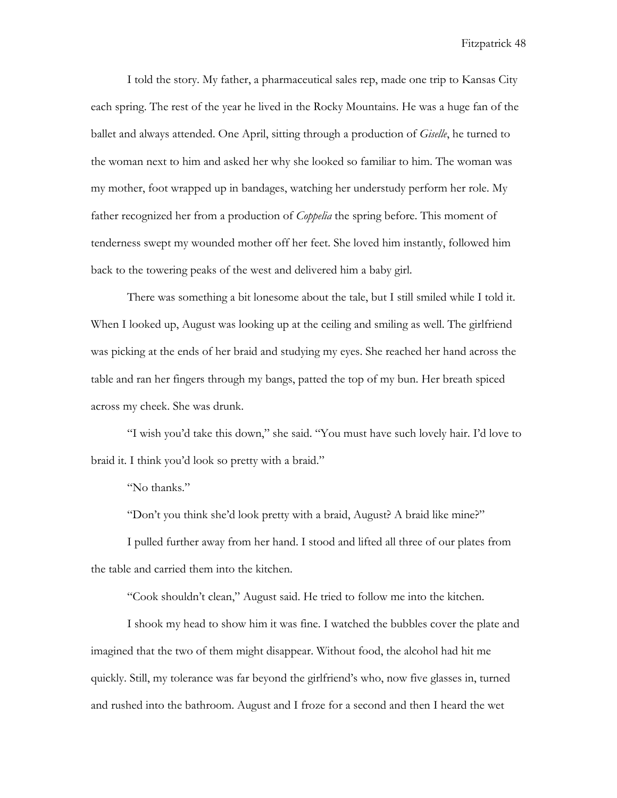I told the story. My father, a pharmaceutical sales rep, made one trip to Kansas City each spring. The rest of the year he lived in the Rocky Mountains. He was a huge fan of the ballet and always attended. One April, sitting through a production of *Giselle*, he turned to the woman next to him and asked her why she looked so familiar to him. The woman was my mother, foot wrapped up in bandages, watching her understudy perform her role. My father recognized her from a production of *Coppelia* the spring before. This moment of tenderness swept my wounded mother off her feet. She loved him instantly, followed him back to the towering peaks of the west and delivered him a baby girl.

There was something a bit lonesome about the tale, but I still smiled while I told it. When I looked up, August was looking up at the ceiling and smiling as well. The girlfriend was picking at the ends of her braid and studying my eyes. She reached her hand across the table and ran her fingers through my bangs, patted the top of my bun. Her breath spiced across my cheek. She was drunk.

"I wish you'd take this down," she said. "You must have such lovely hair. I'd love to braid it. I think you'd look so pretty with a braid."

"No thanks."

"Don't you think she'd look pretty with a braid, August? A braid like mine?"

I pulled further away from her hand. I stood and lifted all three of our plates from the table and carried them into the kitchen.

"Cook shouldn't clean," August said. He tried to follow me into the kitchen.

I shook my head to show him it was fine. I watched the bubbles cover the plate and imagined that the two of them might disappear. Without food, the alcohol had hit me quickly. Still, my tolerance was far beyond the girlfriend's who, now five glasses in, turned and rushed into the bathroom. August and I froze for a second and then I heard the wet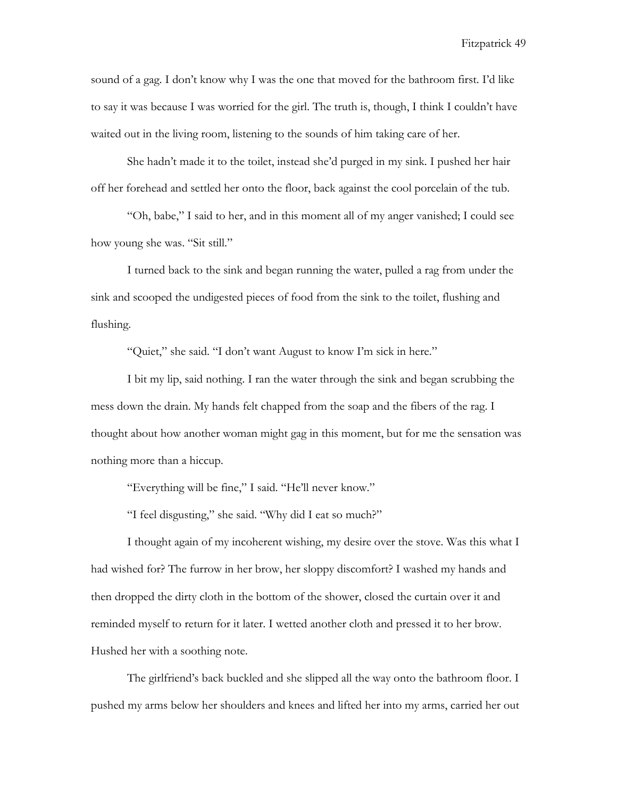sound of a gag. I don't know why I was the one that moved for the bathroom first. I'd like to say it was because I was worried for the girl. The truth is, though, I think I couldn't have waited out in the living room, listening to the sounds of him taking care of her.

She hadn't made it to the toilet, instead she'd purged in my sink. I pushed her hair off her forehead and settled her onto the floor, back against the cool porcelain of the tub.

"Oh, babe," I said to her, and in this moment all of my anger vanished; I could see how young she was. "Sit still."

I turned back to the sink and began running the water, pulled a rag from under the sink and scooped the undigested pieces of food from the sink to the toilet, flushing and flushing.

"Quiet," she said. "I don't want August to know I'm sick in here."

I bit my lip, said nothing. I ran the water through the sink and began scrubbing the mess down the drain. My hands felt chapped from the soap and the fibers of the rag. I thought about how another woman might gag in this moment, but for me the sensation was nothing more than a hiccup.

"Everything will be fine," I said. "He'll never know."

"I feel disgusting," she said. "Why did I eat so much?"

I thought again of my incoherent wishing, my desire over the stove. Was this what I had wished for? The furrow in her brow, her sloppy discomfort? I washed my hands and then dropped the dirty cloth in the bottom of the shower, closed the curtain over it and reminded myself to return for it later. I wetted another cloth and pressed it to her brow. Hushed her with a soothing note.

The girlfriend's back buckled and she slipped all the way onto the bathroom floor. I pushed my arms below her shoulders and knees and lifted her into my arms, carried her out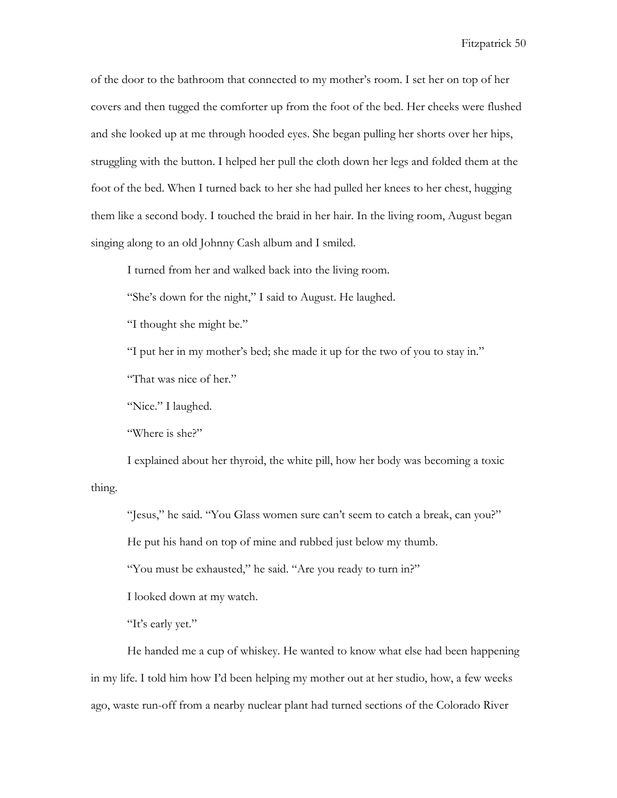of the door to the bathroom that connected to my mother's room. I set her on top of her covers and then tugged the comforter up from the foot of the bed. Her cheeks were flushed and she looked up at me through hooded eyes. She began pulling her shorts over her hips, struggling with the button. I helped her pull the cloth down her legs and folded them at the foot of the bed. When I turned back to her she had pulled her knees to her chest, hugging them like a second body. I touched the braid in her hair. In the living room, August began singing along to an old Johnny Cash album and I smiled.

I turned from her and walked back into the living room.

"She's down for the night," I said to August. He laughed.

"I thought she might be."

"I put her in my mother's bed; she made it up for the two of you to stay in."

"That was nice of her."

"Nice." I laughed.

"Where is she?"

I explained about her thyroid, the white pill, how her body was becoming a toxic thing.

"Jesus," he said. "You Glass women sure can't seem to catch a break, can you?"

He put his hand on top of mine and rubbed just below my thumb.

"You must be exhausted," he said. "Are you ready to turn in?"

I looked down at my watch.

"It's early yet."

He handed me a cup of whiskey. He wanted to know what else had been happening in my life. I told him how I'd been helping my mother out at her studio, how, a few weeks ago, waste run-off from a nearby nuclear plant had turned sections of the Colorado River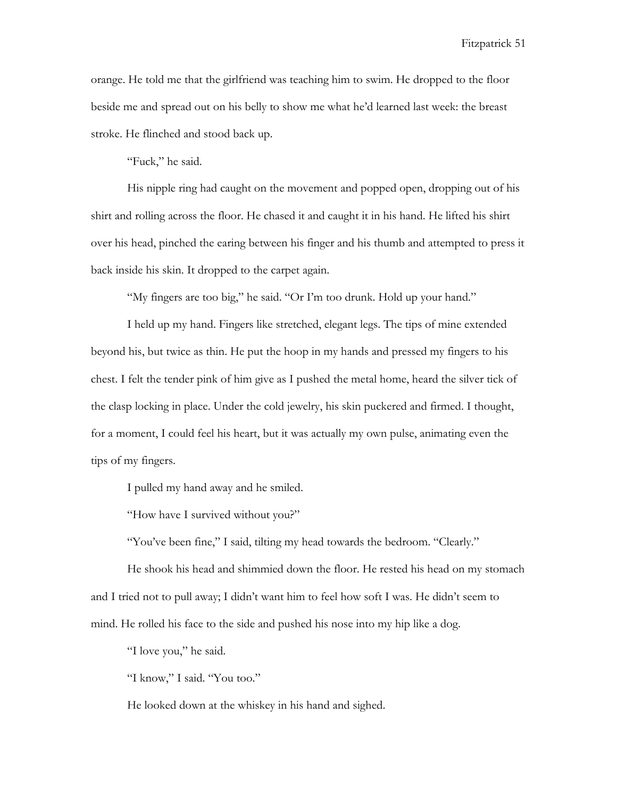orange. He told me that the girlfriend was teaching him to swim. He dropped to the floor beside me and spread out on his belly to show me what he'd learned last week: the breast stroke. He flinched and stood back up.

"Fuck," he said.

His nipple ring had caught on the movement and popped open, dropping out of his shirt and rolling across the floor. He chased it and caught it in his hand. He lifted his shirt over his head, pinched the earing between his finger and his thumb and attempted to press it back inside his skin. It dropped to the carpet again.

"My fingers are too big," he said. "Or I'm too drunk. Hold up your hand."

I held up my hand. Fingers like stretched, elegant legs. The tips of mine extended beyond his, but twice as thin. He put the hoop in my hands and pressed my fingers to his chest. I felt the tender pink of him give as I pushed the metal home, heard the silver tick of the clasp locking in place. Under the cold jewelry, his skin puckered and firmed. I thought, for a moment, I could feel his heart, but it was actually my own pulse, animating even the tips of my fingers.

I pulled my hand away and he smiled.

"How have I survived without you?"

"You've been fine," I said, tilting my head towards the bedroom. "Clearly."

He shook his head and shimmied down the floor. He rested his head on my stomach and I tried not to pull away; I didn't want him to feel how soft I was. He didn't seem to mind. He rolled his face to the side and pushed his nose into my hip like a dog.

"I love you," he said.

"I know," I said. "You too."

He looked down at the whiskey in his hand and sighed.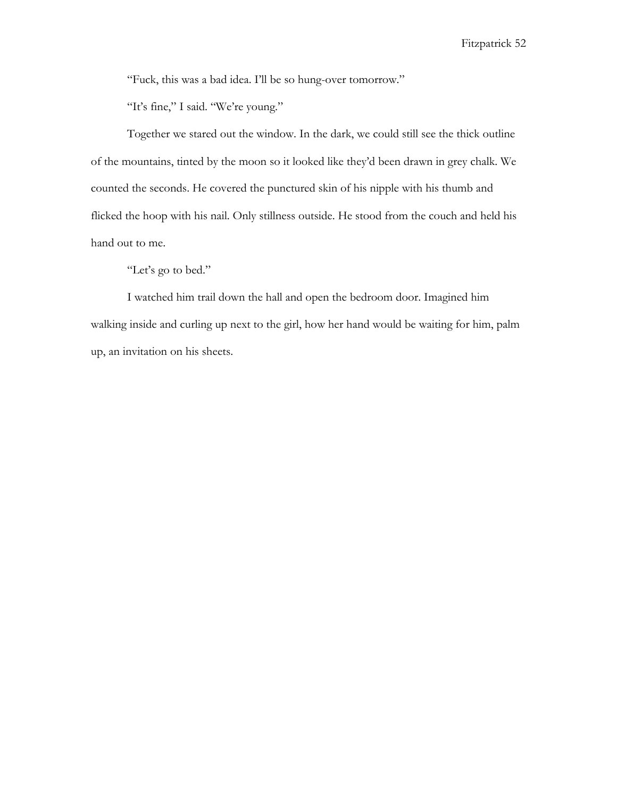"Fuck, this was a bad idea. I'll be so hung-over tomorrow."

"It's fine," I said. "We're young."

Together we stared out the window. In the dark, we could still see the thick outline of the mountains, tinted by the moon so it looked like they'd been drawn in grey chalk. We counted the seconds. He covered the punctured skin of his nipple with his thumb and flicked the hoop with his nail. Only stillness outside. He stood from the couch and held his hand out to me.

"Let's go to bed."

I watched him trail down the hall and open the bedroom door. Imagined him walking inside and curling up next to the girl, how her hand would be waiting for him, palm up, an invitation on his sheets.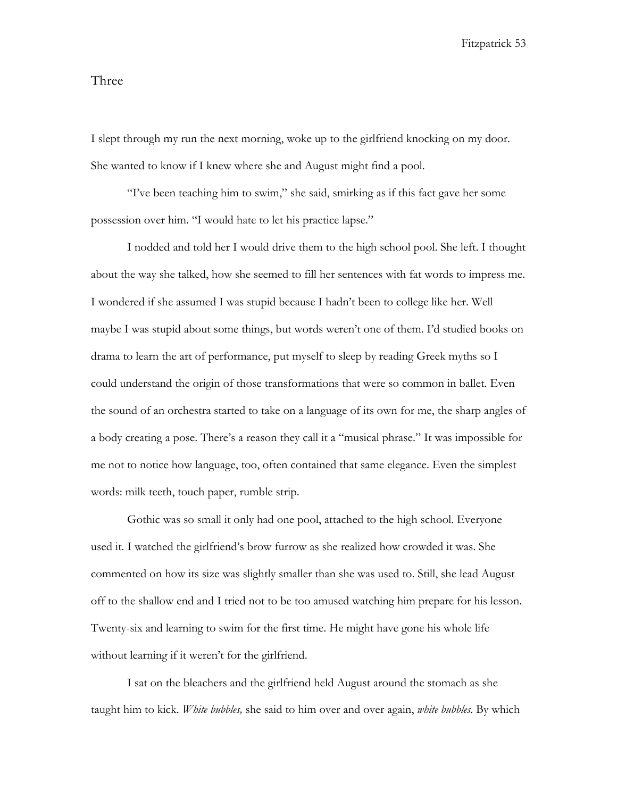## Three

I slept through my run the next morning, woke up to the girlfriend knocking on my door. She wanted to know if I knew where she and August might find a pool.

"I've been teaching him to swim," she said, smirking as if this fact gave her some possession over him. "I would hate to let his practice lapse."

I nodded and told her I would drive them to the high school pool. She left. I thought about the way she talked, how she seemed to fill her sentences with fat words to impress me. I wondered if she assumed I was stupid because I hadn't been to college like her. Well maybe I was stupid about some things, but words weren't one of them. I'd studied books on drama to learn the art of performance, put myself to sleep by reading Greek myths so I could understand the origin of those transformations that were so common in ballet. Even the sound of an orchestra started to take on a language of its own for me, the sharp angles of a body creating a pose. There's a reason they call it a "musical phrase." It was impossible for me not to notice how language, too, often contained that same elegance. Even the simplest words: milk teeth, touch paper, rumble strip.

Gothic was so small it only had one pool, attached to the high school. Everyone used it. I watched the girlfriend's brow furrow as she realized how crowded it was. She commented on how its size was slightly smaller than she was used to. Still, she lead August off to the shallow end and I tried not to be too amused watching him prepare for his lesson. Twenty-six and learning to swim for the first time. He might have gone his whole life without learning if it weren't for the girlfriend.

I sat on the bleachers and the girlfriend held August around the stomach as she taught him to kick. *White bubbles,* she said to him over and over again, *white bubbles.* By which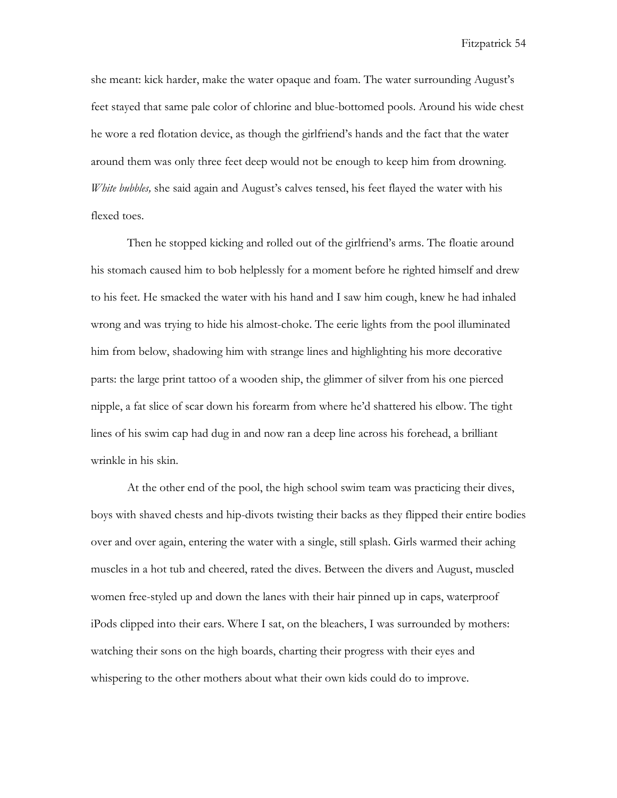she meant: kick harder, make the water opaque and foam. The water surrounding August's feet stayed that same pale color of chlorine and blue-bottomed pools. Around his wide chest he wore a red flotation device, as though the girlfriend's hands and the fact that the water around them was only three feet deep would not be enough to keep him from drowning. *White bubbles,* she said again and August's calves tensed, his feet flayed the water with his flexed toes.

Then he stopped kicking and rolled out of the girlfriend's arms. The floatie around his stomach caused him to bob helplessly for a moment before he righted himself and drew to his feet. He smacked the water with his hand and I saw him cough, knew he had inhaled wrong and was trying to hide his almost-choke. The eerie lights from the pool illuminated him from below, shadowing him with strange lines and highlighting his more decorative parts: the large print tattoo of a wooden ship, the glimmer of silver from his one pierced nipple, a fat slice of scar down his forearm from where he'd shattered his elbow. The tight lines of his swim cap had dug in and now ran a deep line across his forehead, a brilliant wrinkle in his skin.

At the other end of the pool, the high school swim team was practicing their dives, boys with shaved chests and hip-divots twisting their backs as they flipped their entire bodies over and over again, entering the water with a single, still splash. Girls warmed their aching muscles in a hot tub and cheered, rated the dives. Between the divers and August, muscled women free-styled up and down the lanes with their hair pinned up in caps, waterproof iPods clipped into their ears. Where I sat, on the bleachers, I was surrounded by mothers: watching their sons on the high boards, charting their progress with their eyes and whispering to the other mothers about what their own kids could do to improve.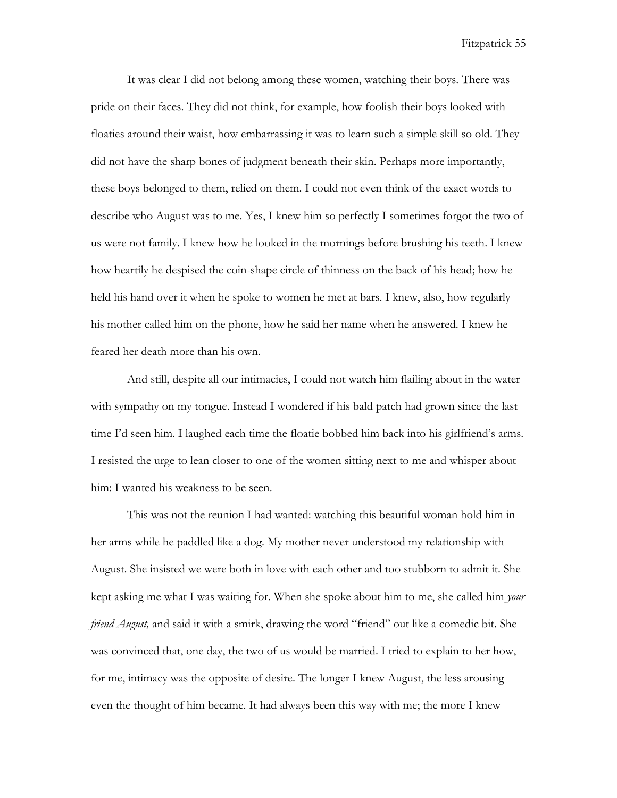It was clear I did not belong among these women, watching their boys. There was pride on their faces. They did not think, for example, how foolish their boys looked with floaties around their waist, how embarrassing it was to learn such a simple skill so old. They did not have the sharp bones of judgment beneath their skin. Perhaps more importantly, these boys belonged to them, relied on them. I could not even think of the exact words to describe who August was to me. Yes, I knew him so perfectly I sometimes forgot the two of us were not family. I knew how he looked in the mornings before brushing his teeth. I knew how heartily he despised the coin-shape circle of thinness on the back of his head; how he held his hand over it when he spoke to women he met at bars. I knew, also, how regularly his mother called him on the phone, how he said her name when he answered. I knew he feared her death more than his own.

And still, despite all our intimacies, I could not watch him flailing about in the water with sympathy on my tongue. Instead I wondered if his bald patch had grown since the last time I'd seen him. I laughed each time the floatie bobbed him back into his girlfriend's arms. I resisted the urge to lean closer to one of the women sitting next to me and whisper about him: I wanted his weakness to be seen.

This was not the reunion I had wanted: watching this beautiful woman hold him in her arms while he paddled like a dog. My mother never understood my relationship with August. She insisted we were both in love with each other and too stubborn to admit it. She kept asking me what I was waiting for. When she spoke about him to me, she called him *your friend August,* and said it with a smirk, drawing the word "friend" out like a comedic bit. She was convinced that, one day, the two of us would be married. I tried to explain to her how, for me, intimacy was the opposite of desire. The longer I knew August, the less arousing even the thought of him became. It had always been this way with me; the more I knew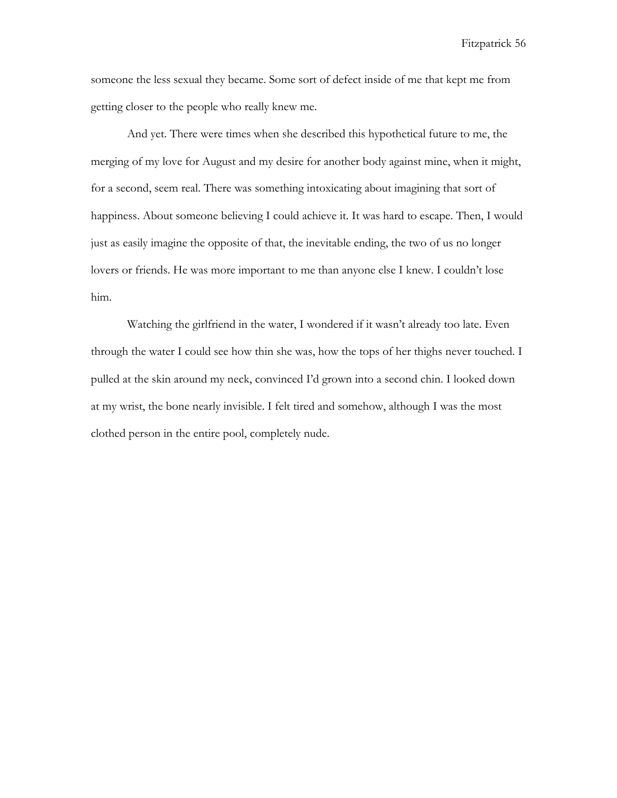someone the less sexual they became. Some sort of defect inside of me that kept me from getting closer to the people who really knew me.

And yet. There were times when she described this hypothetical future to me, the merging of my love for August and my desire for another body against mine, when it might, for a second, seem real. There was something intoxicating about imagining that sort of happiness. About someone believing I could achieve it. It was hard to escape. Then, I would just as easily imagine the opposite of that, the inevitable ending, the two of us no longer lovers or friends. He was more important to me than anyone else I knew. I couldn't lose him.

Watching the girlfriend in the water, I wondered if it wasn't already too late. Even through the water I could see how thin she was, how the tops of her thighs never touched. I pulled at the skin around my neck, convinced I'd grown into a second chin. I looked down at my wrist, the bone nearly invisible. I felt tired and somehow, although I was the most clothed person in the entire pool, completely nude.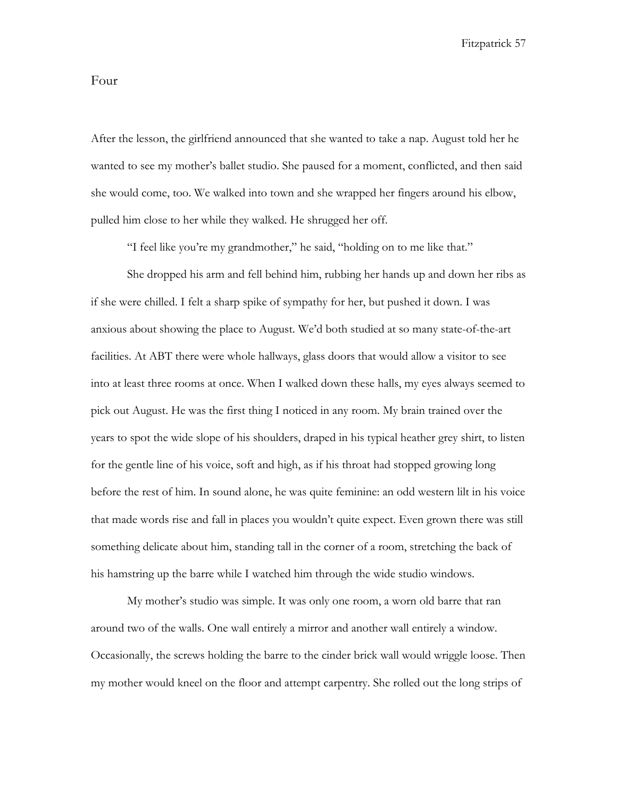## Four

After the lesson, the girlfriend announced that she wanted to take a nap. August told her he wanted to see my mother's ballet studio. She paused for a moment, conflicted, and then said she would come, too. We walked into town and she wrapped her fingers around his elbow, pulled him close to her while they walked. He shrugged her off.

"I feel like you're my grandmother," he said, "holding on to me like that."

She dropped his arm and fell behind him, rubbing her hands up and down her ribs as if she were chilled. I felt a sharp spike of sympathy for her, but pushed it down. I was anxious about showing the place to August. We'd both studied at so many state-of-the-art facilities. At ABT there were whole hallways, glass doors that would allow a visitor to see into at least three rooms at once. When I walked down these halls, my eyes always seemed to pick out August. He was the first thing I noticed in any room. My brain trained over the years to spot the wide slope of his shoulders, draped in his typical heather grey shirt, to listen for the gentle line of his voice, soft and high, as if his throat had stopped growing long before the rest of him. In sound alone, he was quite feminine: an odd western lilt in his voice that made words rise and fall in places you wouldn't quite expect. Even grown there was still something delicate about him, standing tall in the corner of a room, stretching the back of his hamstring up the barre while I watched him through the wide studio windows.

My mother's studio was simple. It was only one room, a worn old barre that ran around two of the walls. One wall entirely a mirror and another wall entirely a window. Occasionally, the screws holding the barre to the cinder brick wall would wriggle loose. Then my mother would kneel on the floor and attempt carpentry. She rolled out the long strips of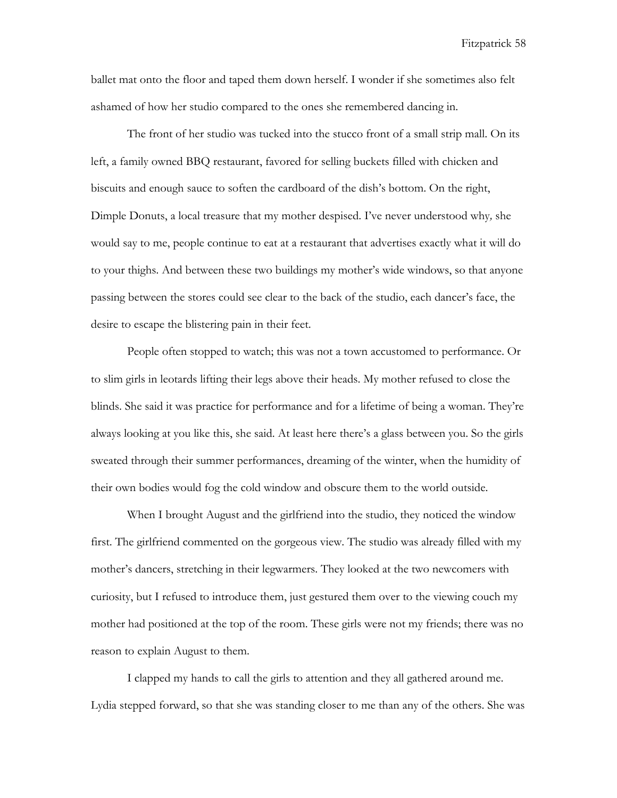ballet mat onto the floor and taped them down herself. I wonder if she sometimes also felt ashamed of how her studio compared to the ones she remembered dancing in.

The front of her studio was tucked into the stucco front of a small strip mall. On its left, a family owned BBQ restaurant, favored for selling buckets filled with chicken and biscuits and enough sauce to soften the cardboard of the dish's bottom. On the right, Dimple Donuts, a local treasure that my mother despised. I've never understood why*,* she would say to me, people continue to eat at a restaurant that advertises exactly what it will do to your thighs*.* And between these two buildings my mother's wide windows, so that anyone passing between the stores could see clear to the back of the studio, each dancer's face, the desire to escape the blistering pain in their feet.

People often stopped to watch; this was not a town accustomed to performance. Or to slim girls in leotards lifting their legs above their heads. My mother refused to close the blinds. She said it was practice for performance and for a lifetime of being a woman. They're always looking at you like this, she said. At least here there's a glass between you. So the girls sweated through their summer performances, dreaming of the winter, when the humidity of their own bodies would fog the cold window and obscure them to the world outside.

When I brought August and the girlfriend into the studio, they noticed the window first. The girlfriend commented on the gorgeous view. The studio was already filled with my mother's dancers, stretching in their legwarmers. They looked at the two newcomers with curiosity, but I refused to introduce them, just gestured them over to the viewing couch my mother had positioned at the top of the room. These girls were not my friends; there was no reason to explain August to them.

I clapped my hands to call the girls to attention and they all gathered around me. Lydia stepped forward, so that she was standing closer to me than any of the others. She was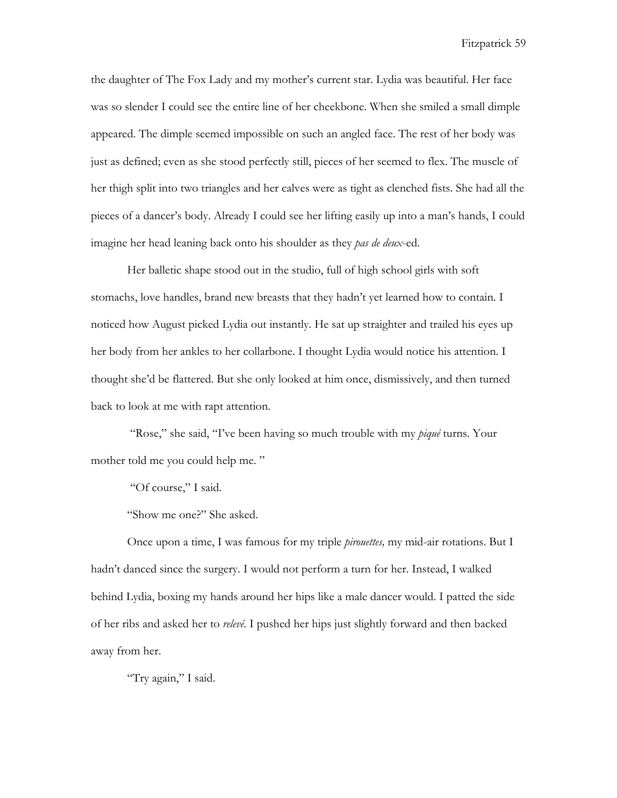the daughter of The Fox Lady and my mother's current star. Lydia was beautiful. Her face was so slender I could see the entire line of her cheekbone. When she smiled a small dimple appeared. The dimple seemed impossible on such an angled face. The rest of her body was just as defined; even as she stood perfectly still, pieces of her seemed to flex. The muscle of her thigh split into two triangles and her calves were as tight as clenched fists. She had all the pieces of a dancer's body. Already I could see her lifting easily up into a man's hands, I could imagine her head leaning back onto his shoulder as they *pas de deux*-ed.

Her balletic shape stood out in the studio, full of high school girls with soft stomachs, love handles, brand new breasts that they hadn't yet learned how to contain. I noticed how August picked Lydia out instantly. He sat up straighter and trailed his eyes up her body from her ankles to her collarbone. I thought Lydia would notice his attention. I thought she'd be flattered. But she only looked at him once, dismissively, and then turned back to look at me with rapt attention.

"Rose," she said, "I've been having so much trouble with my *piqué* turns. Your mother told me you could help me. "

"Of course," I said.

"Show me one?" She asked.

Once upon a time, I was famous for my triple *pirouettes,* my mid-air rotations. But I hadn't danced since the surgery. I would not perform a turn for her. Instead, I walked behind Lydia, boxing my hands around her hips like a male dancer would. I patted the side of her ribs and asked her to *relevé.* I pushed her hips just slightly forward and then backed away from her.

"Try again," I said.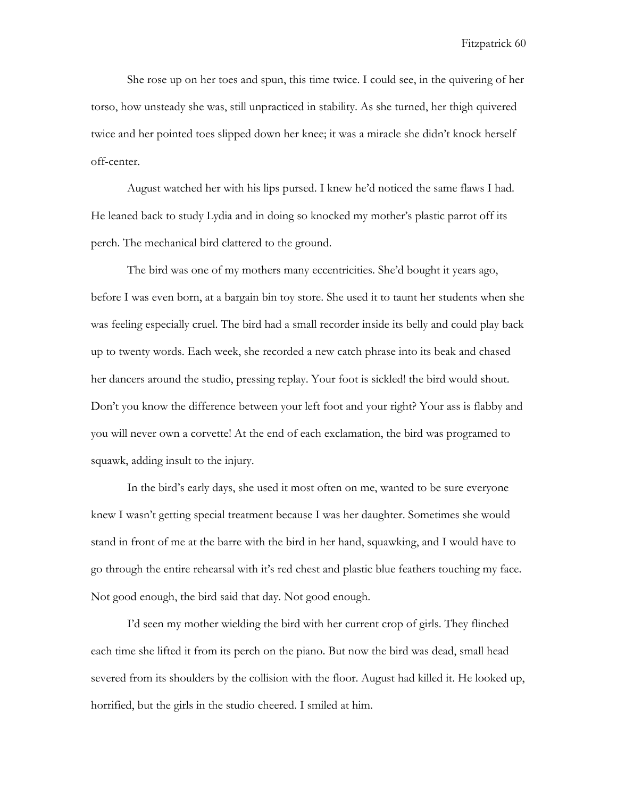She rose up on her toes and spun, this time twice. I could see, in the quivering of her torso, how unsteady she was, still unpracticed in stability. As she turned, her thigh quivered twice and her pointed toes slipped down her knee; it was a miracle she didn't knock herself off-center.

August watched her with his lips pursed. I knew he'd noticed the same flaws I had. He leaned back to study Lydia and in doing so knocked my mother's plastic parrot off its perch. The mechanical bird clattered to the ground.

The bird was one of my mothers many eccentricities. She'd bought it years ago, before I was even born, at a bargain bin toy store. She used it to taunt her students when she was feeling especially cruel. The bird had a small recorder inside its belly and could play back up to twenty words. Each week, she recorded a new catch phrase into its beak and chased her dancers around the studio, pressing replay. Your foot is sickled! the bird would shout. Don't you know the difference between your left foot and your right? Your ass is flabby and you will never own a corvette! At the end of each exclamation, the bird was programed to squawk, adding insult to the injury.

In the bird's early days, she used it most often on me, wanted to be sure everyone knew I wasn't getting special treatment because I was her daughter. Sometimes she would stand in front of me at the barre with the bird in her hand, squawking, and I would have to go through the entire rehearsal with it's red chest and plastic blue feathers touching my face. Not good enough, the bird said that day. Not good enough.

I'd seen my mother wielding the bird with her current crop of girls. They flinched each time she lifted it from its perch on the piano. But now the bird was dead, small head severed from its shoulders by the collision with the floor. August had killed it. He looked up, horrified, but the girls in the studio cheered. I smiled at him.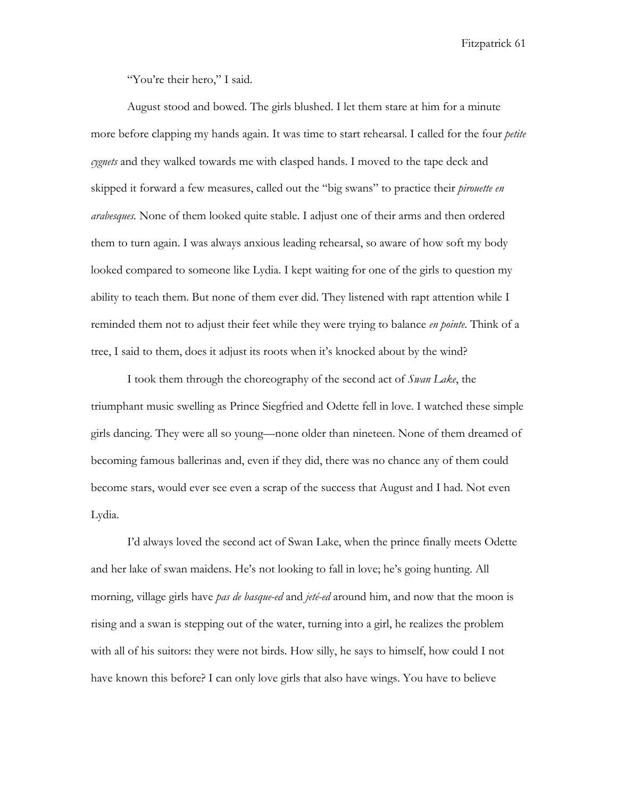"You're their hero," I said.

August stood and bowed. The girls blushed. I let them stare at him for a minute more before clapping my hands again. It was time to start rehearsal. I called for the four *petite cygnets* and they walked towards me with clasped hands. I moved to the tape deck and skipped it forward a few measures, called out the "big swans" to practice their *pirouette en arabesques.* None of them looked quite stable. I adjust one of their arms and then ordered them to turn again. I was always anxious leading rehearsal, so aware of how soft my body looked compared to someone like Lydia. I kept waiting for one of the girls to question my ability to teach them. But none of them ever did. They listened with rapt attention while I reminded them not to adjust their feet while they were trying to balance *en pointe*. Think of a tree, I said to them, does it adjust its roots when it's knocked about by the wind?

I took them through the choreography of the second act of *Swan Lake*, the triumphant music swelling as Prince Siegfried and Odette fell in love. I watched these simple girls dancing. They were all so young—none older than nineteen. None of them dreamed of becoming famous ballerinas and, even if they did, there was no chance any of them could become stars, would ever see even a scrap of the success that August and I had. Not even Lydia.

I'd always loved the second act of Swan Lake, when the prince finally meets Odette and her lake of swan maidens. He's not looking to fall in love; he's going hunting. All morning, village girls have *pas de basque-ed* and *jeté-ed* around him, and now that the moon is rising and a swan is stepping out of the water, turning into a girl, he realizes the problem with all of his suitors: they were not birds. How silly, he says to himself, how could I not have known this before? I can only love girls that also have wings. You have to believe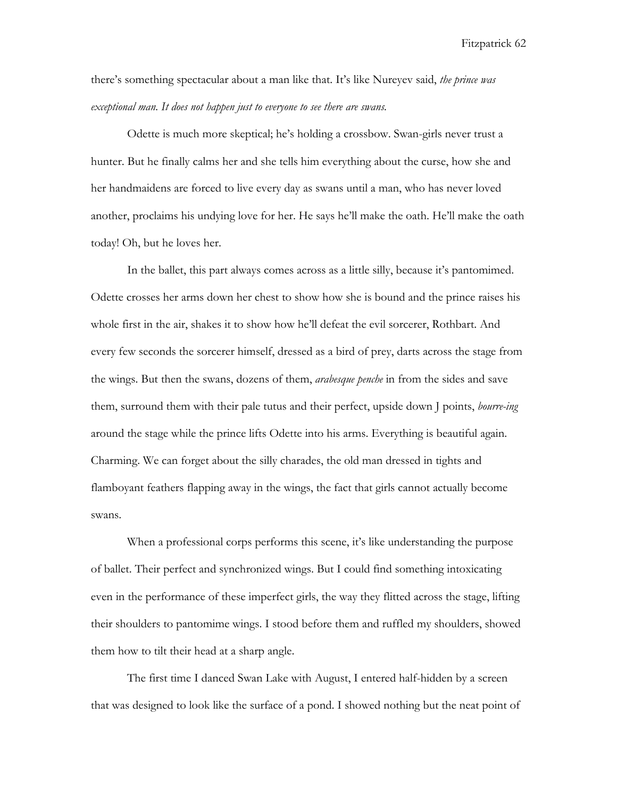there's something spectacular about a man like that. It's like Nureyev said, *the prince was exceptional man. It does not happen just to everyone to see there are swans.*

Odette is much more skeptical; he's holding a crossbow. Swan-girls never trust a hunter. But he finally calms her and she tells him everything about the curse, how she and her handmaidens are forced to live every day as swans until a man, who has never loved another, proclaims his undying love for her. He says he'll make the oath. He'll make the oath today! Oh, but he loves her.

In the ballet, this part always comes across as a little silly, because it's pantomimed. Odette crosses her arms down her chest to show how she is bound and the prince raises his whole first in the air, shakes it to show how he'll defeat the evil sorcerer, Rothbart. And every few seconds the sorcerer himself, dressed as a bird of prey, darts across the stage from the wings. But then the swans, dozens of them, *arabesque penche* in from the sides and save them, surround them with their pale tutus and their perfect, upside down J points, *bourre-ing* around the stage while the prince lifts Odette into his arms. Everything is beautiful again. Charming. We can forget about the silly charades, the old man dressed in tights and flamboyant feathers flapping away in the wings, the fact that girls cannot actually become swans.

When a professional corps performs this scene, it's like understanding the purpose of ballet. Their perfect and synchronized wings. But I could find something intoxicating even in the performance of these imperfect girls, the way they flitted across the stage, lifting their shoulders to pantomime wings. I stood before them and ruffled my shoulders, showed them how to tilt their head at a sharp angle.

The first time I danced Swan Lake with August, I entered half-hidden by a screen that was designed to look like the surface of a pond. I showed nothing but the neat point of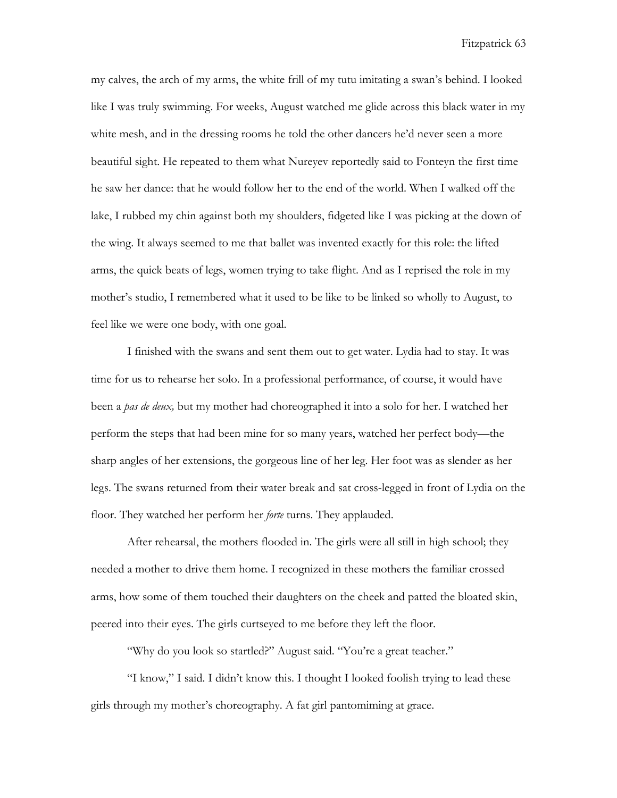my calves, the arch of my arms, the white frill of my tutu imitating a swan's behind. I looked like I was truly swimming. For weeks, August watched me glide across this black water in my white mesh, and in the dressing rooms he told the other dancers he'd never seen a more beautiful sight. He repeated to them what Nureyev reportedly said to Fonteyn the first time he saw her dance: that he would follow her to the end of the world. When I walked off the lake, I rubbed my chin against both my shoulders, fidgeted like I was picking at the down of the wing. It always seemed to me that ballet was invented exactly for this role: the lifted arms, the quick beats of legs, women trying to take flight. And as I reprised the role in my mother's studio, I remembered what it used to be like to be linked so wholly to August, to feel like we were one body, with one goal.

I finished with the swans and sent them out to get water. Lydia had to stay. It was time for us to rehearse her solo. In a professional performance, of course, it would have been a *pas de deux,* but my mother had choreographed it into a solo for her. I watched her perform the steps that had been mine for so many years, watched her perfect body—the sharp angles of her extensions, the gorgeous line of her leg. Her foot was as slender as her legs. The swans returned from their water break and sat cross-legged in front of Lydia on the floor. They watched her perform her *forte* turns. They applauded.

After rehearsal, the mothers flooded in. The girls were all still in high school; they needed a mother to drive them home. I recognized in these mothers the familiar crossed arms, how some of them touched their daughters on the cheek and patted the bloated skin, peered into their eyes. The girls curtseyed to me before they left the floor.

"Why do you look so startled?" August said. "You're a great teacher."

"I know," I said. I didn't know this. I thought I looked foolish trying to lead these girls through my mother's choreography. A fat girl pantomiming at grace.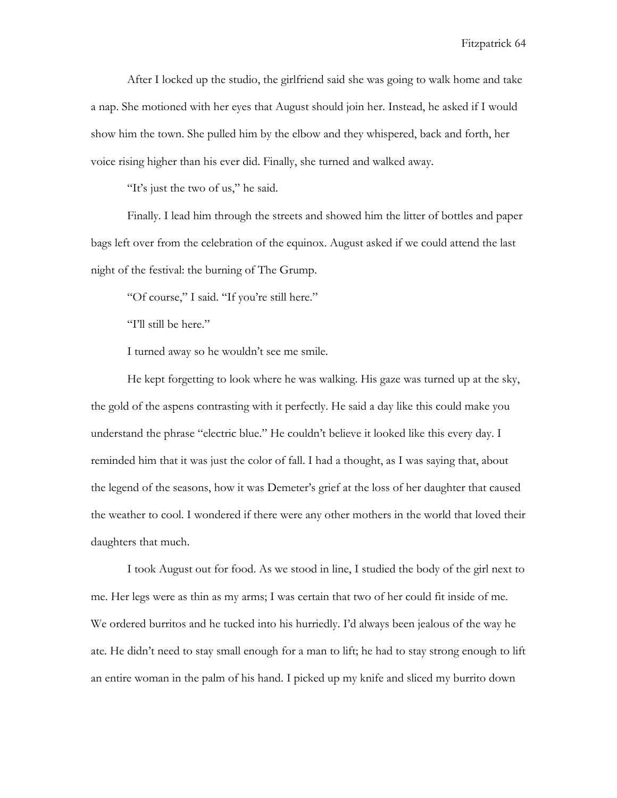After I locked up the studio, the girlfriend said she was going to walk home and take a nap. She motioned with her eyes that August should join her. Instead, he asked if I would show him the town. She pulled him by the elbow and they whispered, back and forth, her voice rising higher than his ever did. Finally, she turned and walked away.

"It's just the two of us," he said.

Finally. I lead him through the streets and showed him the litter of bottles and paper bags left over from the celebration of the equinox. August asked if we could attend the last night of the festival: the burning of The Grump.

"Of course," I said. "If you're still here."

"I'll still be here."

I turned away so he wouldn't see me smile.

He kept forgetting to look where he was walking. His gaze was turned up at the sky, the gold of the aspens contrasting with it perfectly. He said a day like this could make you understand the phrase "electric blue." He couldn't believe it looked like this every day. I reminded him that it was just the color of fall. I had a thought, as I was saying that, about the legend of the seasons, how it was Demeter's grief at the loss of her daughter that caused the weather to cool. I wondered if there were any other mothers in the world that loved their daughters that much.

I took August out for food. As we stood in line, I studied the body of the girl next to me. Her legs were as thin as my arms; I was certain that two of her could fit inside of me. We ordered burritos and he tucked into his hurriedly. I'd always been jealous of the way he ate. He didn't need to stay small enough for a man to lift; he had to stay strong enough to lift an entire woman in the palm of his hand. I picked up my knife and sliced my burrito down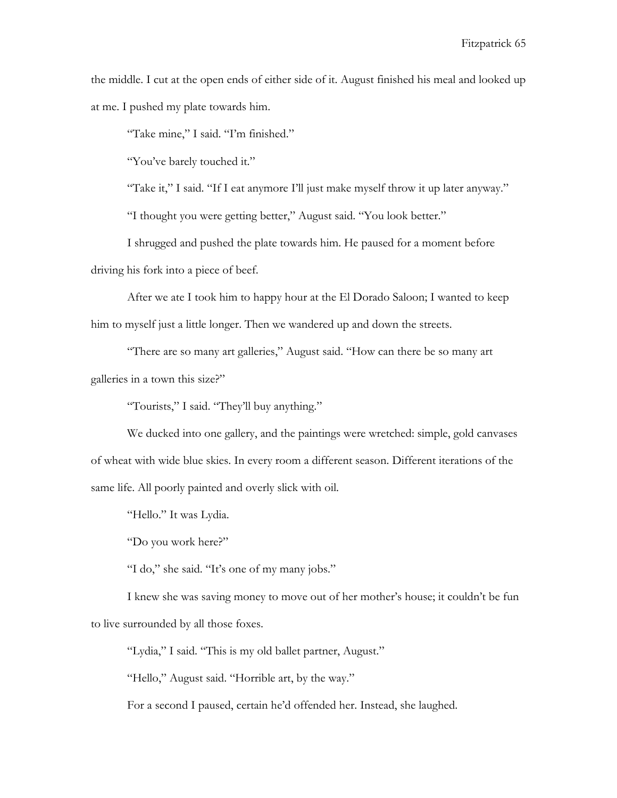the middle. I cut at the open ends of either side of it. August finished his meal and looked up at me. I pushed my plate towards him.

"Take mine," I said. "I'm finished."

"You've barely touched it."

"Take it," I said. "If I eat anymore I'll just make myself throw it up later anyway."

"I thought you were getting better," August said. "You look better."

I shrugged and pushed the plate towards him. He paused for a moment before driving his fork into a piece of beef.

After we ate I took him to happy hour at the El Dorado Saloon; I wanted to keep him to myself just a little longer. Then we wandered up and down the streets.

"There are so many art galleries," August said. "How can there be so many art galleries in a town this size?"

"Tourists," I said. "They'll buy anything."

We ducked into one gallery, and the paintings were wretched: simple, gold canvases of wheat with wide blue skies. In every room a different season. Different iterations of the same life. All poorly painted and overly slick with oil.

"Hello." It was Lydia.

"Do you work here?"

"I do," she said. "It's one of my many jobs."

I knew she was saving money to move out of her mother's house; it couldn't be fun to live surrounded by all those foxes.

"Lydia," I said. "This is my old ballet partner, August."

"Hello," August said. "Horrible art, by the way."

For a second I paused, certain he'd offended her. Instead, she laughed.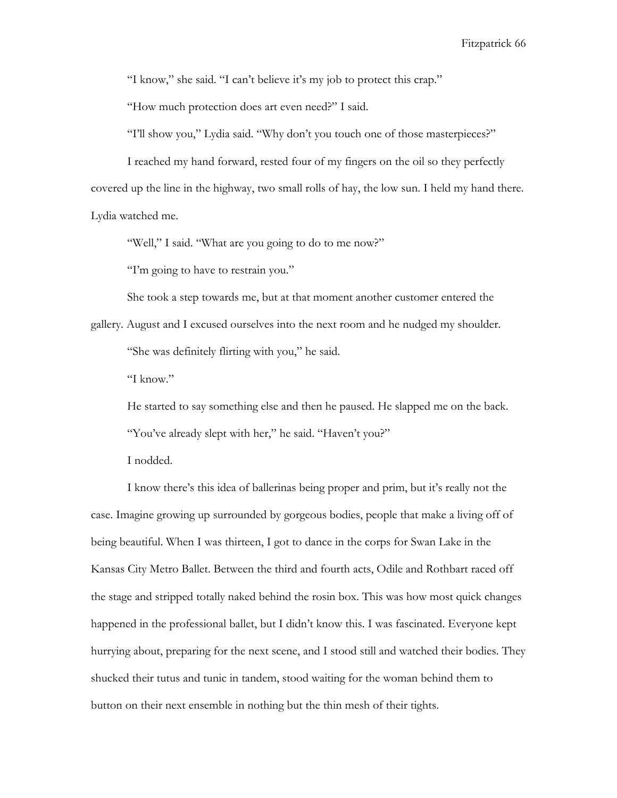"I know," she said. "I can't believe it's my job to protect this crap."

"How much protection does art even need?" I said.

"I'll show you," Lydia said. "Why don't you touch one of those masterpieces?"

I reached my hand forward, rested four of my fingers on the oil so they perfectly covered up the line in the highway, two small rolls of hay, the low sun. I held my hand there. Lydia watched me.

"Well," I said. "What are you going to do to me now?"

"I'm going to have to restrain you."

She took a step towards me, but at that moment another customer entered the

gallery. August and I excused ourselves into the next room and he nudged my shoulder. "She was definitely flirting with you," he said.

"I know."

He started to say something else and then he paused. He slapped me on the back.

"You've already slept with her," he said. "Haven't you?"

I nodded.

I know there's this idea of ballerinas being proper and prim, but it's really not the case. Imagine growing up surrounded by gorgeous bodies, people that make a living off of being beautiful. When I was thirteen, I got to dance in the corps for Swan Lake in the Kansas City Metro Ballet. Between the third and fourth acts, Odile and Rothbart raced off the stage and stripped totally naked behind the rosin box. This was how most quick changes happened in the professional ballet, but I didn't know this. I was fascinated. Everyone kept hurrying about, preparing for the next scene, and I stood still and watched their bodies. They shucked their tutus and tunic in tandem, stood waiting for the woman behind them to button on their next ensemble in nothing but the thin mesh of their tights.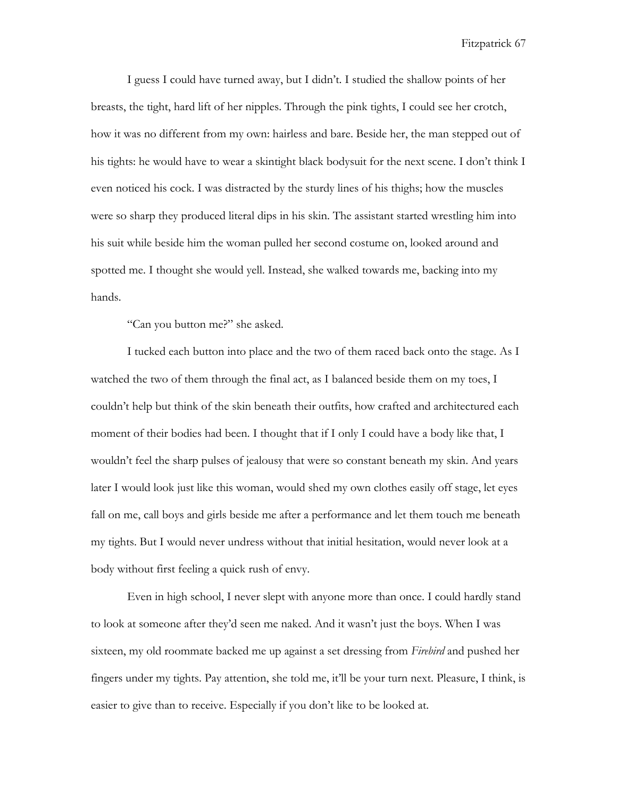I guess I could have turned away, but I didn't. I studied the shallow points of her breasts, the tight, hard lift of her nipples. Through the pink tights, I could see her crotch, how it was no different from my own: hairless and bare. Beside her, the man stepped out of his tights: he would have to wear a skintight black bodysuit for the next scene. I don't think I even noticed his cock. I was distracted by the sturdy lines of his thighs; how the muscles were so sharp they produced literal dips in his skin. The assistant started wrestling him into his suit while beside him the woman pulled her second costume on, looked around and spotted me. I thought she would yell. Instead, she walked towards me, backing into my hands.

"Can you button me?" she asked.

I tucked each button into place and the two of them raced back onto the stage. As I watched the two of them through the final act, as I balanced beside them on my toes, I couldn't help but think of the skin beneath their outfits, how crafted and architectured each moment of their bodies had been. I thought that if I only I could have a body like that, I wouldn't feel the sharp pulses of jealousy that were so constant beneath my skin. And years later I would look just like this woman, would shed my own clothes easily off stage, let eyes fall on me, call boys and girls beside me after a performance and let them touch me beneath my tights. But I would never undress without that initial hesitation, would never look at a body without first feeling a quick rush of envy.

Even in high school, I never slept with anyone more than once. I could hardly stand to look at someone after they'd seen me naked. And it wasn't just the boys. When I was sixteen, my old roommate backed me up against a set dressing from *Firebird* and pushed her fingers under my tights. Pay attention, she told me, it'll be your turn next. Pleasure, I think, is easier to give than to receive. Especially if you don't like to be looked at.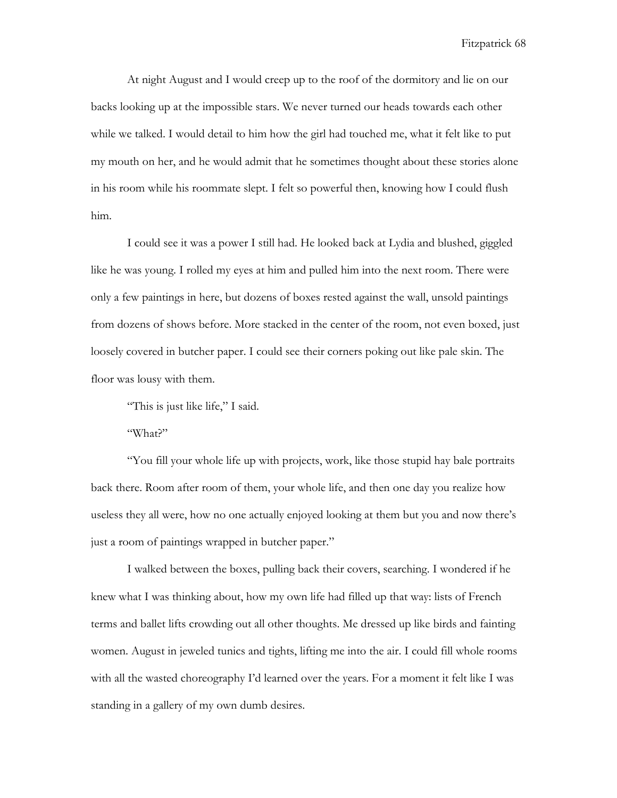At night August and I would creep up to the roof of the dormitory and lie on our backs looking up at the impossible stars. We never turned our heads towards each other while we talked. I would detail to him how the girl had touched me, what it felt like to put my mouth on her, and he would admit that he sometimes thought about these stories alone in his room while his roommate slept. I felt so powerful then, knowing how I could flush him.

I could see it was a power I still had. He looked back at Lydia and blushed, giggled like he was young. I rolled my eyes at him and pulled him into the next room. There were only a few paintings in here, but dozens of boxes rested against the wall, unsold paintings from dozens of shows before. More stacked in the center of the room, not even boxed, just loosely covered in butcher paper. I could see their corners poking out like pale skin. The floor was lousy with them.

"This is just like life," I said.

"What?"

"You fill your whole life up with projects, work, like those stupid hay bale portraits back there. Room after room of them, your whole life, and then one day you realize how useless they all were, how no one actually enjoyed looking at them but you and now there's just a room of paintings wrapped in butcher paper."

I walked between the boxes, pulling back their covers, searching. I wondered if he knew what I was thinking about, how my own life had filled up that way: lists of French terms and ballet lifts crowding out all other thoughts. Me dressed up like birds and fainting women. August in jeweled tunics and tights, lifting me into the air. I could fill whole rooms with all the wasted choreography I'd learned over the years. For a moment it felt like I was standing in a gallery of my own dumb desires.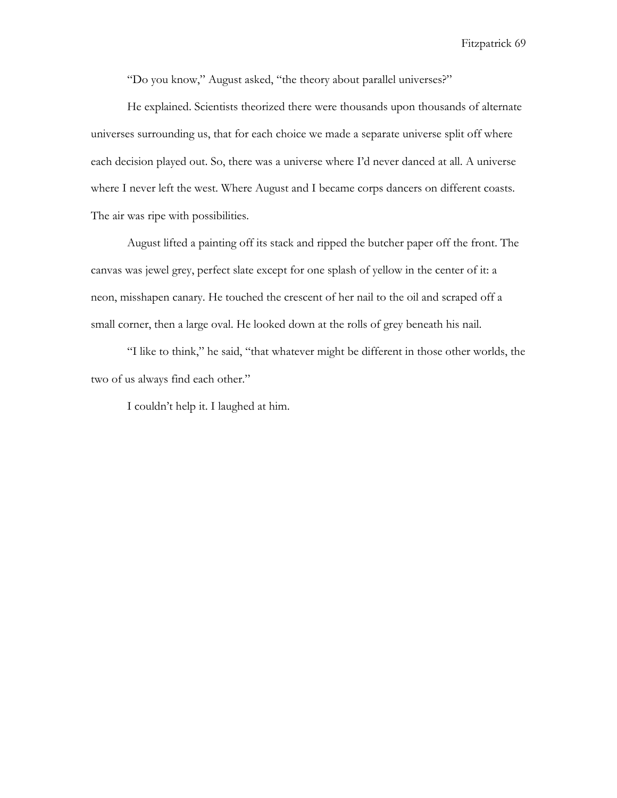"Do you know," August asked, "the theory about parallel universes?"

He explained. Scientists theorized there were thousands upon thousands of alternate universes surrounding us, that for each choice we made a separate universe split off where each decision played out. So, there was a universe where I'd never danced at all. A universe where I never left the west. Where August and I became corps dancers on different coasts. The air was ripe with possibilities.

August lifted a painting off its stack and ripped the butcher paper off the front. The canvas was jewel grey, perfect slate except for one splash of yellow in the center of it: a neon, misshapen canary. He touched the crescent of her nail to the oil and scraped off a small corner, then a large oval. He looked down at the rolls of grey beneath his nail.

"I like to think," he said, "that whatever might be different in those other worlds, the two of us always find each other."

I couldn't help it. I laughed at him.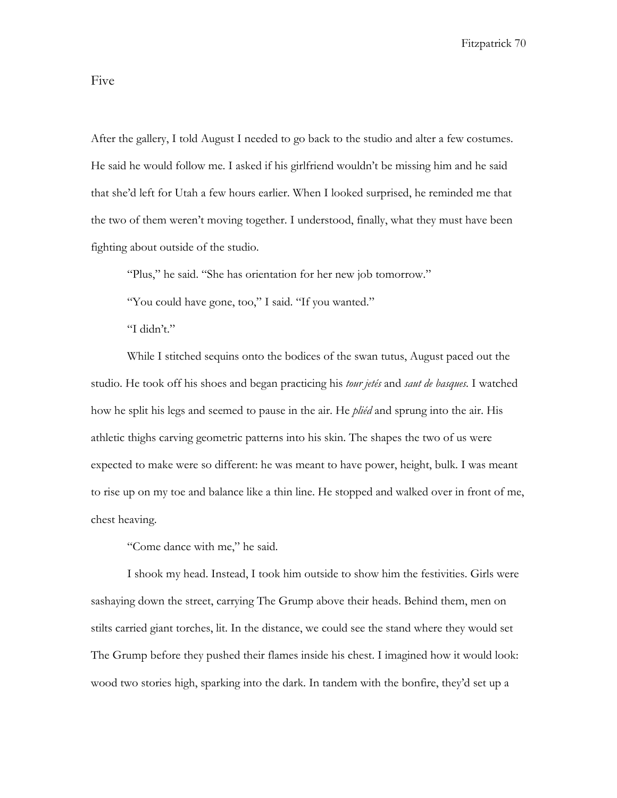Five

After the gallery, I told August I needed to go back to the studio and alter a few costumes. He said he would follow me. I asked if his girlfriend wouldn't be missing him and he said that she'd left for Utah a few hours earlier. When I looked surprised, he reminded me that the two of them weren't moving together. I understood, finally, what they must have been fighting about outside of the studio.

"Plus," he said. "She has orientation for her new job tomorrow."

"You could have gone, too," I said. "If you wanted."

"I didn't."

While I stitched sequins onto the bodices of the swan tutus, August paced out the studio. He took off his shoes and began practicing his *tour jetés* and *saut de basques.* I watched how he split his legs and seemed to pause in the air. He *pliéd* and sprung into the air. His athletic thighs carving geometric patterns into his skin. The shapes the two of us were expected to make were so different: he was meant to have power, height, bulk. I was meant to rise up on my toe and balance like a thin line. He stopped and walked over in front of me, chest heaving.

"Come dance with me," he said.

I shook my head. Instead, I took him outside to show him the festivities. Girls were sashaying down the street, carrying The Grump above their heads. Behind them, men on stilts carried giant torches, lit. In the distance, we could see the stand where they would set The Grump before they pushed their flames inside his chest. I imagined how it would look: wood two stories high, sparking into the dark. In tandem with the bonfire, they'd set up a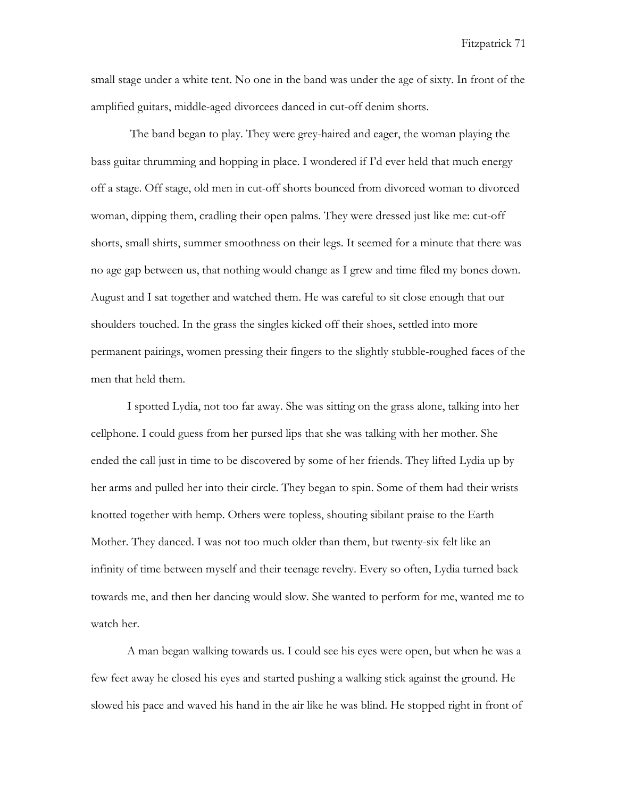small stage under a white tent. No one in the band was under the age of sixty. In front of the amplified guitars, middle-aged divorcees danced in cut-off denim shorts.

The band began to play. They were grey-haired and eager, the woman playing the bass guitar thrumming and hopping in place. I wondered if I'd ever held that much energy off a stage. Off stage, old men in cut-off shorts bounced from divorced woman to divorced woman, dipping them, cradling their open palms. They were dressed just like me: cut-off shorts, small shirts, summer smoothness on their legs. It seemed for a minute that there was no age gap between us, that nothing would change as I grew and time filed my bones down. August and I sat together and watched them. He was careful to sit close enough that our shoulders touched. In the grass the singles kicked off their shoes, settled into more permanent pairings, women pressing their fingers to the slightly stubble-roughed faces of the men that held them.

I spotted Lydia, not too far away. She was sitting on the grass alone, talking into her cellphone. I could guess from her pursed lips that she was talking with her mother. She ended the call just in time to be discovered by some of her friends. They lifted Lydia up by her arms and pulled her into their circle. They began to spin. Some of them had their wrists knotted together with hemp. Others were topless, shouting sibilant praise to the Earth Mother. They danced. I was not too much older than them, but twenty-six felt like an infinity of time between myself and their teenage revelry. Every so often, Lydia turned back towards me, and then her dancing would slow. She wanted to perform for me, wanted me to watch her.

A man began walking towards us. I could see his eyes were open, but when he was a few feet away he closed his eyes and started pushing a walking stick against the ground. He slowed his pace and waved his hand in the air like he was blind. He stopped right in front of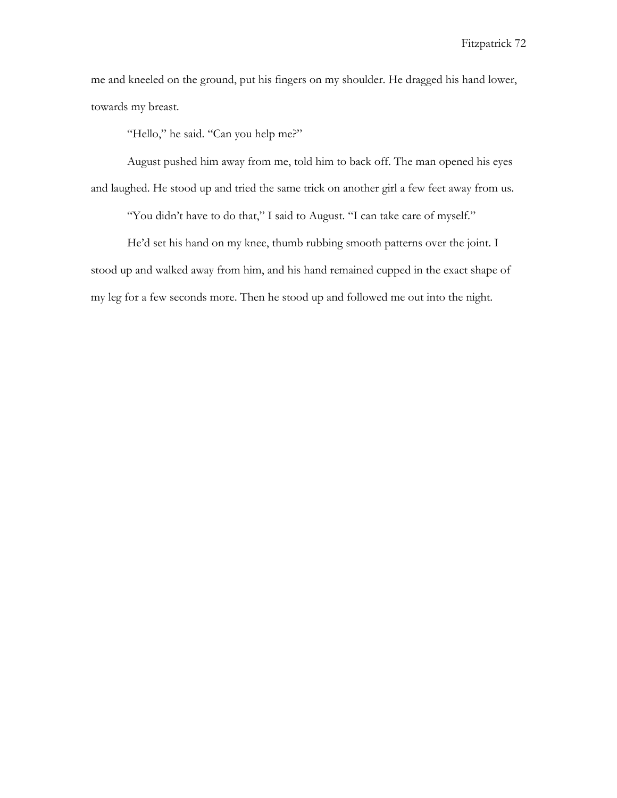me and kneeled on the ground, put his fingers on my shoulder. He dragged his hand lower, towards my breast.

"Hello," he said. "Can you help me?"

August pushed him away from me, told him to back off. The man opened his eyes and laughed. He stood up and tried the same trick on another girl a few feet away from us.

"You didn't have to do that," I said to August. "I can take care of myself."

He'd set his hand on my knee, thumb rubbing smooth patterns over the joint. I stood up and walked away from him, and his hand remained cupped in the exact shape of my leg for a few seconds more. Then he stood up and followed me out into the night.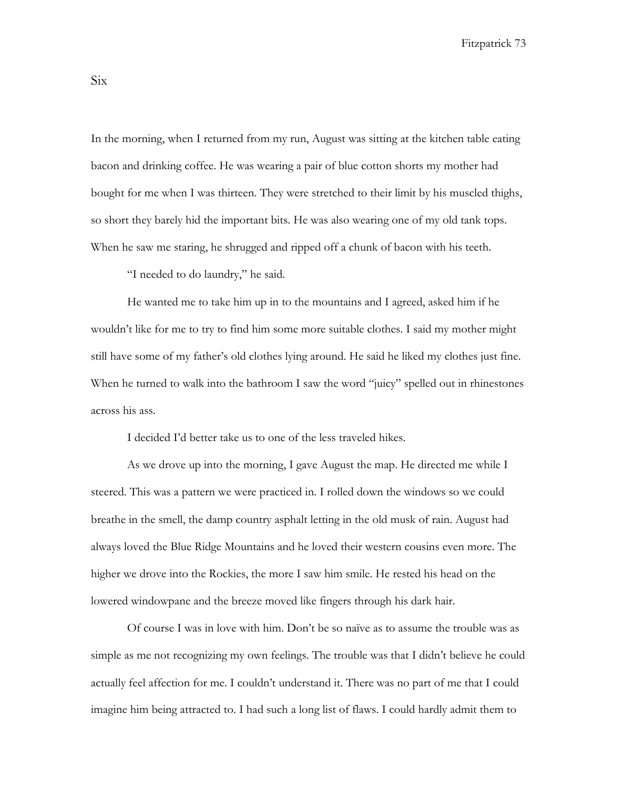In the morning, when I returned from my run, August was sitting at the kitchen table eating bacon and drinking coffee. He was wearing a pair of blue cotton shorts my mother had bought for me when I was thirteen. They were stretched to their limit by his muscled thighs, so short they barely hid the important bits. He was also wearing one of my old tank tops. When he saw me staring, he shrugged and ripped off a chunk of bacon with his teeth.

"I needed to do laundry," he said.

He wanted me to take him up in to the mountains and I agreed, asked him if he wouldn't like for me to try to find him some more suitable clothes. I said my mother might still have some of my father's old clothes lying around. He said he liked my clothes just fine. When he turned to walk into the bathroom I saw the word "juicy" spelled out in rhinestones across his ass.

I decided I'd better take us to one of the less traveled hikes.

As we drove up into the morning, I gave August the map. He directed me while I steered. This was a pattern we were practiced in. I rolled down the windows so we could breathe in the smell, the damp country asphalt letting in the old musk of rain. August had always loved the Blue Ridge Mountains and he loved their western cousins even more. The higher we drove into the Rockies, the more I saw him smile. He rested his head on the lowered windowpane and the breeze moved like fingers through his dark hair.

Of course I was in love with him. Don't be so naïve as to assume the trouble was as simple as me not recognizing my own feelings. The trouble was that I didn't believe he could actually feel affection for me. I couldn't understand it. There was no part of me that I could imagine him being attracted to. I had such a long list of flaws. I could hardly admit them to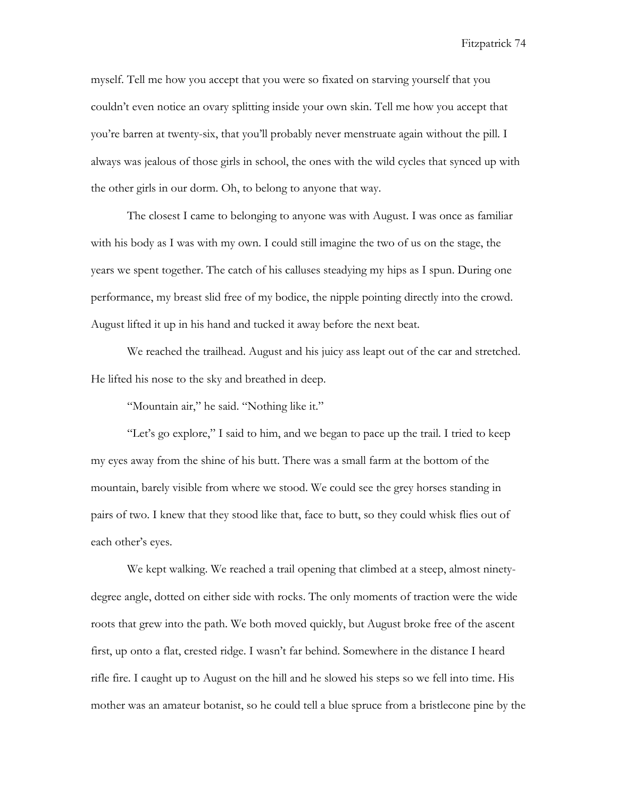myself. Tell me how you accept that you were so fixated on starving yourself that you couldn't even notice an ovary splitting inside your own skin. Tell me how you accept that you're barren at twenty-six, that you'll probably never menstruate again without the pill. I always was jealous of those girls in school, the ones with the wild cycles that synced up with the other girls in our dorm. Oh, to belong to anyone that way.

The closest I came to belonging to anyone was with August. I was once as familiar with his body as I was with my own. I could still imagine the two of us on the stage, the years we spent together. The catch of his calluses steadying my hips as I spun. During one performance, my breast slid free of my bodice, the nipple pointing directly into the crowd. August lifted it up in his hand and tucked it away before the next beat.

We reached the trailhead. August and his juicy ass leapt out of the car and stretched. He lifted his nose to the sky and breathed in deep.

"Mountain air," he said. "Nothing like it."

"Let's go explore," I said to him, and we began to pace up the trail. I tried to keep my eyes away from the shine of his butt. There was a small farm at the bottom of the mountain, barely visible from where we stood. We could see the grey horses standing in pairs of two. I knew that they stood like that, face to butt, so they could whisk flies out of each other's eyes.

We kept walking. We reached a trail opening that climbed at a steep, almost ninetydegree angle, dotted on either side with rocks. The only moments of traction were the wide roots that grew into the path. We both moved quickly, but August broke free of the ascent first, up onto a flat, crested ridge. I wasn't far behind. Somewhere in the distance I heard rifle fire. I caught up to August on the hill and he slowed his steps so we fell into time. His mother was an amateur botanist, so he could tell a blue spruce from a bristlecone pine by the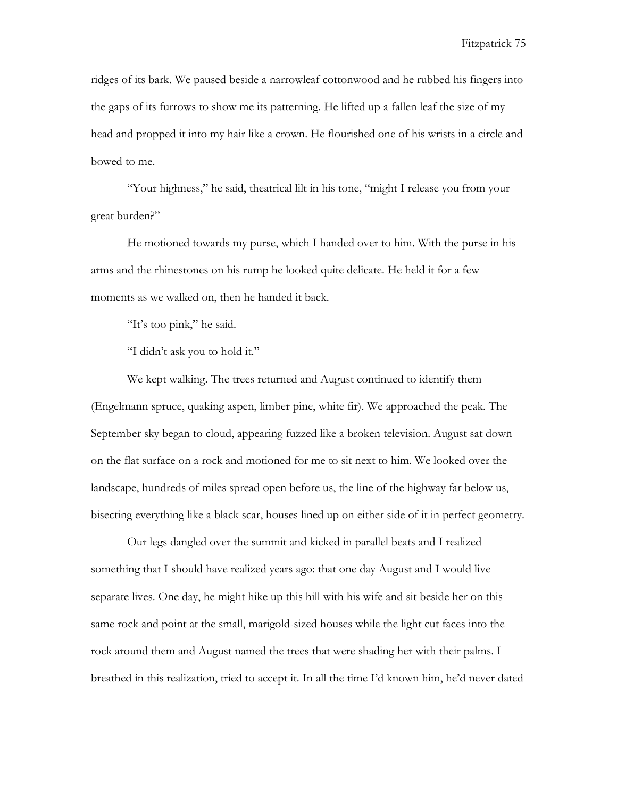ridges of its bark. We paused beside a narrowleaf cottonwood and he rubbed his fingers into the gaps of its furrows to show me its patterning. He lifted up a fallen leaf the size of my head and propped it into my hair like a crown. He flourished one of his wrists in a circle and bowed to me.

"Your highness," he said, theatrical lilt in his tone, "might I release you from your great burden?"

He motioned towards my purse, which I handed over to him. With the purse in his arms and the rhinestones on his rump he looked quite delicate. He held it for a few moments as we walked on, then he handed it back.

"It's too pink," he said.

"I didn't ask you to hold it."

We kept walking. The trees returned and August continued to identify them (Engelmann spruce, quaking aspen, limber pine, white fir). We approached the peak. The September sky began to cloud, appearing fuzzed like a broken television. August sat down on the flat surface on a rock and motioned for me to sit next to him. We looked over the landscape, hundreds of miles spread open before us, the line of the highway far below us, bisecting everything like a black scar, houses lined up on either side of it in perfect geometry.

Our legs dangled over the summit and kicked in parallel beats and I realized something that I should have realized years ago: that one day August and I would live separate lives. One day, he might hike up this hill with his wife and sit beside her on this same rock and point at the small, marigold-sized houses while the light cut faces into the rock around them and August named the trees that were shading her with their palms. I breathed in this realization, tried to accept it. In all the time I'd known him, he'd never dated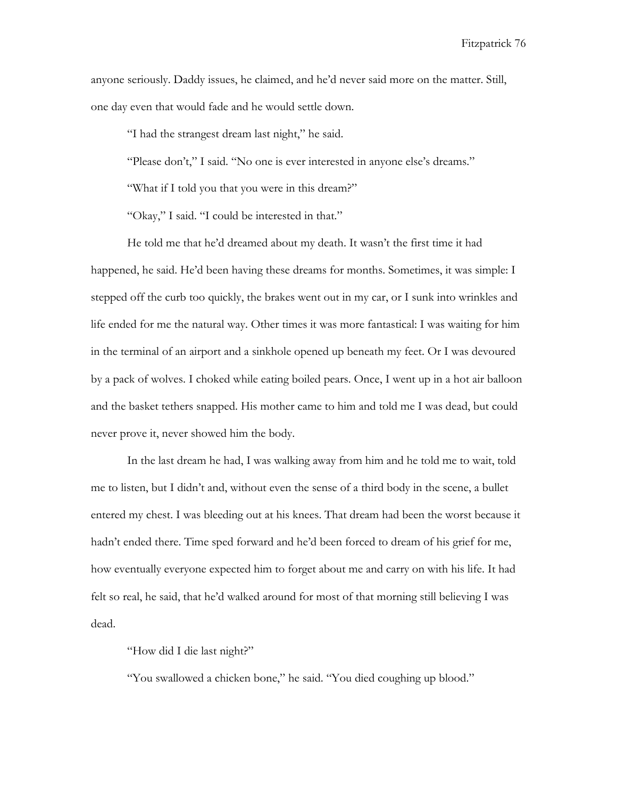anyone seriously. Daddy issues, he claimed, and he'd never said more on the matter. Still, one day even that would fade and he would settle down.

"I had the strangest dream last night," he said.

"Please don't," I said. "No one is ever interested in anyone else's dreams."

"What if I told you that you were in this dream?"

"Okay," I said. "I could be interested in that."

He told me that he'd dreamed about my death. It wasn't the first time it had happened, he said. He'd been having these dreams for months. Sometimes, it was simple: I stepped off the curb too quickly, the brakes went out in my car, or I sunk into wrinkles and life ended for me the natural way. Other times it was more fantastical: I was waiting for him in the terminal of an airport and a sinkhole opened up beneath my feet. Or I was devoured by a pack of wolves. I choked while eating boiled pears. Once, I went up in a hot air balloon and the basket tethers snapped. His mother came to him and told me I was dead, but could never prove it, never showed him the body.

In the last dream he had, I was walking away from him and he told me to wait, told me to listen, but I didn't and, without even the sense of a third body in the scene, a bullet entered my chest. I was bleeding out at his knees. That dream had been the worst because it hadn't ended there. Time sped forward and he'd been forced to dream of his grief for me, how eventually everyone expected him to forget about me and carry on with his life. It had felt so real, he said, that he'd walked around for most of that morning still believing I was dead.

"How did I die last night?"

"You swallowed a chicken bone," he said. "You died coughing up blood."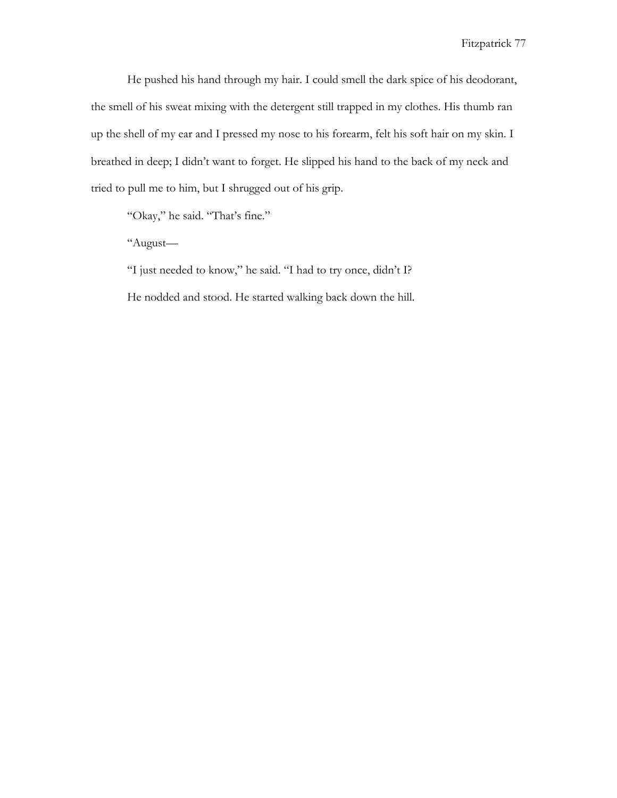He pushed his hand through my hair. I could smell the dark spice of his deodorant, the smell of his sweat mixing with the detergent still trapped in my clothes. His thumb ran up the shell of my ear and I pressed my nose to his forearm, felt his soft hair on my skin. I breathed in deep; I didn't want to forget. He slipped his hand to the back of my neck and tried to pull me to him, but I shrugged out of his grip.

"Okay," he said. "That's fine."

"August—

"I just needed to know," he said. "I had to try once, didn't I? He nodded and stood. He started walking back down the hill.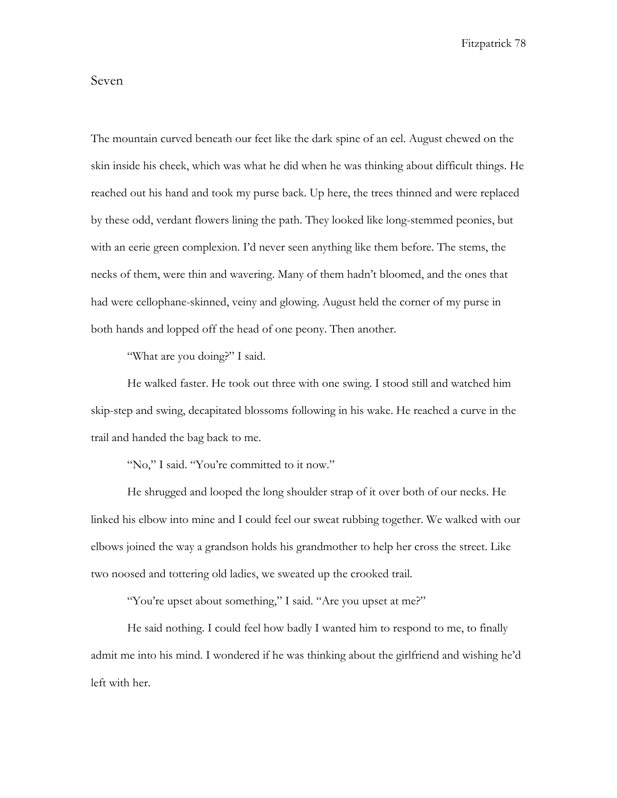## Seven

The mountain curved beneath our feet like the dark spine of an eel. August chewed on the skin inside his cheek, which was what he did when he was thinking about difficult things. He reached out his hand and took my purse back. Up here, the trees thinned and were replaced by these odd, verdant flowers lining the path. They looked like long-stemmed peonies, but with an eerie green complexion. I'd never seen anything like them before. The stems, the necks of them, were thin and wavering. Many of them hadn't bloomed, and the ones that had were cellophane-skinned, veiny and glowing. August held the corner of my purse in both hands and lopped off the head of one peony. Then another.

"What are you doing?" I said.

He walked faster. He took out three with one swing. I stood still and watched him skip-step and swing, decapitated blossoms following in his wake. He reached a curve in the trail and handed the bag back to me.

"No," I said. "You're committed to it now."

He shrugged and looped the long shoulder strap of it over both of our necks. He linked his elbow into mine and I could feel our sweat rubbing together. We walked with our elbows joined the way a grandson holds his grandmother to help her cross the street. Like two noosed and tottering old ladies, we sweated up the crooked trail.

"You're upset about something," I said. "Are you upset at me?"

He said nothing. I could feel how badly I wanted him to respond to me, to finally admit me into his mind. I wondered if he was thinking about the girlfriend and wishing he'd left with her.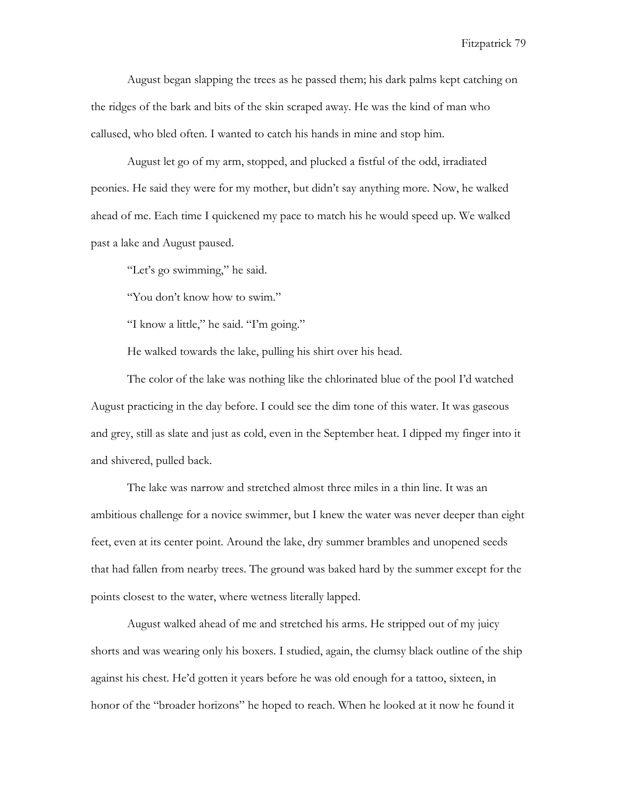August began slapping the trees as he passed them; his dark palms kept catching on the ridges of the bark and bits of the skin scraped away. He was the kind of man who callused, who bled often. I wanted to catch his hands in mine and stop him.

August let go of my arm, stopped, and plucked a fistful of the odd, irradiated peonies. He said they were for my mother, but didn't say anything more. Now, he walked ahead of me. Each time I quickened my pace to match his he would speed up. We walked past a lake and August paused.

"Let's go swimming," he said.

"You don't know how to swim."

"I know a little," he said. "I'm going."

He walked towards the lake, pulling his shirt over his head.

The color of the lake was nothing like the chlorinated blue of the pool I'd watched August practicing in the day before. I could see the dim tone of this water. It was gaseous and grey, still as slate and just as cold, even in the September heat. I dipped my finger into it and shivered, pulled back.

The lake was narrow and stretched almost three miles in a thin line. It was an ambitious challenge for a novice swimmer, but I knew the water was never deeper than eight feet, even at its center point. Around the lake, dry summer brambles and unopened seeds that had fallen from nearby trees. The ground was baked hard by the summer except for the points closest to the water, where wetness literally lapped.

August walked ahead of me and stretched his arms. He stripped out of my juicy shorts and was wearing only his boxers. I studied, again, the clumsy black outline of the ship against his chest. He'd gotten it years before he was old enough for a tattoo, sixteen, in honor of the "broader horizons" he hoped to reach. When he looked at it now he found it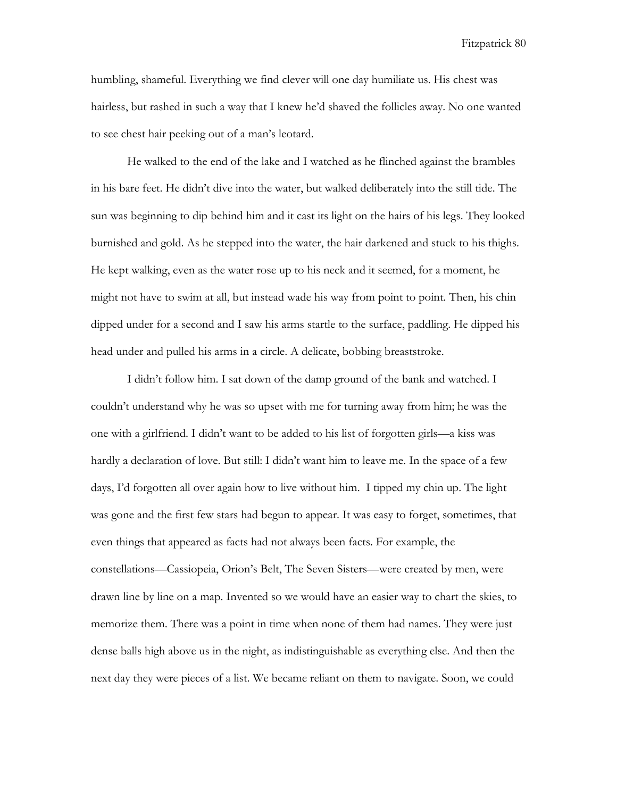humbling, shameful. Everything we find clever will one day humiliate us. His chest was hairless, but rashed in such a way that I knew he'd shaved the follicles away. No one wanted to see chest hair peeking out of a man's leotard.

He walked to the end of the lake and I watched as he flinched against the brambles in his bare feet. He didn't dive into the water, but walked deliberately into the still tide. The sun was beginning to dip behind him and it cast its light on the hairs of his legs. They looked burnished and gold. As he stepped into the water, the hair darkened and stuck to his thighs. He kept walking, even as the water rose up to his neck and it seemed, for a moment, he might not have to swim at all, but instead wade his way from point to point. Then, his chin dipped under for a second and I saw his arms startle to the surface, paddling. He dipped his head under and pulled his arms in a circle. A delicate, bobbing breaststroke.

I didn't follow him. I sat down of the damp ground of the bank and watched. I couldn't understand why he was so upset with me for turning away from him; he was the one with a girlfriend. I didn't want to be added to his list of forgotten girls—a kiss was hardly a declaration of love. But still: I didn't want him to leave me. In the space of a few days, I'd forgotten all over again how to live without him. I tipped my chin up. The light was gone and the first few stars had begun to appear. It was easy to forget, sometimes, that even things that appeared as facts had not always been facts. For example, the constellations—Cassiopeia, Orion's Belt, The Seven Sisters—were created by men, were drawn line by line on a map. Invented so we would have an easier way to chart the skies, to memorize them. There was a point in time when none of them had names. They were just dense balls high above us in the night, as indistinguishable as everything else. And then the next day they were pieces of a list. We became reliant on them to navigate. Soon, we could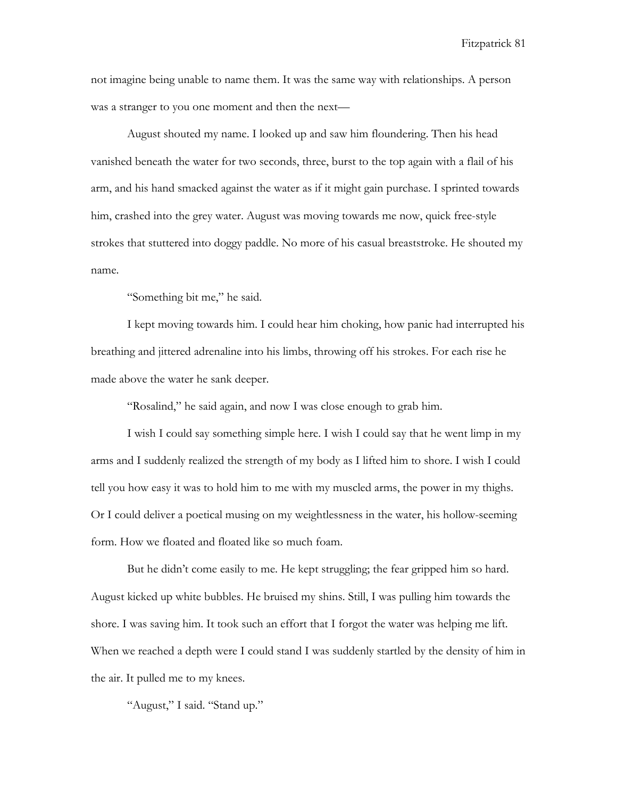not imagine being unable to name them. It was the same way with relationships. A person was a stranger to you one moment and then the next—

August shouted my name. I looked up and saw him floundering. Then his head vanished beneath the water for two seconds, three, burst to the top again with a flail of his arm, and his hand smacked against the water as if it might gain purchase. I sprinted towards him, crashed into the grey water. August was moving towards me now, quick free-style strokes that stuttered into doggy paddle. No more of his casual breaststroke. He shouted my name.

"Something bit me," he said.

I kept moving towards him. I could hear him choking, how panic had interrupted his breathing and jittered adrenaline into his limbs, throwing off his strokes. For each rise he made above the water he sank deeper.

"Rosalind," he said again, and now I was close enough to grab him.

I wish I could say something simple here. I wish I could say that he went limp in my arms and I suddenly realized the strength of my body as I lifted him to shore. I wish I could tell you how easy it was to hold him to me with my muscled arms, the power in my thighs. Or I could deliver a poetical musing on my weightlessness in the water, his hollow-seeming form. How we floated and floated like so much foam.

But he didn't come easily to me. He kept struggling; the fear gripped him so hard. August kicked up white bubbles. He bruised my shins. Still, I was pulling him towards the shore. I was saving him. It took such an effort that I forgot the water was helping me lift. When we reached a depth were I could stand I was suddenly startled by the density of him in the air. It pulled me to my knees.

"August," I said. "Stand up."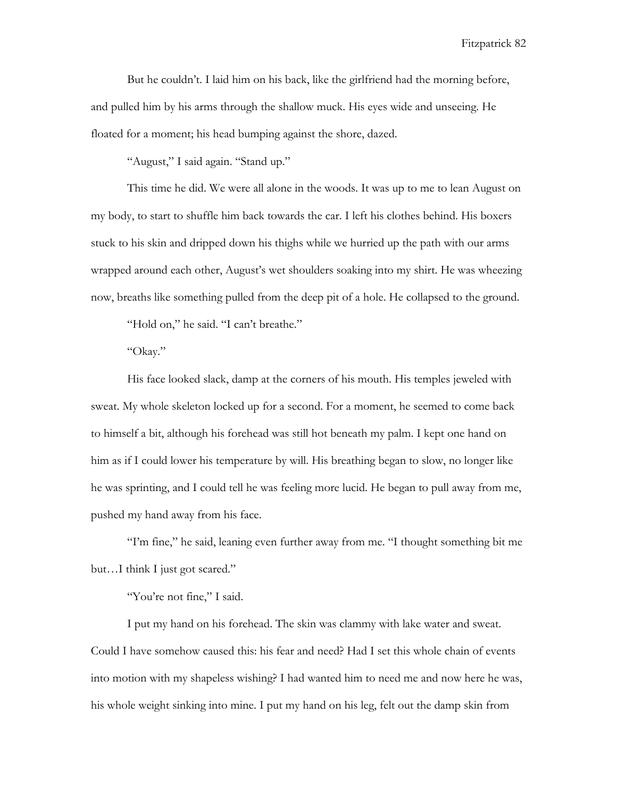But he couldn't. I laid him on his back, like the girlfriend had the morning before, and pulled him by his arms through the shallow muck. His eyes wide and unseeing. He floated for a moment; his head bumping against the shore, dazed.

"August," I said again. "Stand up."

This time he did. We were all alone in the woods. It was up to me to lean August on my body, to start to shuffle him back towards the car. I left his clothes behind. His boxers stuck to his skin and dripped down his thighs while we hurried up the path with our arms wrapped around each other, August's wet shoulders soaking into my shirt. He was wheezing now, breaths like something pulled from the deep pit of a hole. He collapsed to the ground.

"Hold on," he said. "I can't breathe."

"Okay."

His face looked slack, damp at the corners of his mouth. His temples jeweled with sweat. My whole skeleton locked up for a second. For a moment, he seemed to come back to himself a bit, although his forehead was still hot beneath my palm. I kept one hand on him as if I could lower his temperature by will. His breathing began to slow, no longer like he was sprinting, and I could tell he was feeling more lucid. He began to pull away from me, pushed my hand away from his face.

"I'm fine," he said, leaning even further away from me. "I thought something bit me but…I think I just got scared."

"You're not fine," I said.

I put my hand on his forehead. The skin was clammy with lake water and sweat. Could I have somehow caused this: his fear and need? Had I set this whole chain of events into motion with my shapeless wishing? I had wanted him to need me and now here he was, his whole weight sinking into mine. I put my hand on his leg, felt out the damp skin from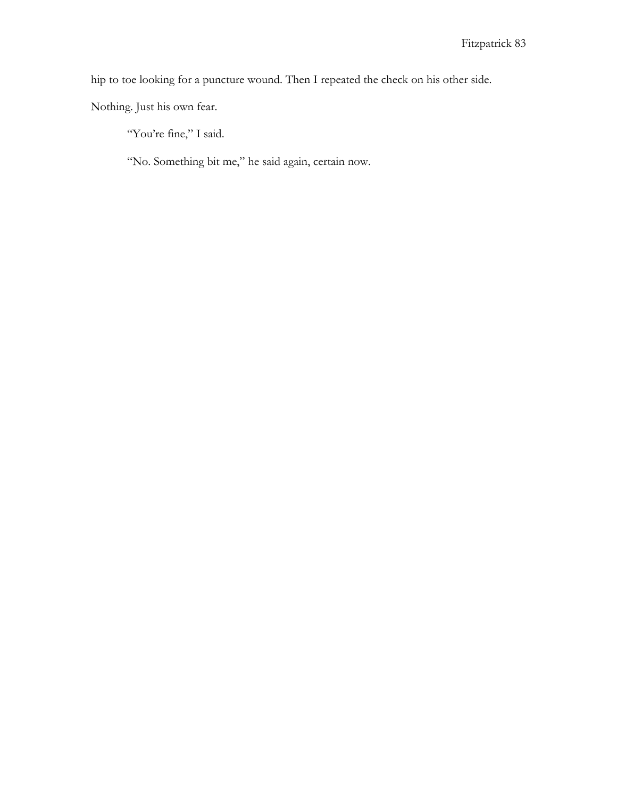hip to toe looking for a puncture wound. Then I repeated the check on his other side.

Nothing. Just his own fear.

"You're fine," I said.

"No. Something bit me," he said again, certain now.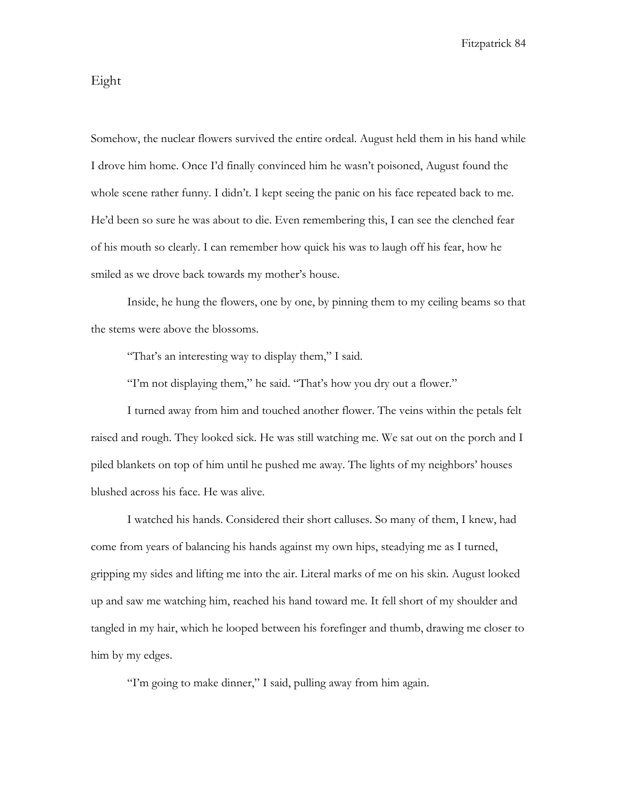## Eight

Somehow, the nuclear flowers survived the entire ordeal. August held them in his hand while I drove him home. Once I'd finally convinced him he wasn't poisoned, August found the whole scene rather funny. I didn't. I kept seeing the panic on his face repeated back to me. He'd been so sure he was about to die. Even remembering this, I can see the clenched fear of his mouth so clearly. I can remember how quick his was to laugh off his fear, how he smiled as we drove back towards my mother's house.

Inside, he hung the flowers, one by one, by pinning them to my ceiling beams so that the stems were above the blossoms.

"That's an interesting way to display them," I said.

"I'm not displaying them," he said. "That's how you dry out a flower."

I turned away from him and touched another flower. The veins within the petals felt raised and rough. They looked sick. He was still watching me. We sat out on the porch and I piled blankets on top of him until he pushed me away. The lights of my neighbors' houses blushed across his face. He was alive.

I watched his hands. Considered their short calluses. So many of them, I knew, had come from years of balancing his hands against my own hips, steadying me as I turned, gripping my sides and lifting me into the air. Literal marks of me on his skin. August looked up and saw me watching him, reached his hand toward me. It fell short of my shoulder and tangled in my hair, which he looped between his forefinger and thumb, drawing me closer to him by my edges.

"I'm going to make dinner," I said, pulling away from him again.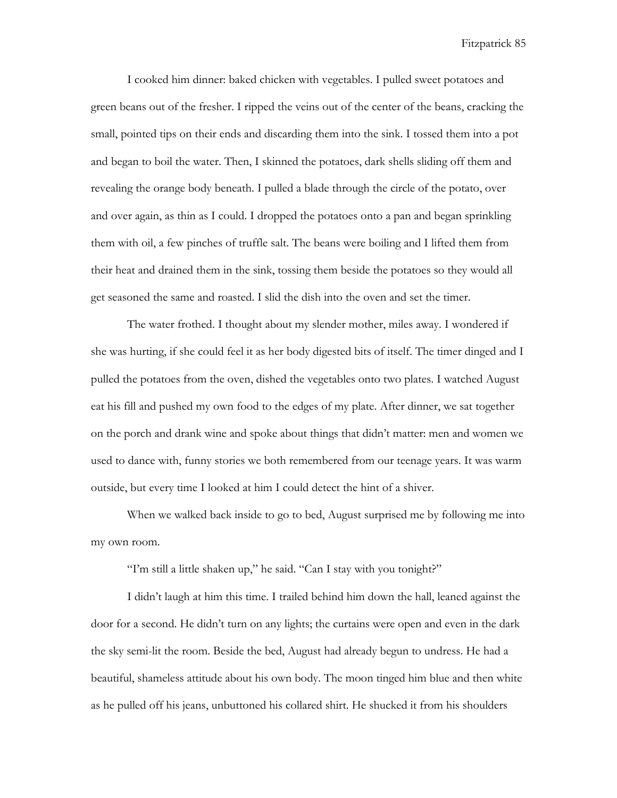I cooked him dinner: baked chicken with vegetables. I pulled sweet potatoes and green beans out of the fresher. I ripped the veins out of the center of the beans, cracking the small, pointed tips on their ends and discarding them into the sink. I tossed them into a pot and began to boil the water. Then, I skinned the potatoes, dark shells sliding off them and revealing the orange body beneath. I pulled a blade through the circle of the potato, over and over again, as thin as I could. I dropped the potatoes onto a pan and began sprinkling them with oil, a few pinches of truffle salt. The beans were boiling and I lifted them from their heat and drained them in the sink, tossing them beside the potatoes so they would all get seasoned the same and roasted. I slid the dish into the oven and set the timer.

The water frothed. I thought about my slender mother, miles away. I wondered if she was hurting, if she could feel it as her body digested bits of itself. The timer dinged and I pulled the potatoes from the oven, dished the vegetables onto two plates. I watched August eat his fill and pushed my own food to the edges of my plate. After dinner, we sat together on the porch and drank wine and spoke about things that didn't matter: men and women we used to dance with, funny stories we both remembered from our teenage years. It was warm outside, but every time I looked at him I could detect the hint of a shiver.

When we walked back inside to go to bed, August surprised me by following me into my own room.

"I'm still a little shaken up," he said. "Can I stay with you tonight?"

I didn't laugh at him this time. I trailed behind him down the hall, leaned against the door for a second. He didn't turn on any lights; the curtains were open and even in the dark the sky semi-lit the room. Beside the bed, August had already begun to undress. He had a beautiful, shameless attitude about his own body. The moon tinged him blue and then white as he pulled off his jeans, unbuttoned his collared shirt. He shucked it from his shoulders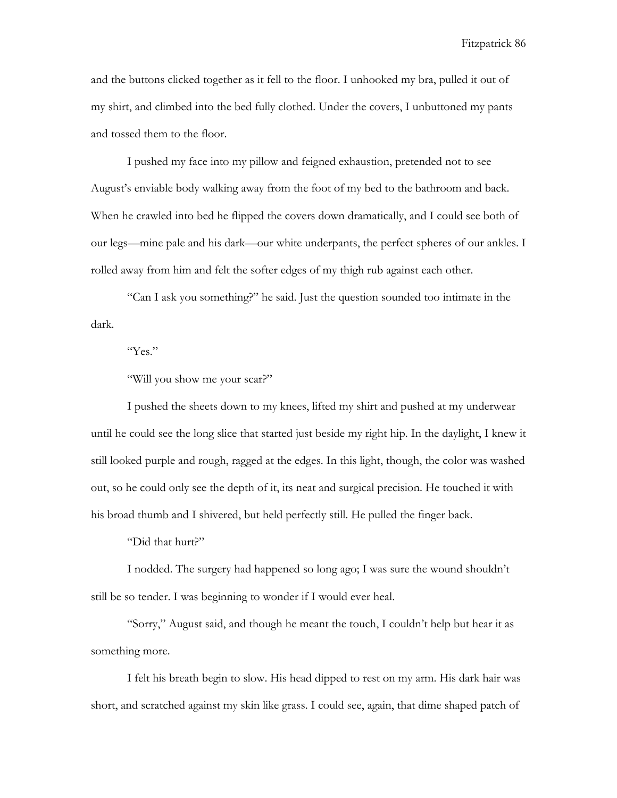and the buttons clicked together as it fell to the floor. I unhooked my bra, pulled it out of my shirt, and climbed into the bed fully clothed. Under the covers, I unbuttoned my pants and tossed them to the floor.

I pushed my face into my pillow and feigned exhaustion, pretended not to see August's enviable body walking away from the foot of my bed to the bathroom and back. When he crawled into bed he flipped the covers down dramatically, and I could see both of our legs—mine pale and his dark—our white underpants, the perfect spheres of our ankles. I rolled away from him and felt the softer edges of my thigh rub against each other.

"Can I ask you something?" he said. Just the question sounded too intimate in the dark.

"Yes."

"Will you show me your scar?"

I pushed the sheets down to my knees, lifted my shirt and pushed at my underwear until he could see the long slice that started just beside my right hip. In the daylight, I knew it still looked purple and rough, ragged at the edges. In this light, though, the color was washed out, so he could only see the depth of it, its neat and surgical precision. He touched it with his broad thumb and I shivered, but held perfectly still. He pulled the finger back.

"Did that hurt?"

I nodded. The surgery had happened so long ago; I was sure the wound shouldn't still be so tender. I was beginning to wonder if I would ever heal.

"Sorry," August said, and though he meant the touch, I couldn't help but hear it as something more.

I felt his breath begin to slow. His head dipped to rest on my arm. His dark hair was short, and scratched against my skin like grass. I could see, again, that dime shaped patch of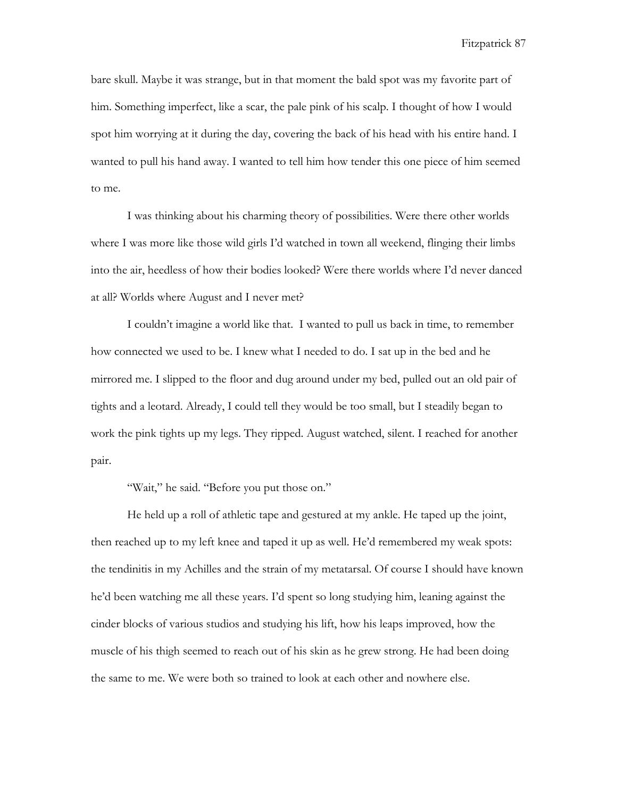bare skull. Maybe it was strange, but in that moment the bald spot was my favorite part of him. Something imperfect, like a scar, the pale pink of his scalp. I thought of how I would spot him worrying at it during the day, covering the back of his head with his entire hand. I wanted to pull his hand away. I wanted to tell him how tender this one piece of him seemed to me.

I was thinking about his charming theory of possibilities. Were there other worlds where I was more like those wild girls I'd watched in town all weekend, flinging their limbs into the air, heedless of how their bodies looked? Were there worlds where I'd never danced at all? Worlds where August and I never met?

I couldn't imagine a world like that. I wanted to pull us back in time, to remember how connected we used to be. I knew what I needed to do. I sat up in the bed and he mirrored me. I slipped to the floor and dug around under my bed, pulled out an old pair of tights and a leotard. Already, I could tell they would be too small, but I steadily began to work the pink tights up my legs. They ripped. August watched, silent. I reached for another pair.

"Wait," he said. "Before you put those on."

He held up a roll of athletic tape and gestured at my ankle. He taped up the joint, then reached up to my left knee and taped it up as well. He'd remembered my weak spots: the tendinitis in my Achilles and the strain of my metatarsal. Of course I should have known he'd been watching me all these years. I'd spent so long studying him, leaning against the cinder blocks of various studios and studying his lift, how his leaps improved, how the muscle of his thigh seemed to reach out of his skin as he grew strong. He had been doing the same to me. We were both so trained to look at each other and nowhere else.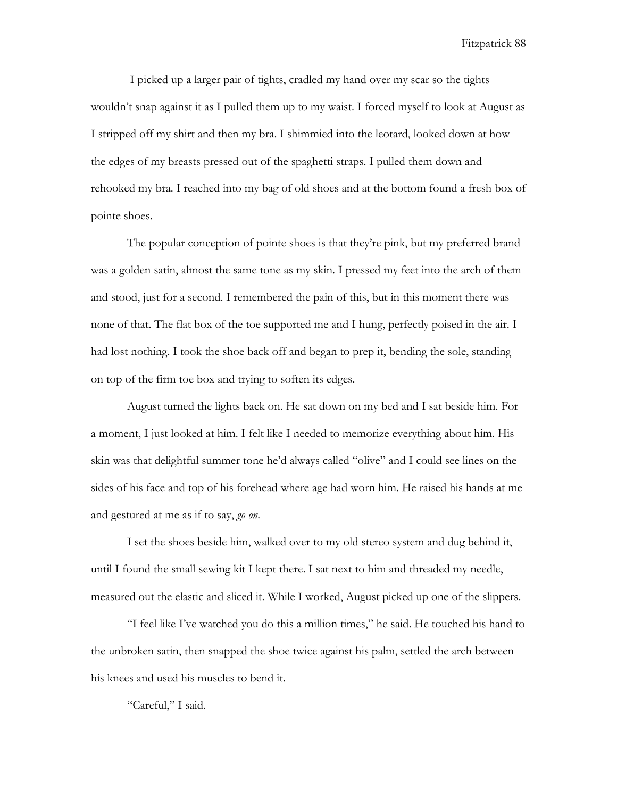I picked up a larger pair of tights, cradled my hand over my scar so the tights wouldn't snap against it as I pulled them up to my waist. I forced myself to look at August as I stripped off my shirt and then my bra. I shimmied into the leotard, looked down at how the edges of my breasts pressed out of the spaghetti straps. I pulled them down and rehooked my bra. I reached into my bag of old shoes and at the bottom found a fresh box of pointe shoes.

The popular conception of pointe shoes is that they're pink, but my preferred brand was a golden satin, almost the same tone as my skin. I pressed my feet into the arch of them and stood, just for a second. I remembered the pain of this, but in this moment there was none of that. The flat box of the toe supported me and I hung, perfectly poised in the air. I had lost nothing. I took the shoe back off and began to prep it, bending the sole, standing on top of the firm toe box and trying to soften its edges.

August turned the lights back on. He sat down on my bed and I sat beside him. For a moment, I just looked at him. I felt like I needed to memorize everything about him. His skin was that delightful summer tone he'd always called "olive" and I could see lines on the sides of his face and top of his forehead where age had worn him. He raised his hands at me and gestured at me as if to say, *go on.* 

I set the shoes beside him, walked over to my old stereo system and dug behind it, until I found the small sewing kit I kept there. I sat next to him and threaded my needle, measured out the elastic and sliced it. While I worked, August picked up one of the slippers.

"I feel like I've watched you do this a million times," he said. He touched his hand to the unbroken satin, then snapped the shoe twice against his palm, settled the arch between his knees and used his muscles to bend it.

"Careful," I said.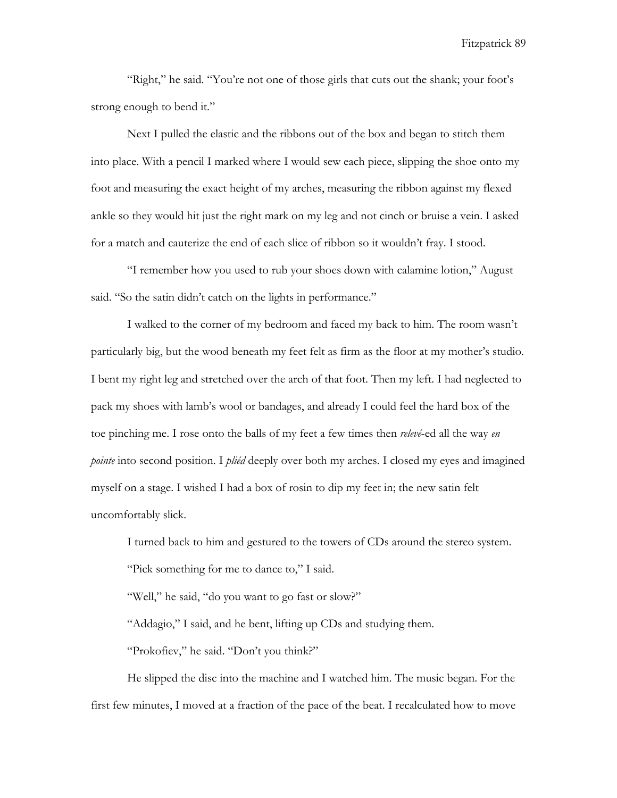"Right," he said. "You're not one of those girls that cuts out the shank; your foot's strong enough to bend it."

Next I pulled the elastic and the ribbons out of the box and began to stitch them into place. With a pencil I marked where I would sew each piece, slipping the shoe onto my foot and measuring the exact height of my arches, measuring the ribbon against my flexed ankle so they would hit just the right mark on my leg and not cinch or bruise a vein. I asked for a match and cauterize the end of each slice of ribbon so it wouldn't fray. I stood.

"I remember how you used to rub your shoes down with calamine lotion," August said. "So the satin didn't catch on the lights in performance."

I walked to the corner of my bedroom and faced my back to him. The room wasn't particularly big, but the wood beneath my feet felt as firm as the floor at my mother's studio. I bent my right leg and stretched over the arch of that foot. Then my left. I had neglected to pack my shoes with lamb's wool or bandages, and already I could feel the hard box of the toe pinching me. I rose onto the balls of my feet a few times then *relevé*-ed all the way *en pointe* into second position. I *pliéd* deeply over both my arches. I closed my eyes and imagined myself on a stage. I wished I had a box of rosin to dip my feet in; the new satin felt uncomfortably slick.

I turned back to him and gestured to the towers of CDs around the stereo system. "Pick something for me to dance to," I said.

"Well," he said, "do you want to go fast or slow?"

"Addagio," I said, and he bent, lifting up CDs and studying them.

"Prokofiev," he said. "Don't you think?"

He slipped the disc into the machine and I watched him. The music began. For the first few minutes, I moved at a fraction of the pace of the beat. I recalculated how to move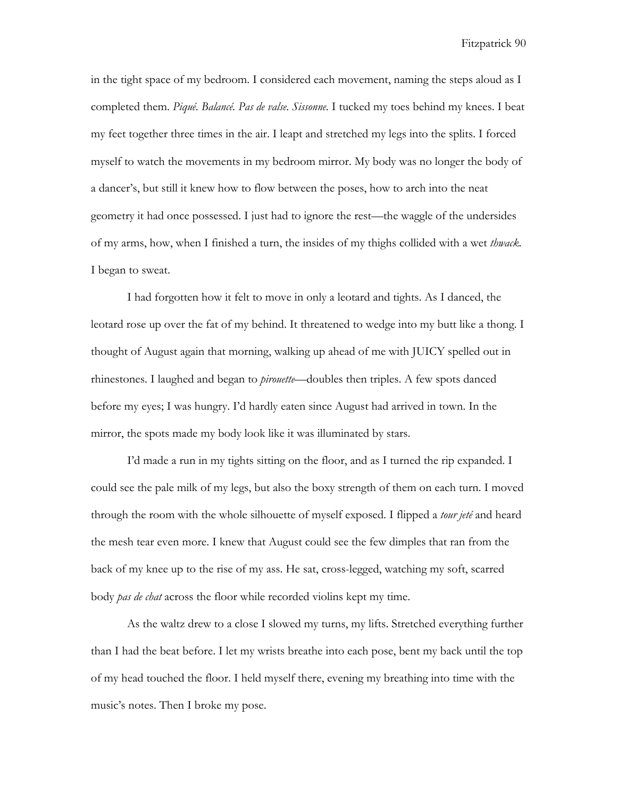in the tight space of my bedroom. I considered each movement, naming the steps aloud as I completed them. *Piqué. Balancé. Pas de valse. Sissonne.* I tucked my toes behind my knees. I beat my feet together three times in the air. I leapt and stretched my legs into the splits. I forced myself to watch the movements in my bedroom mirror. My body was no longer the body of a dancer's, but still it knew how to flow between the poses, how to arch into the neat geometry it had once possessed. I just had to ignore the rest—the waggle of the undersides of my arms, how, when I finished a turn, the insides of my thighs collided with a wet *thwack.*  I began to sweat.

I had forgotten how it felt to move in only a leotard and tights. As I danced, the leotard rose up over the fat of my behind. It threatened to wedge into my butt like a thong. I thought of August again that morning, walking up ahead of me with JUICY spelled out in rhinestones. I laughed and began to *pirouette*—doubles then triples. A few spots danced before my eyes; I was hungry. I'd hardly eaten since August had arrived in town. In the mirror, the spots made my body look like it was illuminated by stars.

I'd made a run in my tights sitting on the floor, and as I turned the rip expanded. I could see the pale milk of my legs, but also the boxy strength of them on each turn. I moved through the room with the whole silhouette of myself exposed. I flipped a *tour jeté* and heard the mesh tear even more. I knew that August could see the few dimples that ran from the back of my knee up to the rise of my ass. He sat, cross-legged, watching my soft, scarred body *pas de chat* across the floor while recorded violins kept my time.

As the waltz drew to a close I slowed my turns, my lifts. Stretched everything further than I had the beat before. I let my wrists breathe into each pose, bent my back until the top of my head touched the floor. I held myself there, evening my breathing into time with the music's notes. Then I broke my pose.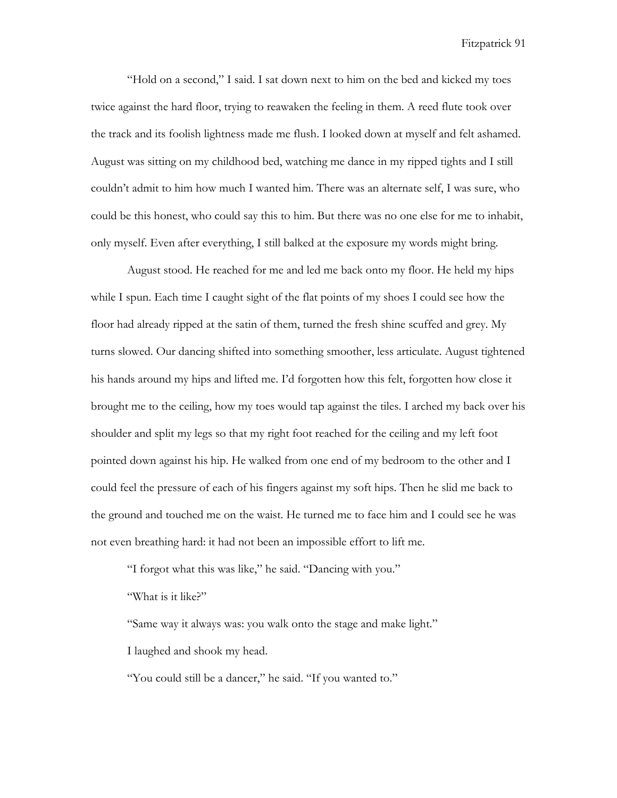"Hold on a second," I said. I sat down next to him on the bed and kicked my toes twice against the hard floor, trying to reawaken the feeling in them. A reed flute took over the track and its foolish lightness made me flush. I looked down at myself and felt ashamed. August was sitting on my childhood bed, watching me dance in my ripped tights and I still couldn't admit to him how much I wanted him. There was an alternate self, I was sure, who could be this honest, who could say this to him. But there was no one else for me to inhabit, only myself. Even after everything, I still balked at the exposure my words might bring.

August stood. He reached for me and led me back onto my floor. He held my hips while I spun. Each time I caught sight of the flat points of my shoes I could see how the floor had already ripped at the satin of them, turned the fresh shine scuffed and grey. My turns slowed. Our dancing shifted into something smoother, less articulate. August tightened his hands around my hips and lifted me. I'd forgotten how this felt, forgotten how close it brought me to the ceiling, how my toes would tap against the tiles. I arched my back over his shoulder and split my legs so that my right foot reached for the ceiling and my left foot pointed down against his hip. He walked from one end of my bedroom to the other and I could feel the pressure of each of his fingers against my soft hips. Then he slid me back to the ground and touched me on the waist. He turned me to face him and I could see he was not even breathing hard: it had not been an impossible effort to lift me.

"I forgot what this was like," he said. "Dancing with you."

"What is it like?"

"Same way it always was: you walk onto the stage and make light."

I laughed and shook my head.

"You could still be a dancer," he said. "If you wanted to."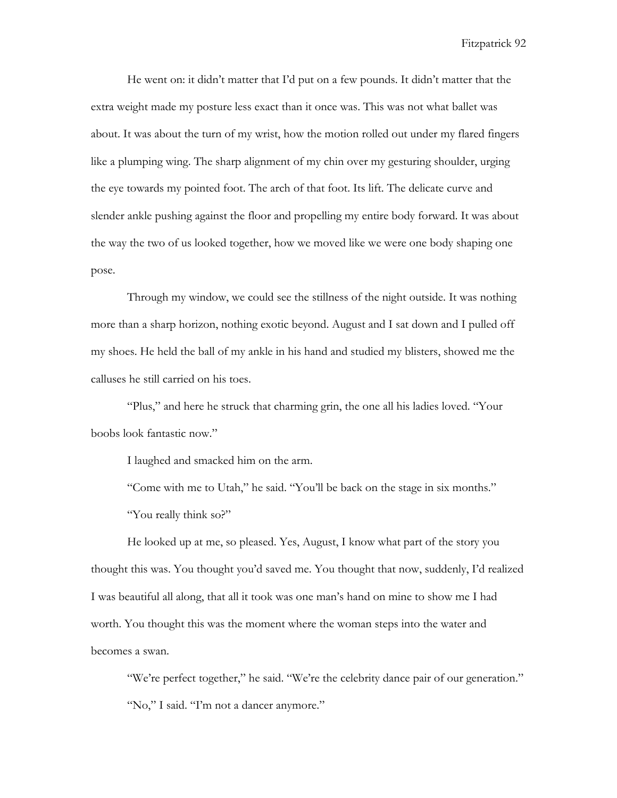He went on: it didn't matter that I'd put on a few pounds. It didn't matter that the extra weight made my posture less exact than it once was. This was not what ballet was about. It was about the turn of my wrist, how the motion rolled out under my flared fingers like a plumping wing. The sharp alignment of my chin over my gesturing shoulder, urging the eye towards my pointed foot. The arch of that foot. Its lift. The delicate curve and slender ankle pushing against the floor and propelling my entire body forward. It was about the way the two of us looked together, how we moved like we were one body shaping one pose.

Through my window, we could see the stillness of the night outside. It was nothing more than a sharp horizon, nothing exotic beyond. August and I sat down and I pulled off my shoes. He held the ball of my ankle in his hand and studied my blisters, showed me the calluses he still carried on his toes.

"Plus," and here he struck that charming grin, the one all his ladies loved. "Your boobs look fantastic now."

I laughed and smacked him on the arm.

"Come with me to Utah," he said. "You'll be back on the stage in six months." "You really think so?"

He looked up at me, so pleased. Yes, August, I know what part of the story you thought this was. You thought you'd saved me. You thought that now, suddenly, I'd realized I was beautiful all along, that all it took was one man's hand on mine to show me I had worth. You thought this was the moment where the woman steps into the water and becomes a swan.

"We're perfect together," he said. "We're the celebrity dance pair of our generation." "No," I said. "I'm not a dancer anymore."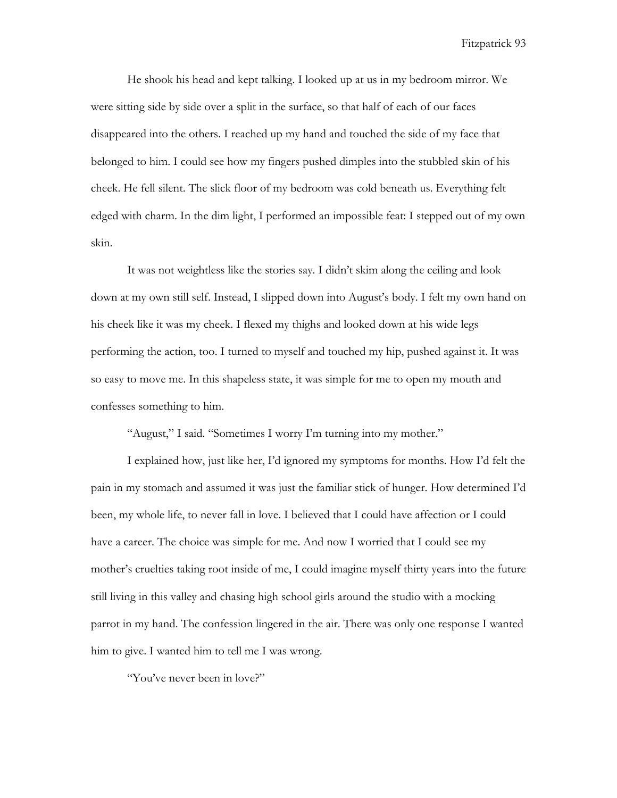He shook his head and kept talking. I looked up at us in my bedroom mirror. We were sitting side by side over a split in the surface, so that half of each of our faces disappeared into the others. I reached up my hand and touched the side of my face that belonged to him. I could see how my fingers pushed dimples into the stubbled skin of his cheek. He fell silent. The slick floor of my bedroom was cold beneath us. Everything felt edged with charm. In the dim light, I performed an impossible feat: I stepped out of my own skin.

It was not weightless like the stories say. I didn't skim along the ceiling and look down at my own still self. Instead, I slipped down into August's body. I felt my own hand on his cheek like it was my cheek. I flexed my thighs and looked down at his wide legs performing the action, too. I turned to myself and touched my hip, pushed against it. It was so easy to move me. In this shapeless state, it was simple for me to open my mouth and confesses something to him.

"August," I said. "Sometimes I worry I'm turning into my mother."

I explained how, just like her, I'd ignored my symptoms for months. How I'd felt the pain in my stomach and assumed it was just the familiar stick of hunger. How determined I'd been, my whole life, to never fall in love. I believed that I could have affection or I could have a career. The choice was simple for me. And now I worried that I could see my mother's cruelties taking root inside of me, I could imagine myself thirty years into the future still living in this valley and chasing high school girls around the studio with a mocking parrot in my hand. The confession lingered in the air. There was only one response I wanted him to give. I wanted him to tell me I was wrong.

"You've never been in love?"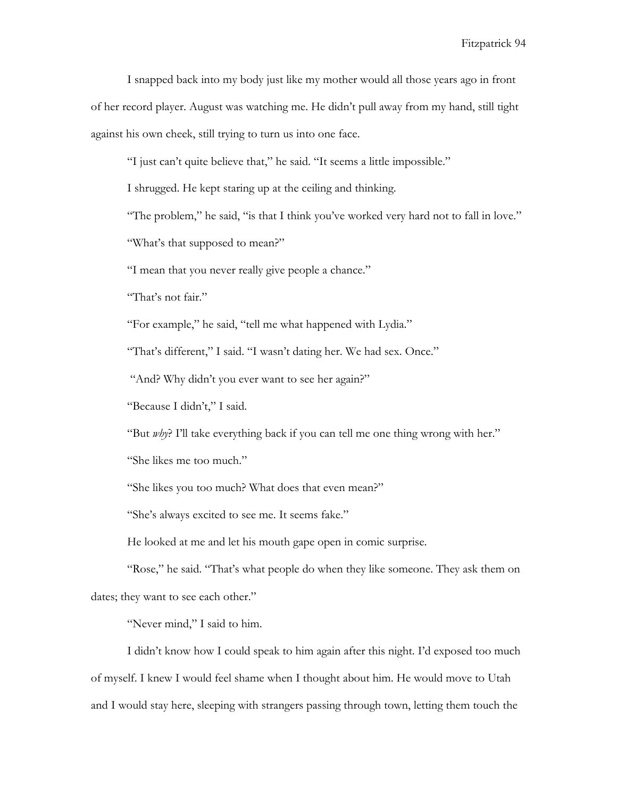I snapped back into my body just like my mother would all those years ago in front of her record player. August was watching me. He didn't pull away from my hand, still tight against his own cheek, still trying to turn us into one face.

"I just can't quite believe that," he said. "It seems a little impossible."

I shrugged. He kept staring up at the ceiling and thinking.

"The problem," he said, "is that I think you've worked very hard not to fall in love."

"What's that supposed to mean?"

"I mean that you never really give people a chance."

"That's not fair."

"For example," he said, "tell me what happened with Lydia."

"That's different," I said. "I wasn't dating her. We had sex. Once."

"And? Why didn't you ever want to see her again?"

"Because I didn't," I said.

"But *why*? I'll take everything back if you can tell me one thing wrong with her."

"She likes me too much."

"She likes you too much? What does that even mean?"

"She's always excited to see me. It seems fake."

He looked at me and let his mouth gape open in comic surprise.

"Rose," he said. "That's what people do when they like someone. They ask them on dates; they want to see each other."

"Never mind," I said to him.

I didn't know how I could speak to him again after this night. I'd exposed too much of myself. I knew I would feel shame when I thought about him. He would move to Utah and I would stay here, sleeping with strangers passing through town, letting them touch the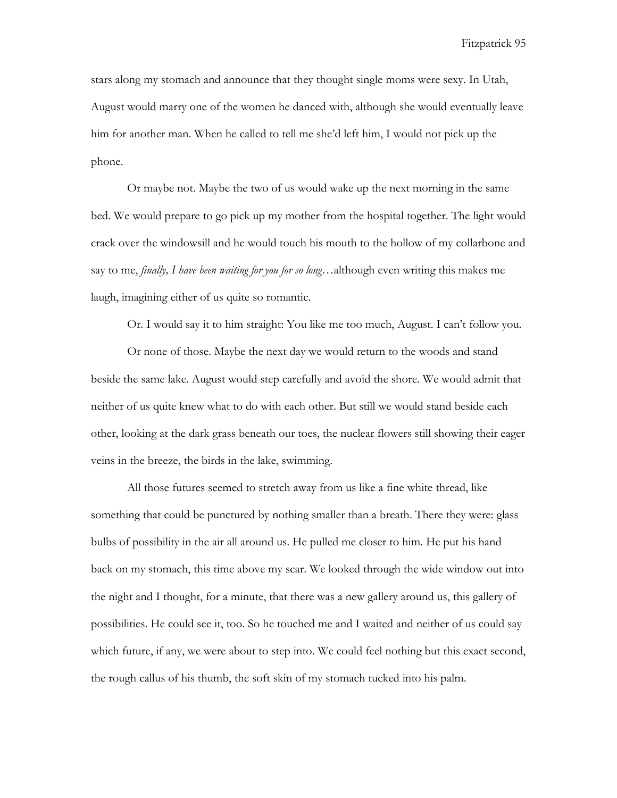stars along my stomach and announce that they thought single moms were sexy. In Utah, August would marry one of the women he danced with, although she would eventually leave him for another man. When he called to tell me she'd left him, I would not pick up the phone.

Or maybe not. Maybe the two of us would wake up the next morning in the same bed. We would prepare to go pick up my mother from the hospital together. The light would crack over the windowsill and he would touch his mouth to the hollow of my collarbone and say to me, *finally, I have been waiting for you for so long*…although even writing this makes me laugh, imagining either of us quite so romantic.

Or. I would say it to him straight: You like me too much, August. I can't follow you.

Or none of those. Maybe the next day we would return to the woods and stand beside the same lake. August would step carefully and avoid the shore. We would admit that neither of us quite knew what to do with each other. But still we would stand beside each other, looking at the dark grass beneath our toes, the nuclear flowers still showing their eager veins in the breeze, the birds in the lake, swimming.

All those futures seemed to stretch away from us like a fine white thread, like something that could be punctured by nothing smaller than a breath. There they were: glass bulbs of possibility in the air all around us. He pulled me closer to him. He put his hand back on my stomach, this time above my scar. We looked through the wide window out into the night and I thought, for a minute, that there was a new gallery around us, this gallery of possibilities. He could see it, too. So he touched me and I waited and neither of us could say which future, if any, we were about to step into. We could feel nothing but this exact second, the rough callus of his thumb, the soft skin of my stomach tucked into his palm.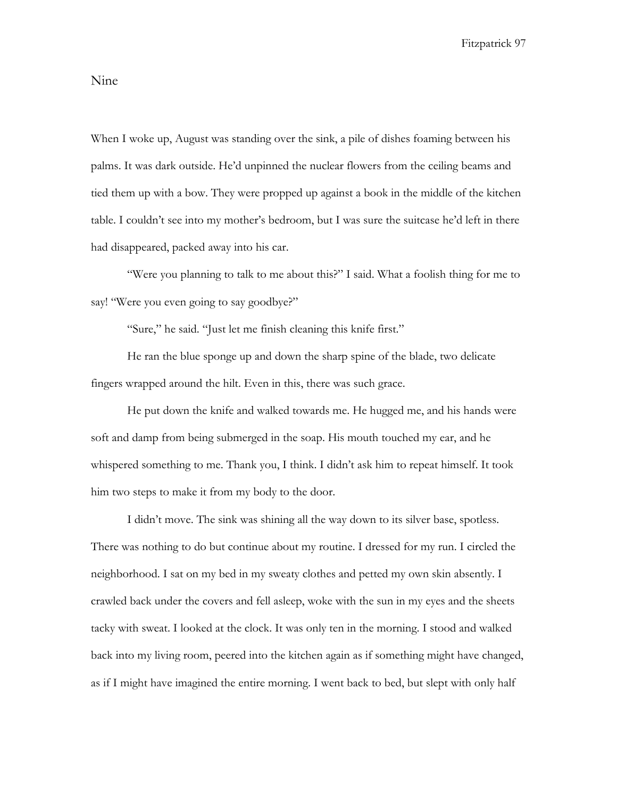## Nine

When I woke up, August was standing over the sink, a pile of dishes foaming between his palms. It was dark outside. He'd unpinned the nuclear flowers from the ceiling beams and tied them up with a bow. They were propped up against a book in the middle of the kitchen table. I couldn't see into my mother's bedroom, but I was sure the suitcase he'd left in there had disappeared, packed away into his car.

"Were you planning to talk to me about this?" I said. What a foolish thing for me to say! "Were you even going to say goodbye?"

"Sure," he said. "Just let me finish cleaning this knife first."

He ran the blue sponge up and down the sharp spine of the blade, two delicate fingers wrapped around the hilt. Even in this, there was such grace.

He put down the knife and walked towards me. He hugged me, and his hands were soft and damp from being submerged in the soap. His mouth touched my ear, and he whispered something to me. Thank you, I think. I didn't ask him to repeat himself. It took him two steps to make it from my body to the door.

I didn't move. The sink was shining all the way down to its silver base, spotless. There was nothing to do but continue about my routine. I dressed for my run. I circled the neighborhood. I sat on my bed in my sweaty clothes and petted my own skin absently. I crawled back under the covers and fell asleep, woke with the sun in my eyes and the sheets tacky with sweat. I looked at the clock. It was only ten in the morning. I stood and walked back into my living room, peered into the kitchen again as if something might have changed, as if I might have imagined the entire morning. I went back to bed, but slept with only half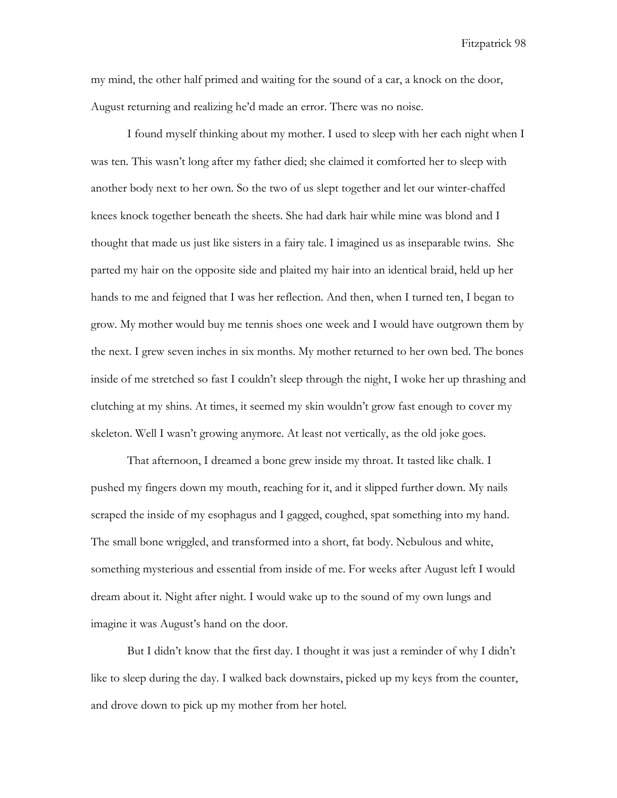my mind, the other half primed and waiting for the sound of a car, a knock on the door, August returning and realizing he'd made an error. There was no noise.

I found myself thinking about my mother. I used to sleep with her each night when I was ten. This wasn't long after my father died; she claimed it comforted her to sleep with another body next to her own. So the two of us slept together and let our winter-chaffed knees knock together beneath the sheets. She had dark hair while mine was blond and I thought that made us just like sisters in a fairy tale. I imagined us as inseparable twins. She parted my hair on the opposite side and plaited my hair into an identical braid, held up her hands to me and feigned that I was her reflection. And then, when I turned ten, I began to grow. My mother would buy me tennis shoes one week and I would have outgrown them by the next. I grew seven inches in six months. My mother returned to her own bed. The bones inside of me stretched so fast I couldn't sleep through the night, I woke her up thrashing and clutching at my shins. At times, it seemed my skin wouldn't grow fast enough to cover my skeleton. Well I wasn't growing anymore. At least not vertically, as the old joke goes.

That afternoon, I dreamed a bone grew inside my throat. It tasted like chalk. I pushed my fingers down my mouth, reaching for it, and it slipped further down. My nails scraped the inside of my esophagus and I gagged, coughed, spat something into my hand. The small bone wriggled, and transformed into a short, fat body. Nebulous and white, something mysterious and essential from inside of me. For weeks after August left I would dream about it. Night after night. I would wake up to the sound of my own lungs and imagine it was August's hand on the door.

But I didn't know that the first day. I thought it was just a reminder of why I didn't like to sleep during the day. I walked back downstairs, picked up my keys from the counter, and drove down to pick up my mother from her hotel.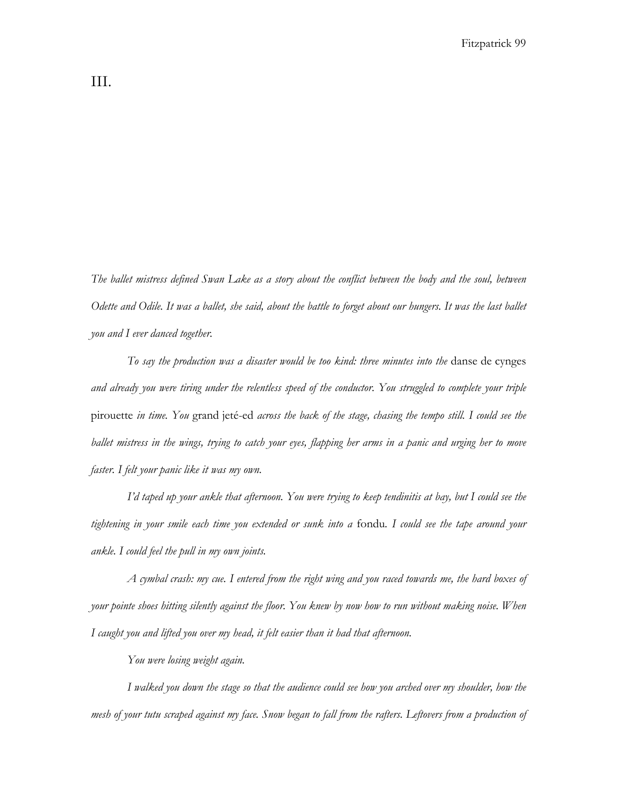*The ballet mistress defined Swan Lake as a story about the conflict between the body and the soul, between Odette and Odile. It was a ballet, she said, about the battle to forget about our hungers. It was the last ballet you and I ever danced together.* 

*To say the production was a disaster would be too kind: three minutes into the* danse de cynges *and already you were tiring under the relentless speed of the conductor. You struggled to complete your triple*  pirouette *in time. You* grand jeté-ed *across the back of the stage, chasing the tempo still. I could see the*  ballet mistress in the wings, trying to catch your eyes, flapping her arms in a panic and urging her to move *faster. I felt your panic like it was my own.* 

*I'd taped up your ankle that afternoon. You were trying to keep tendinitis at bay, but I could see the tightening in your smile each time you extended or sunk into a* fondu*. I could see the tape around your ankle. I could feel the pull in my own joints.* 

*A cymbal crash: my cue. I entered from the right wing and you raced towards me, the hard boxes of your pointe shoes hitting silently against the floor. You knew by now how to run without making noise. When I caught you and lifted you over my head, it felt easier than it had that afternoon.*

*You were losing weight again.*

*I walked you down the stage so that the audience could see how you arched over my shoulder, how the mesh of your tutu scraped against my face. Snow began to fall from the rafters. Leftovers from a production of*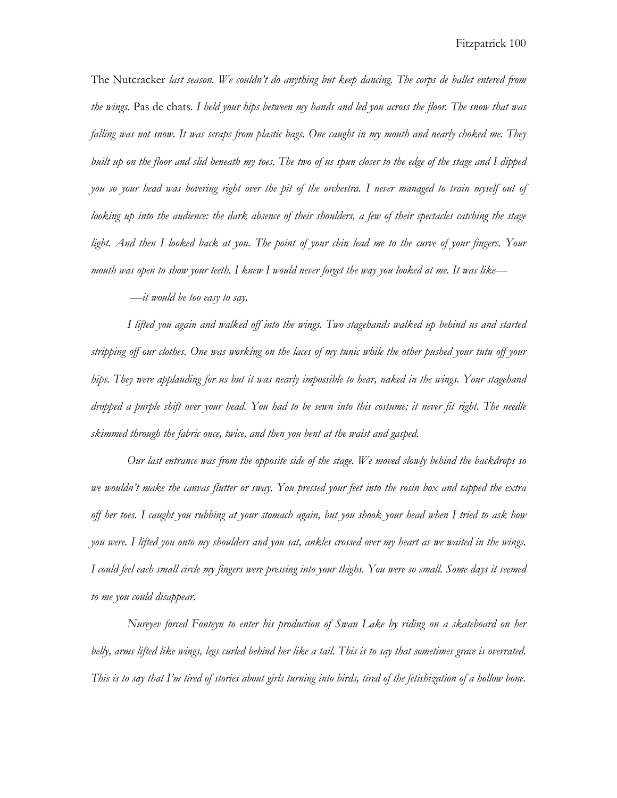The Nutcracker *last season. We couldn't do anything but keep dancing. The corps de ballet entered from the wings.* Pas de chats*. I held your hips between my hands and led you across the floor. The snow that was falling was not snow. It was scraps from plastic bags. One caught in my mouth and nearly choked me. They built up on the floor and slid beneath my toes. The two of us spun closer to the edge of the stage and I dipped you so your head was hovering right over the pit of the orchestra. I never managed to train myself out of looking up into the audience: the dark absence of their shoulders, a few of their spectacles catching the stage light. And then I looked back at you. The point of your chin lead me to the curve of your fingers. Your mouth was open to show your teeth. I knew I would never forget the way you looked at me. It was like—*

 *—it would be too easy to say.*

 *I lifted you again and walked off into the wings. Two stagehands walked up behind us and started stripping off our clothes. One was working on the laces of my tunic while the other pushed your tutu off your hips. They were applauding for us but it was nearly impossible to hear, naked in the wings. Your stagehand dropped a purple shift over your head. You had to be sewn into this costume; it never fit right. The needle skimmed through the fabric once, twice, and then you bent at the waist and gasped.*

*Our last entrance was from the opposite side of the stage. We moved slowly behind the backdrops so we wouldn't make the canvas flutter or sway. You pressed your feet into the rosin box and tapped the extra off her toes. I caught you rubbing at your stomach again, but you shook your head when I tried to ask how you were. I lifted you onto my shoulders and you sat, ankles crossed over my heart as we waited in the wings. I could feel each small circle my fingers were pressing into your thighs. You were so small. Some days it seemed to me you could disappear.* 

*Nureyev forced Fonteyn to enter his production of Swan Lake by riding on a skateboard on her belly, arms lifted like wings, legs curled behind her like a tail. This is to say that sometimes grace is overrated. This is to say that I'm tired of stories about girls turning into birds, tired of the fetishization of a hollow bone.*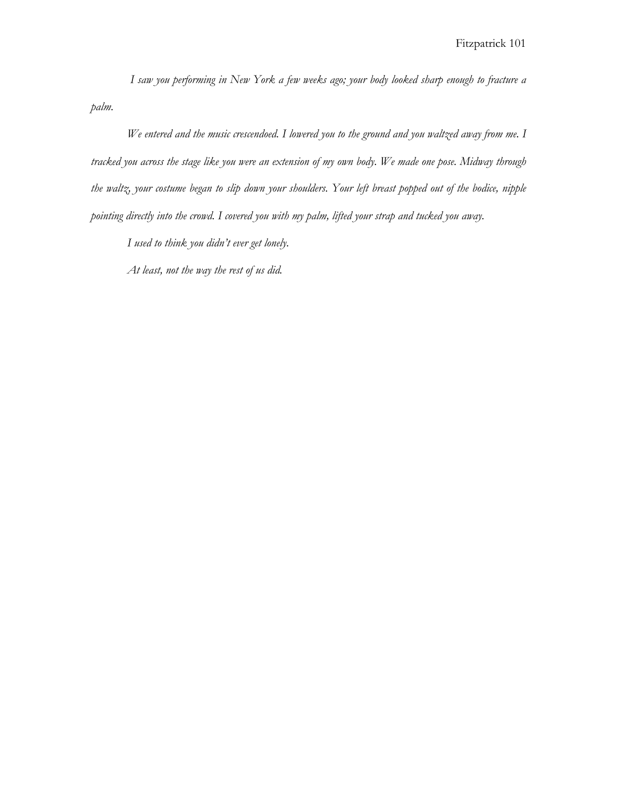*I saw you performing in New York a few weeks ago; your body looked sharp enough to fracture a palm.*

 *We entered and the music crescendoed. I lowered you to the ground and you waltzed away from me. I tracked you across the stage like you were an extension of my own body. We made one pose. Midway through the waltz, your costume began to slip down your shoulders. Your left breast popped out of the bodice, nipple pointing directly into the crowd. I covered you with my palm, lifted your strap and tucked you away.*

*I used to think you didn't ever get lonely.*

*At least, not the way the rest of us did.*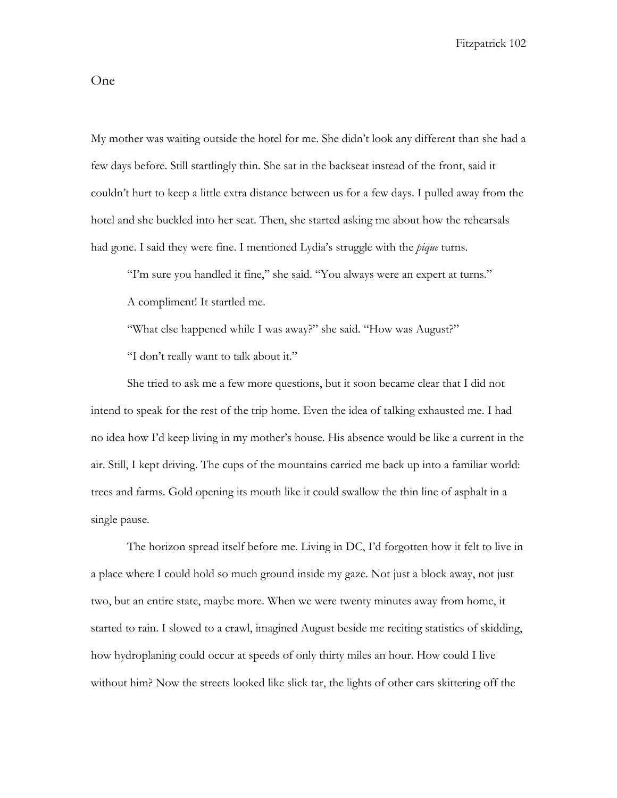My mother was waiting outside the hotel for me. She didn't look any different than she had a few days before. Still startlingly thin. She sat in the backseat instead of the front, said it couldn't hurt to keep a little extra distance between us for a few days. I pulled away from the hotel and she buckled into her seat. Then, she started asking me about how the rehearsals had gone. I said they were fine. I mentioned Lydia's struggle with the *pique* turns.

"I'm sure you handled it fine," she said. "You always were an expert at turns." A compliment! It startled me.

"What else happened while I was away?" she said. "How was August?"

"I don't really want to talk about it."

She tried to ask me a few more questions, but it soon became clear that I did not intend to speak for the rest of the trip home. Even the idea of talking exhausted me. I had no idea how I'd keep living in my mother's house. His absence would be like a current in the air. Still, I kept driving. The cups of the mountains carried me back up into a familiar world: trees and farms. Gold opening its mouth like it could swallow the thin line of asphalt in a single pause.

The horizon spread itself before me. Living in DC, I'd forgotten how it felt to live in a place where I could hold so much ground inside my gaze. Not just a block away, not just two, but an entire state, maybe more. When we were twenty minutes away from home, it started to rain. I slowed to a crawl, imagined August beside me reciting statistics of skidding, how hydroplaning could occur at speeds of only thirty miles an hour. How could I live without him? Now the streets looked like slick tar, the lights of other cars skittering off the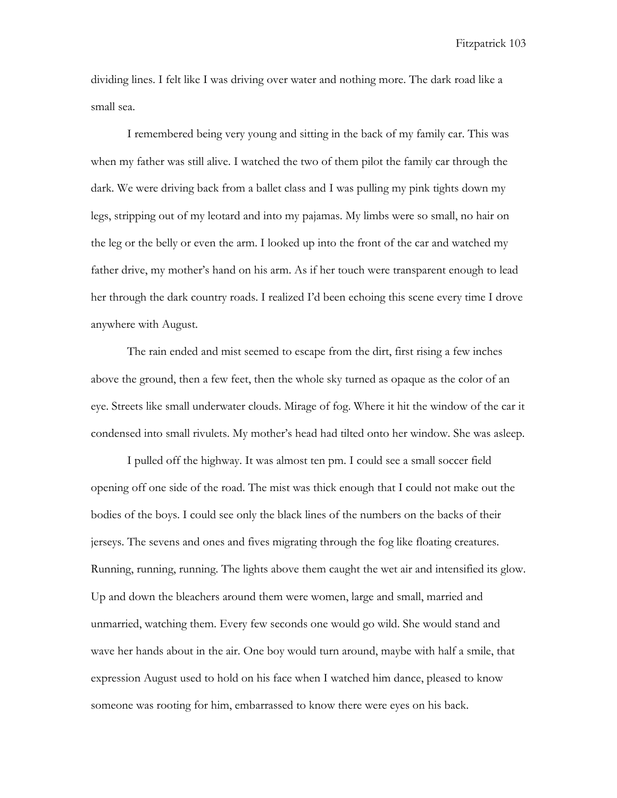dividing lines. I felt like I was driving over water and nothing more. The dark road like a small sea.

I remembered being very young and sitting in the back of my family car. This was when my father was still alive. I watched the two of them pilot the family car through the dark. We were driving back from a ballet class and I was pulling my pink tights down my legs, stripping out of my leotard and into my pajamas. My limbs were so small, no hair on the leg or the belly or even the arm. I looked up into the front of the car and watched my father drive, my mother's hand on his arm. As if her touch were transparent enough to lead her through the dark country roads. I realized I'd been echoing this scene every time I drove anywhere with August.

The rain ended and mist seemed to escape from the dirt, first rising a few inches above the ground, then a few feet, then the whole sky turned as opaque as the color of an eye. Streets like small underwater clouds. Mirage of fog. Where it hit the window of the car it condensed into small rivulets. My mother's head had tilted onto her window. She was asleep.

I pulled off the highway. It was almost ten pm. I could see a small soccer field opening off one side of the road. The mist was thick enough that I could not make out the bodies of the boys. I could see only the black lines of the numbers on the backs of their jerseys. The sevens and ones and fives migrating through the fog like floating creatures. Running, running, running. The lights above them caught the wet air and intensified its glow. Up and down the bleachers around them were women, large and small, married and unmarried, watching them. Every few seconds one would go wild. She would stand and wave her hands about in the air. One boy would turn around, maybe with half a smile, that expression August used to hold on his face when I watched him dance, pleased to know someone was rooting for him, embarrassed to know there were eyes on his back.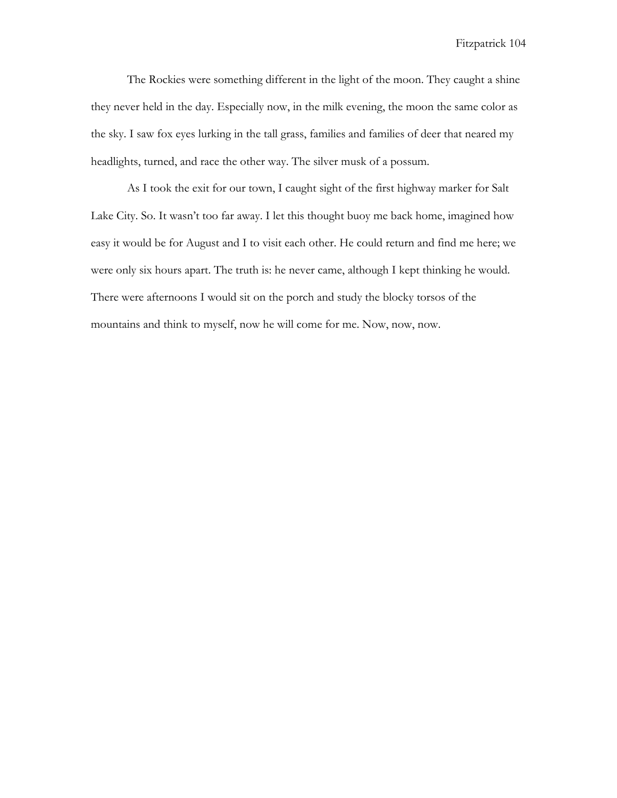The Rockies were something different in the light of the moon. They caught a shine they never held in the day. Especially now, in the milk evening, the moon the same color as the sky. I saw fox eyes lurking in the tall grass, families and families of deer that neared my headlights, turned, and race the other way. The silver musk of a possum.

As I took the exit for our town, I caught sight of the first highway marker for Salt Lake City. So. It wasn't too far away. I let this thought buoy me back home, imagined how easy it would be for August and I to visit each other. He could return and find me here; we were only six hours apart. The truth is: he never came, although I kept thinking he would. There were afternoons I would sit on the porch and study the blocky torsos of the mountains and think to myself, now he will come for me. Now, now, now.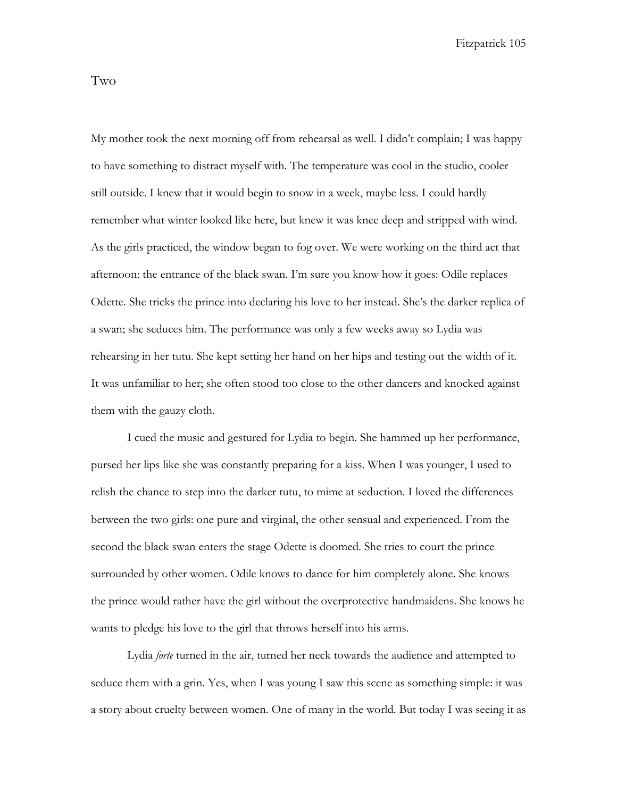Two

My mother took the next morning off from rehearsal as well. I didn't complain; I was happy to have something to distract myself with. The temperature was cool in the studio, cooler still outside. I knew that it would begin to snow in a week, maybe less. I could hardly remember what winter looked like here, but knew it was knee deep and stripped with wind. As the girls practiced, the window began to fog over. We were working on the third act that afternoon: the entrance of the black swan. I'm sure you know how it goes: Odile replaces Odette. She tricks the prince into declaring his love to her instead. She's the darker replica of a swan; she seduces him. The performance was only a few weeks away so Lydia was rehearsing in her tutu. She kept setting her hand on her hips and testing out the width of it. It was unfamiliar to her; she often stood too close to the other dancers and knocked against them with the gauzy cloth.

I cued the music and gestured for Lydia to begin. She hammed up her performance, pursed her lips like she was constantly preparing for a kiss. When I was younger, I used to relish the chance to step into the darker tutu, to mime at seduction. I loved the differences between the two girls: one pure and virginal, the other sensual and experienced. From the second the black swan enters the stage Odette is doomed. She tries to court the prince surrounded by other women. Odile knows to dance for him completely alone. She knows the prince would rather have the girl without the overprotective handmaidens. She knows he wants to pledge his love to the girl that throws herself into his arms.

Lydia *forte* turned in the air, turned her neck towards the audience and attempted to seduce them with a grin. Yes, when I was young I saw this scene as something simple: it was a story about cruelty between women. One of many in the world. But today I was seeing it as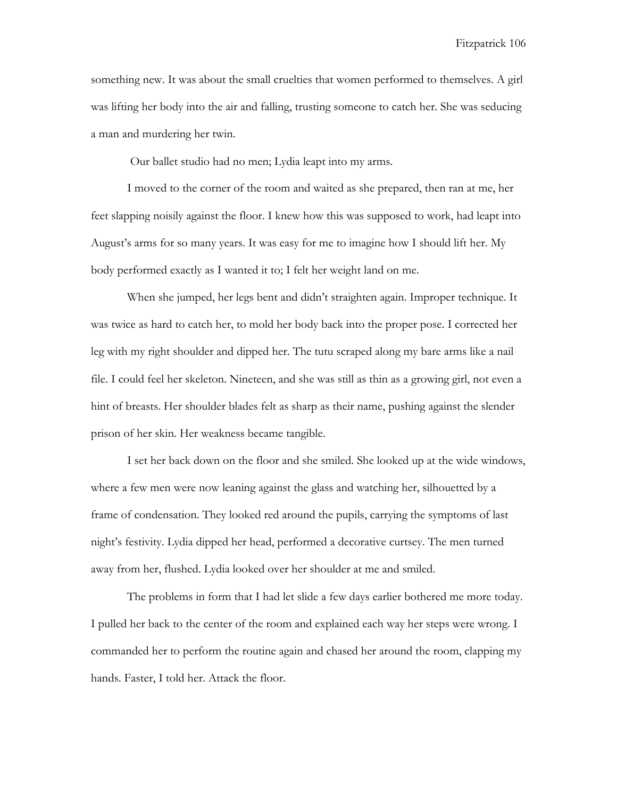something new. It was about the small cruelties that women performed to themselves. A girl was lifting her body into the air and falling, trusting someone to catch her. She was seducing a man and murdering her twin.

Our ballet studio had no men; Lydia leapt into my arms.

I moved to the corner of the room and waited as she prepared, then ran at me, her feet slapping noisily against the floor. I knew how this was supposed to work, had leapt into August's arms for so many years. It was easy for me to imagine how I should lift her. My body performed exactly as I wanted it to; I felt her weight land on me.

When she jumped, her legs bent and didn't straighten again. Improper technique. It was twice as hard to catch her, to mold her body back into the proper pose. I corrected her leg with my right shoulder and dipped her. The tutu scraped along my bare arms like a nail file. I could feel her skeleton. Nineteen, and she was still as thin as a growing girl, not even a hint of breasts. Her shoulder blades felt as sharp as their name, pushing against the slender prison of her skin. Her weakness became tangible.

I set her back down on the floor and she smiled. She looked up at the wide windows, where a few men were now leaning against the glass and watching her, silhouetted by a frame of condensation. They looked red around the pupils, carrying the symptoms of last night's festivity. Lydia dipped her head, performed a decorative curtsey. The men turned away from her, flushed. Lydia looked over her shoulder at me and smiled.

The problems in form that I had let slide a few days earlier bothered me more today. I pulled her back to the center of the room and explained each way her steps were wrong. I commanded her to perform the routine again and chased her around the room, clapping my hands. Faster, I told her. Attack the floor.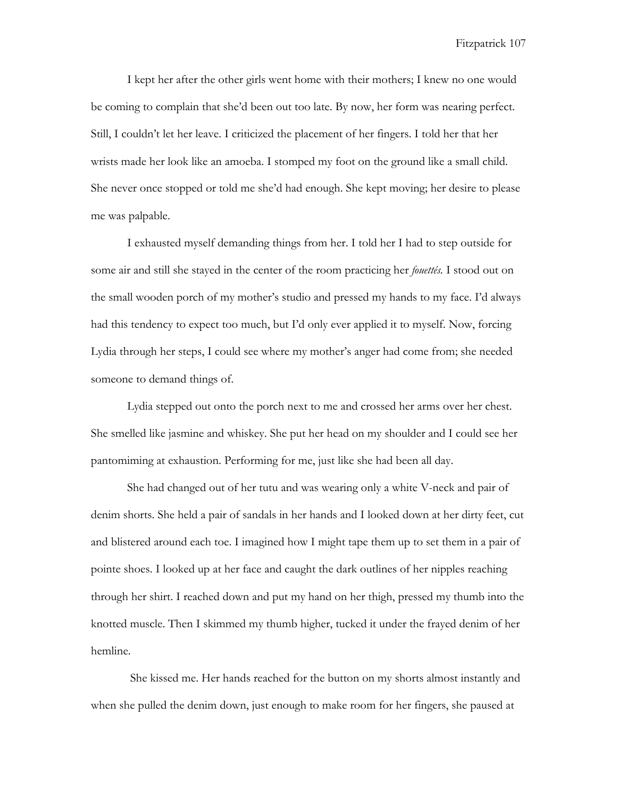I kept her after the other girls went home with their mothers; I knew no one would be coming to complain that she'd been out too late. By now, her form was nearing perfect. Still, I couldn't let her leave. I criticized the placement of her fingers. I told her that her wrists made her look like an amoeba. I stomped my foot on the ground like a small child. She never once stopped or told me she'd had enough. She kept moving; her desire to please me was palpable.

I exhausted myself demanding things from her. I told her I had to step outside for some air and still she stayed in the center of the room practicing her *fouettés.* I stood out on the small wooden porch of my mother's studio and pressed my hands to my face. I'd always had this tendency to expect too much, but I'd only ever applied it to myself. Now, forcing Lydia through her steps, I could see where my mother's anger had come from; she needed someone to demand things of.

Lydia stepped out onto the porch next to me and crossed her arms over her chest. She smelled like jasmine and whiskey. She put her head on my shoulder and I could see her pantomiming at exhaustion. Performing for me, just like she had been all day.

She had changed out of her tutu and was wearing only a white V-neck and pair of denim shorts. She held a pair of sandals in her hands and I looked down at her dirty feet, cut and blistered around each toe. I imagined how I might tape them up to set them in a pair of pointe shoes. I looked up at her face and caught the dark outlines of her nipples reaching through her shirt. I reached down and put my hand on her thigh, pressed my thumb into the knotted muscle. Then I skimmed my thumb higher, tucked it under the frayed denim of her hemline.

She kissed me. Her hands reached for the button on my shorts almost instantly and when she pulled the denim down, just enough to make room for her fingers, she paused at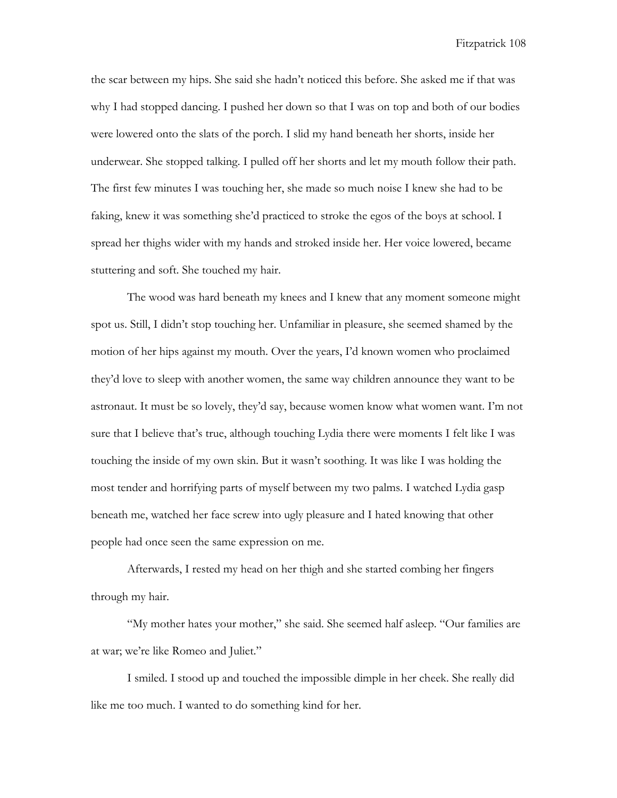the scar between my hips. She said she hadn't noticed this before. She asked me if that was why I had stopped dancing. I pushed her down so that I was on top and both of our bodies were lowered onto the slats of the porch. I slid my hand beneath her shorts, inside her underwear. She stopped talking. I pulled off her shorts and let my mouth follow their path. The first few minutes I was touching her, she made so much noise I knew she had to be faking, knew it was something she'd practiced to stroke the egos of the boys at school. I spread her thighs wider with my hands and stroked inside her. Her voice lowered, became stuttering and soft. She touched my hair.

The wood was hard beneath my knees and I knew that any moment someone might spot us. Still, I didn't stop touching her. Unfamiliar in pleasure, she seemed shamed by the motion of her hips against my mouth. Over the years, I'd known women who proclaimed they'd love to sleep with another women, the same way children announce they want to be astronaut. It must be so lovely, they'd say, because women know what women want. I'm not sure that I believe that's true, although touching Lydia there were moments I felt like I was touching the inside of my own skin. But it wasn't soothing. It was like I was holding the most tender and horrifying parts of myself between my two palms. I watched Lydia gasp beneath me, watched her face screw into ugly pleasure and I hated knowing that other people had once seen the same expression on me.

Afterwards, I rested my head on her thigh and she started combing her fingers through my hair.

"My mother hates your mother," she said. She seemed half asleep. "Our families are at war; we're like Romeo and Juliet."

I smiled. I stood up and touched the impossible dimple in her cheek. She really did like me too much. I wanted to do something kind for her.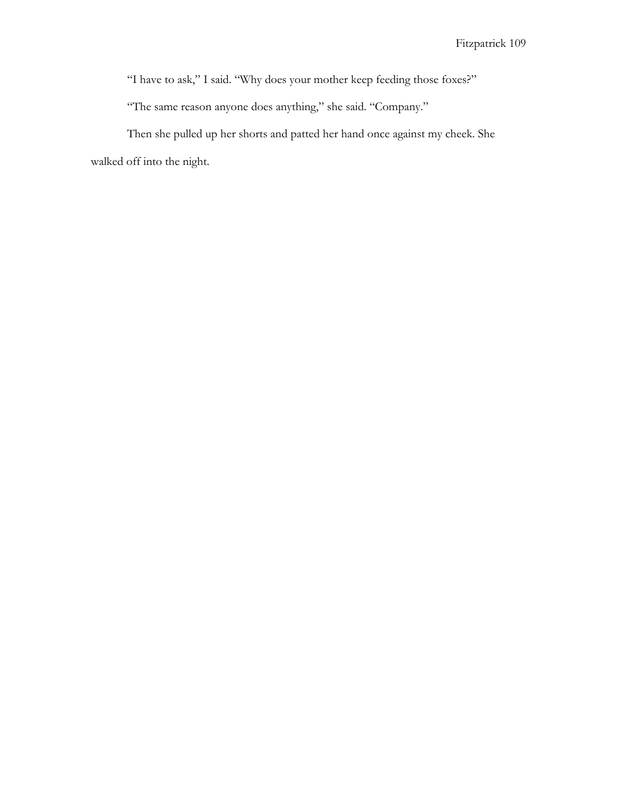"I have to ask," I said. "Why does your mother keep feeding those foxes?"

"The same reason anyone does anything," she said. "Company."

Then she pulled up her shorts and patted her hand once against my cheek. She walked off into the night.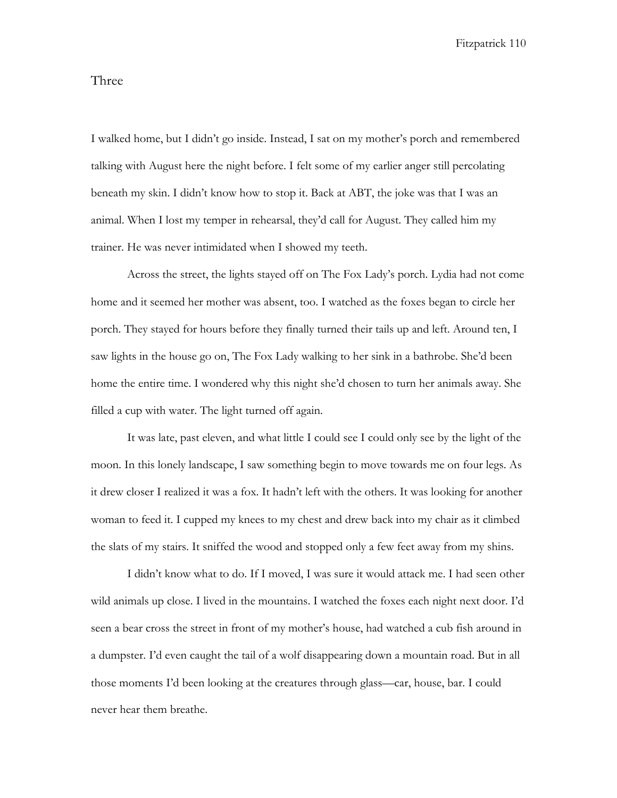## Three

I walked home, but I didn't go inside. Instead, I sat on my mother's porch and remembered talking with August here the night before. I felt some of my earlier anger still percolating beneath my skin. I didn't know how to stop it. Back at ABT, the joke was that I was an animal. When I lost my temper in rehearsal, they'd call for August. They called him my trainer. He was never intimidated when I showed my teeth.

Across the street, the lights stayed off on The Fox Lady's porch. Lydia had not come home and it seemed her mother was absent, too. I watched as the foxes began to circle her porch. They stayed for hours before they finally turned their tails up and left. Around ten, I saw lights in the house go on, The Fox Lady walking to her sink in a bathrobe. She'd been home the entire time. I wondered why this night she'd chosen to turn her animals away. She filled a cup with water. The light turned off again.

It was late, past eleven, and what little I could see I could only see by the light of the moon. In this lonely landscape, I saw something begin to move towards me on four legs. As it drew closer I realized it was a fox. It hadn't left with the others. It was looking for another woman to feed it. I cupped my knees to my chest and drew back into my chair as it climbed the slats of my stairs. It sniffed the wood and stopped only a few feet away from my shins.

I didn't know what to do. If I moved, I was sure it would attack me. I had seen other wild animals up close. I lived in the mountains. I watched the foxes each night next door. I'd seen a bear cross the street in front of my mother's house, had watched a cub fish around in a dumpster. I'd even caught the tail of a wolf disappearing down a mountain road. But in all those moments I'd been looking at the creatures through glass—car, house, bar. I could never hear them breathe.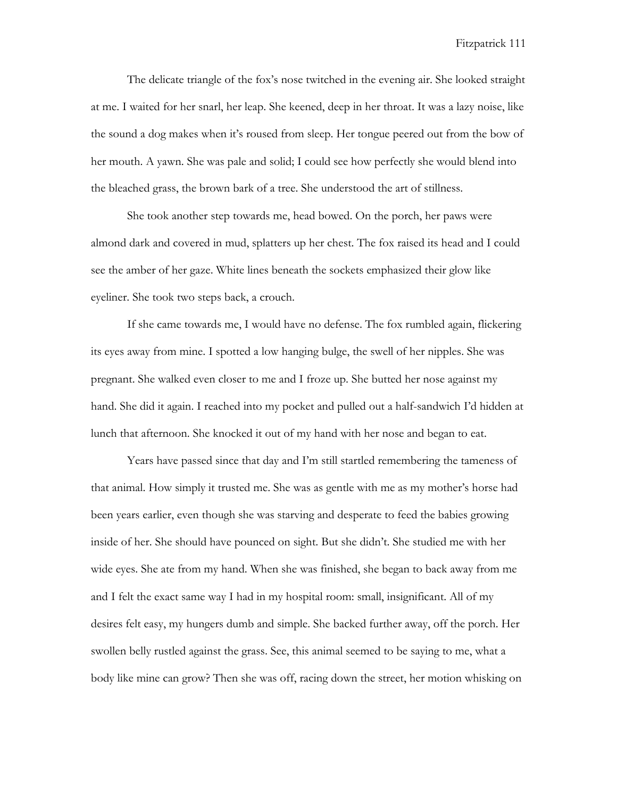The delicate triangle of the fox's nose twitched in the evening air. She looked straight at me. I waited for her snarl, her leap. She keened, deep in her throat. It was a lazy noise, like the sound a dog makes when it's roused from sleep. Her tongue peered out from the bow of her mouth. A yawn. She was pale and solid; I could see how perfectly she would blend into the bleached grass, the brown bark of a tree. She understood the art of stillness.

She took another step towards me, head bowed. On the porch, her paws were almond dark and covered in mud, splatters up her chest. The fox raised its head and I could see the amber of her gaze. White lines beneath the sockets emphasized their glow like eyeliner. She took two steps back, a crouch.

If she came towards me, I would have no defense. The fox rumbled again, flickering its eyes away from mine. I spotted a low hanging bulge, the swell of her nipples. She was pregnant. She walked even closer to me and I froze up. She butted her nose against my hand. She did it again. I reached into my pocket and pulled out a half-sandwich I'd hidden at lunch that afternoon. She knocked it out of my hand with her nose and began to eat.

Years have passed since that day and I'm still startled remembering the tameness of that animal. How simply it trusted me. She was as gentle with me as my mother's horse had been years earlier, even though she was starving and desperate to feed the babies growing inside of her. She should have pounced on sight. But she didn't. She studied me with her wide eyes. She ate from my hand. When she was finished, she began to back away from me and I felt the exact same way I had in my hospital room: small, insignificant. All of my desires felt easy, my hungers dumb and simple. She backed further away, off the porch. Her swollen belly rustled against the grass. See, this animal seemed to be saying to me, what a body like mine can grow? Then she was off, racing down the street, her motion whisking on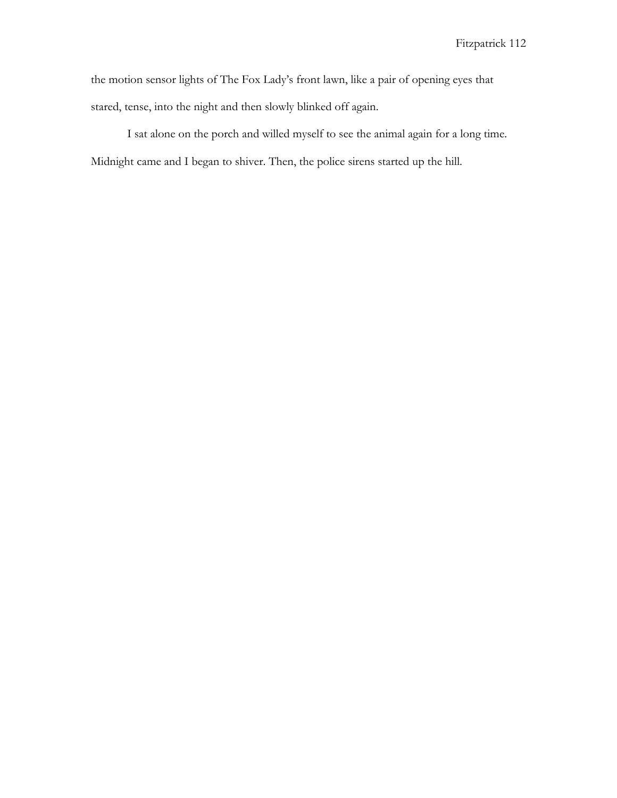the motion sensor lights of The Fox Lady's front lawn, like a pair of opening eyes that stared, tense, into the night and then slowly blinked off again.

I sat alone on the porch and willed myself to see the animal again for a long time. Midnight came and I began to shiver. Then, the police sirens started up the hill.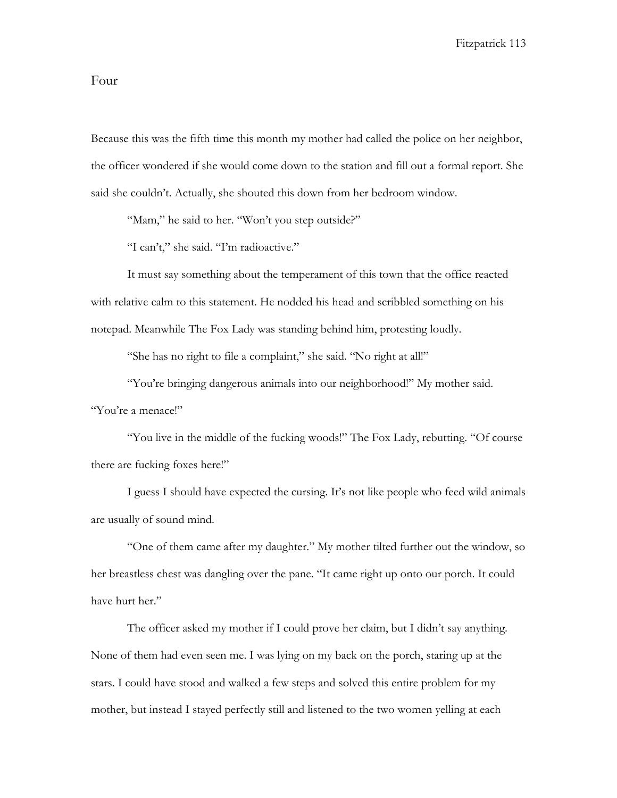## Four

Because this was the fifth time this month my mother had called the police on her neighbor, the officer wondered if she would come down to the station and fill out a formal report. She said she couldn't. Actually, she shouted this down from her bedroom window.

"Mam," he said to her. "Won't you step outside?"

"I can't," she said. "I'm radioactive."

It must say something about the temperament of this town that the office reacted with relative calm to this statement. He nodded his head and scribbled something on his notepad. Meanwhile The Fox Lady was standing behind him, protesting loudly.

"She has no right to file a complaint," she said. "No right at all!"

"You're bringing dangerous animals into our neighborhood!" My mother said. "You're a menace!"

"You live in the middle of the fucking woods!" The Fox Lady, rebutting. "Of course there are fucking foxes here!"

I guess I should have expected the cursing. It's not like people who feed wild animals are usually of sound mind.

"One of them came after my daughter." My mother tilted further out the window, so her breastless chest was dangling over the pane. "It came right up onto our porch. It could have hurt her."

The officer asked my mother if I could prove her claim, but I didn't say anything. None of them had even seen me. I was lying on my back on the porch, staring up at the stars. I could have stood and walked a few steps and solved this entire problem for my mother, but instead I stayed perfectly still and listened to the two women yelling at each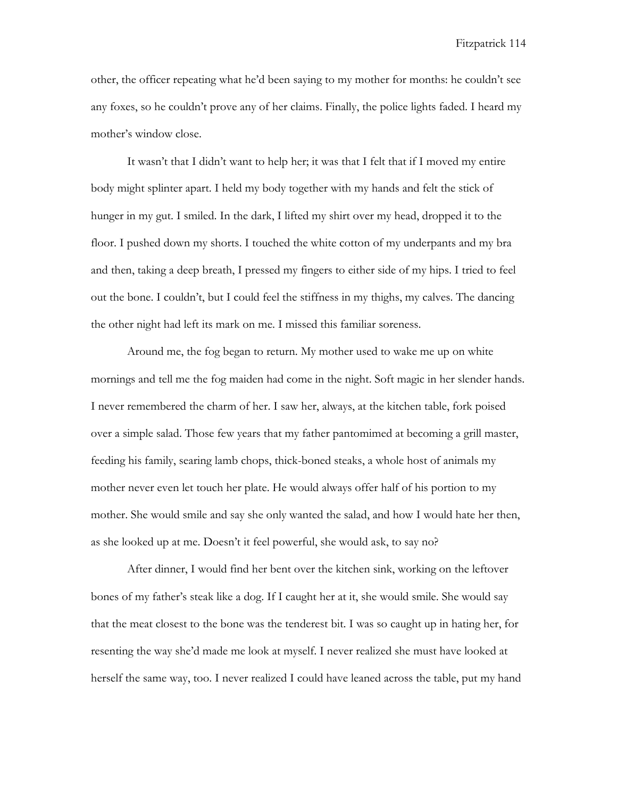other, the officer repeating what he'd been saying to my mother for months: he couldn't see any foxes, so he couldn't prove any of her claims. Finally, the police lights faded. I heard my mother's window close.

It wasn't that I didn't want to help her; it was that I felt that if I moved my entire body might splinter apart. I held my body together with my hands and felt the stick of hunger in my gut. I smiled. In the dark, I lifted my shirt over my head, dropped it to the floor. I pushed down my shorts. I touched the white cotton of my underpants and my bra and then, taking a deep breath, I pressed my fingers to either side of my hips. I tried to feel out the bone. I couldn't, but I could feel the stiffness in my thighs, my calves. The dancing the other night had left its mark on me. I missed this familiar soreness.

Around me, the fog began to return. My mother used to wake me up on white mornings and tell me the fog maiden had come in the night. Soft magic in her slender hands. I never remembered the charm of her. I saw her, always, at the kitchen table, fork poised over a simple salad. Those few years that my father pantomimed at becoming a grill master, feeding his family, searing lamb chops, thick-boned steaks, a whole host of animals my mother never even let touch her plate. He would always offer half of his portion to my mother. She would smile and say she only wanted the salad, and how I would hate her then, as she looked up at me. Doesn't it feel powerful, she would ask, to say no?

After dinner, I would find her bent over the kitchen sink, working on the leftover bones of my father's steak like a dog. If I caught her at it, she would smile. She would say that the meat closest to the bone was the tenderest bit. I was so caught up in hating her, for resenting the way she'd made me look at myself. I never realized she must have looked at herself the same way, too. I never realized I could have leaned across the table, put my hand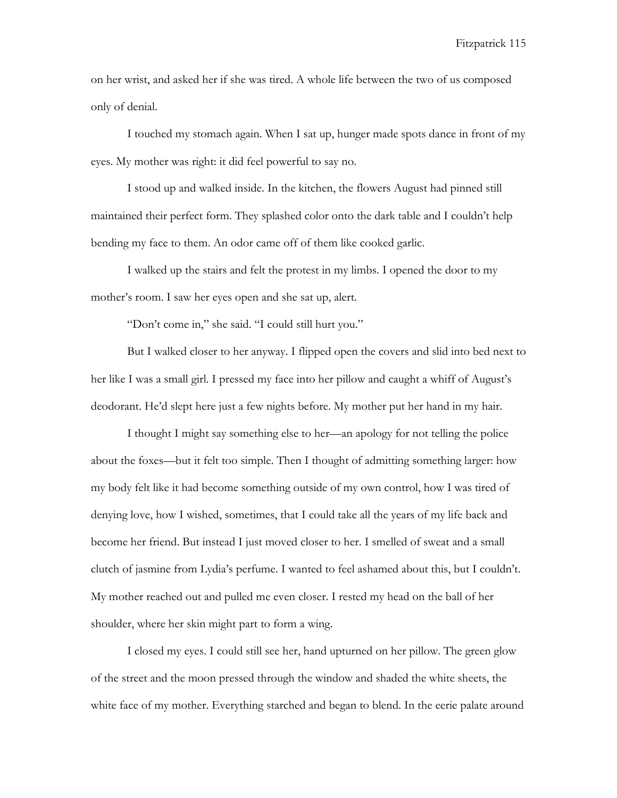on her wrist, and asked her if she was tired. A whole life between the two of us composed only of denial.

I touched my stomach again. When I sat up, hunger made spots dance in front of my eyes. My mother was right: it did feel powerful to say no.

I stood up and walked inside. In the kitchen, the flowers August had pinned still maintained their perfect form. They splashed color onto the dark table and I couldn't help bending my face to them. An odor came off of them like cooked garlic.

I walked up the stairs and felt the protest in my limbs. I opened the door to my mother's room. I saw her eyes open and she sat up, alert.

"Don't come in," she said. "I could still hurt you."

But I walked closer to her anyway. I flipped open the covers and slid into bed next to her like I was a small girl. I pressed my face into her pillow and caught a whiff of August's deodorant. He'd slept here just a few nights before. My mother put her hand in my hair.

I thought I might say something else to her—an apology for not telling the police about the foxes—but it felt too simple. Then I thought of admitting something larger: how my body felt like it had become something outside of my own control, how I was tired of denying love, how I wished, sometimes, that I could take all the years of my life back and become her friend. But instead I just moved closer to her. I smelled of sweat and a small clutch of jasmine from Lydia's perfume. I wanted to feel ashamed about this, but I couldn't. My mother reached out and pulled me even closer. I rested my head on the ball of her shoulder, where her skin might part to form a wing.

I closed my eyes. I could still see her, hand upturned on her pillow. The green glow of the street and the moon pressed through the window and shaded the white sheets, the white face of my mother. Everything starched and began to blend. In the eerie palate around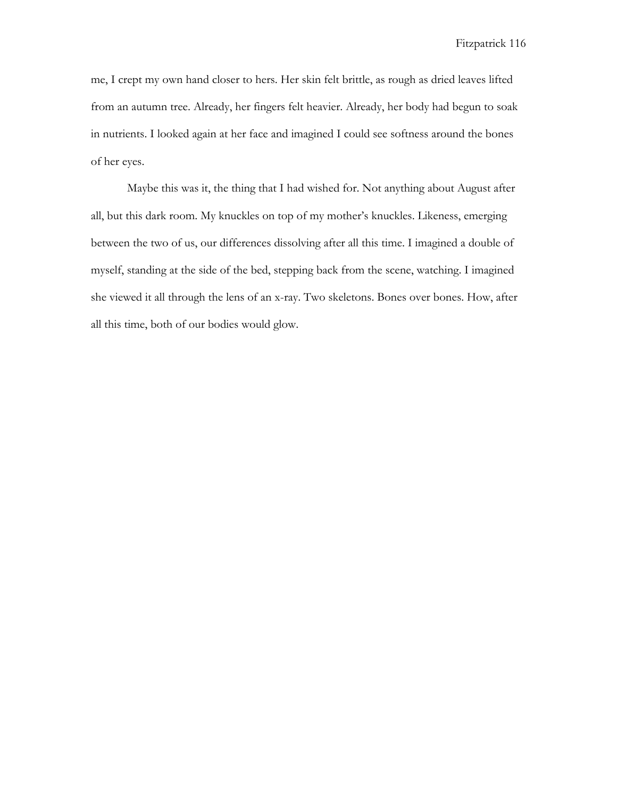me, I crept my own hand closer to hers. Her skin felt brittle, as rough as dried leaves lifted from an autumn tree. Already, her fingers felt heavier. Already, her body had begun to soak in nutrients. I looked again at her face and imagined I could see softness around the bones of her eyes.

Maybe this was it, the thing that I had wished for. Not anything about August after all, but this dark room. My knuckles on top of my mother's knuckles. Likeness, emerging between the two of us, our differences dissolving after all this time. I imagined a double of myself, standing at the side of the bed, stepping back from the scene, watching. I imagined she viewed it all through the lens of an x-ray. Two skeletons. Bones over bones. How, after all this time, both of our bodies would glow.